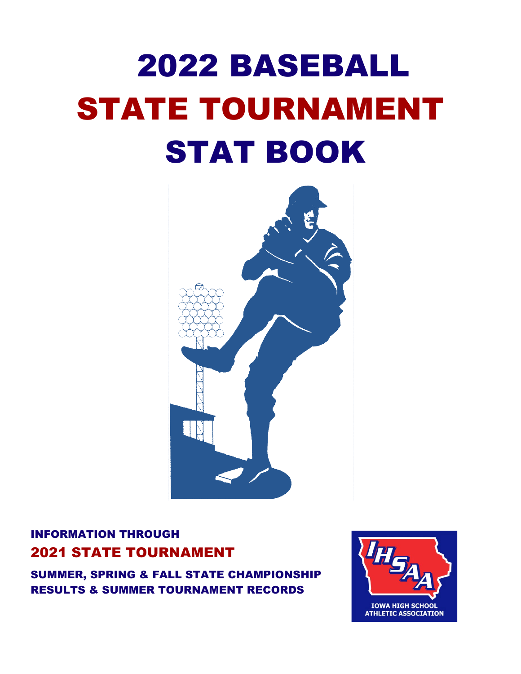# 2022 BASEBALL STATE TOURNAMENT STAT BOOK



## INFORMATION THROUGH 2021 STATE TOURNAMENT

SUMMER, SPRING & FALL STATE CHAMPIONSHIP RESULTS & SUMMER TOURNAMENT RECORDS

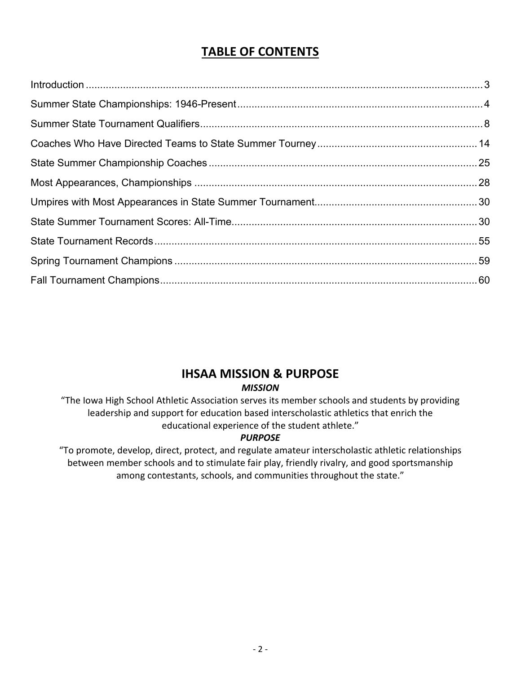## **TABLE OF CONTENTS**

## **IHSAA MISSION & PURPOSE**

*MISSION*

"The Iowa High School Athletic Association serves its member schools and students by providing leadership and support for education based interscholastic athletics that enrich the educational experience of the student athlete."

## *PURPOSE*

"To promote, develop, direct, protect, and regulate amateur interscholastic athletic relationships between member schools and to stimulate fair play, friendly rivalry, and good sportsmanship among contestants, schools, and communities throughout the state."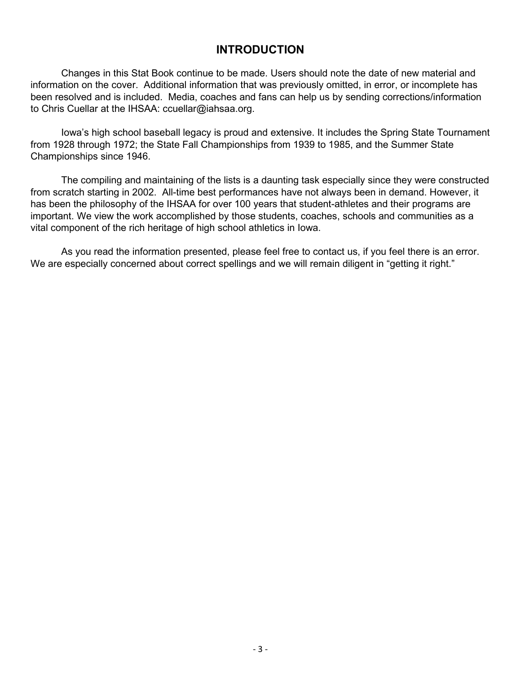## **INTRODUCTION**

Changes in this Stat Book continue to be made. Users should note the date of new material and information on the cover. Additional information that was previously omitted, in error, or incomplete has been resolved and is included. Media, coaches and fans can help us by sending corrections/information to Chris Cuellar at the IHSAA: ccuellar@iahsaa.org.

Iowa's high school baseball legacy is proud and extensive. It includes the Spring State Tournament from 1928 through 1972; the State Fall Championships from 1939 to 1985, and the Summer State Championships since 1946.

The compiling and maintaining of the lists is a daunting task especially since they were constructed from scratch starting in 2002. All-time best performances have not always been in demand. However, it has been the philosophy of the IHSAA for over 100 years that student-athletes and their programs are important. We view the work accomplished by those students, coaches, schools and communities as a vital component of the rich heritage of high school athletics in Iowa.

As you read the information presented, please feel free to contact us, if you feel there is an error. We are especially concerned about correct spellings and we will remain diligent in "getting it right."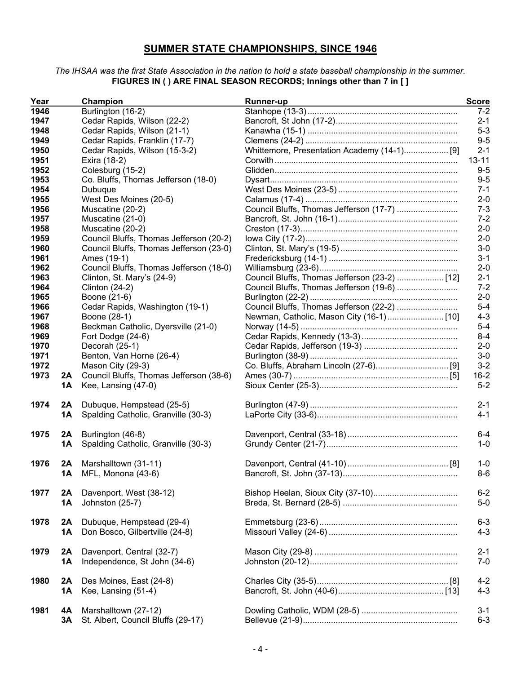## **SUMMER STATE CHAMPIONSHIPS, SINCE 1946**

#### *The IHSAA was the first State Association in the nation to hold a state baseball championship in the summer.* **FIGURES IN ( ) ARE FINAL SEASON RECORDS; Innings other than 7 in [ ]**

| Year |           | Champion                                | <b>Runner-up</b>                              | <b>Score</b> |
|------|-----------|-----------------------------------------|-----------------------------------------------|--------------|
| 1946 |           | Burlington (16-2)                       |                                               | $7 - 2$      |
| 1947 |           | Cedar Rapids, Wilson (22-2)             |                                               | $2 - 1$      |
| 1948 |           | Cedar Rapids, Wilson (21-1)             |                                               | $5-3$        |
| 1949 |           | Cedar Rapids, Franklin (17-7)           |                                               | $9-5$        |
| 1950 |           | Cedar Rapids, Wilson (15-3-2)           | Whittemore, Presentation Academy (14-1) [9]   | $2 - 1$      |
| 1951 |           | Exira (18-2)                            |                                               | $13 - 11$    |
| 1952 |           | Colesburg (15-2)                        |                                               | $9-5$        |
| 1953 |           | Co. Bluffs, Thomas Jefferson (18-0)     |                                               | $9-5$        |
| 1954 |           | Dubuque                                 |                                               | $7 - 1$      |
| 1955 |           | West Des Moines (20-5)                  |                                               | $2 - 0$      |
| 1956 |           | Muscatine (20-2)                        | Council Bluffs, Thomas Jefferson (17-7)       | $7 - 3$      |
| 1957 |           | Muscatine (21-0)                        |                                               | $7 - 2$      |
| 1958 |           | Muscatine (20-2)                        |                                               | $2 - 0$      |
| 1959 |           | Council Bluffs, Thomas Jefferson (20-2) |                                               | $2 - 0$      |
| 1960 |           | Council Bluffs, Thomas Jefferson (23-0) |                                               | $3-0$        |
| 1961 |           | Ames (19-1)                             |                                               | $3 - 1$      |
| 1962 |           | Council Bluffs, Thomas Jefferson (18-0) |                                               | $2 - 0$      |
| 1963 |           | Clinton, St. Mary's (24-9)              | Council Bluffs, Thomas Jefferson (23-2)  [12] | $2 - 1$      |
| 1964 |           | <b>Clinton (24-2)</b>                   | Council Bluffs, Thomas Jefferson (19-6)       | $7 - 2$      |
| 1965 |           | Boone (21-6)                            |                                               | $2 - 0$      |
| 1966 |           | Cedar Rapids, Washington (19-1)         | Council Bluffs, Thomas Jefferson (22-2)       | $5-4$        |
| 1967 |           | Boone (28-1)                            |                                               | $4 - 3$      |
| 1968 |           | Beckman Catholic, Dyersville (21-0)     |                                               | $5-4$        |
| 1969 |           | Fort Dodge (24-6)                       |                                               | $8 - 4$      |
| 1970 |           | Decorah (25-1)                          |                                               | $2 - 0$      |
| 1971 |           | Benton, Van Horne (26-4)                |                                               | $3-0$        |
| 1972 |           | Mason City (29-3)                       |                                               | $3-2$        |
| 1973 | 2A        | Council Bluffs, Thomas Jefferson (38-6) |                                               | $16 - 2$     |
|      | 1Α        | Kee, Lansing (47-0)                     |                                               | $5 - 2$      |
| 1974 | 2A        | Dubuque, Hempstead (25-5)               |                                               | $2 - 1$      |
|      | 1A        | Spalding Catholic, Granville (30-3)     |                                               | $4 - 1$      |
|      |           |                                         |                                               |              |
| 1975 | 2A        | Burlington (46-8)                       |                                               | $6-4$        |
|      | 1Α        | Spalding Catholic, Granville (30-3)     |                                               | $1 - 0$      |
| 1976 | 2A        | Marshalltown (31-11)                    |                                               | $1 - 0$      |
|      | <b>1A</b> | MFL, Monona (43-6)                      |                                               | $8-6$        |
|      |           |                                         |                                               |              |
| 1977 | 2A        | Davenport, West (38-12)                 |                                               | $6 - 2$      |
|      | <b>1A</b> | Johnston (25-7)                         |                                               | $5-0$        |
|      |           |                                         |                                               |              |
| 1978 | 2A        | Dubuque, Hempstead (29-4)               |                                               | $6 - 3$      |
|      | <b>1A</b> | Don Bosco, Gilbertville (24-8)          |                                               | $4 - 3$      |
| 1979 | 2A        | Davenport, Central (32-7)               |                                               | $2 - 1$      |
|      | 1A        | Independence, St John (34-6)            |                                               | $7 - 0$      |
|      |           |                                         |                                               |              |
| 1980 | 2A        | Des Moines, East (24-8)                 |                                               | $4 - 2$      |
|      | 1A        | Kee, Lansing (51-4)                     |                                               | $4 - 3$      |
|      |           |                                         |                                               |              |
| 1981 | 4A        | Marshalltown (27-12)                    |                                               | $3 - 1$      |
|      | 3Α        | St. Albert, Council Bluffs (29-17)      |                                               | $6 - 3$      |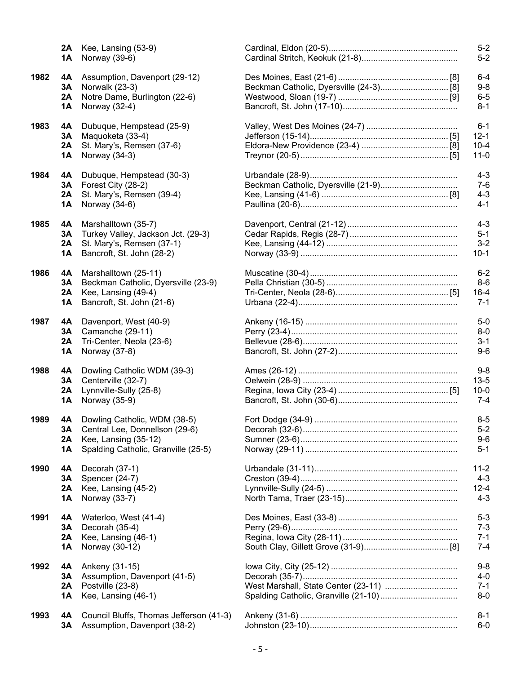|      | ZA<br>1Α             | Kee, Lansing (53-9)<br>Norway (39-6)                                                                                          |
|------|----------------------|-------------------------------------------------------------------------------------------------------------------------------|
| 1982 | 4Α<br>3Α<br>2A<br>1A | Assumption, Davenport (29-12)<br>Norwalk (23-3)<br>Notre Dame, Burlington (22-6)<br>Norway (32-4)                             |
| 1983 | 4Α<br>3A<br>2A<br>1Α | Dubuque, Hempstead (25-9)<br>Maquoketa (33-4)<br>St. Mary's, Remsen (37-6)<br>Norway (34-3)                                   |
| 1984 | 4Α<br>3Α<br>2A<br>1Α | Dubuque, Hempstead (30-3)<br>Forest City (28-2)<br>St. Mary's, Remsen (39-4)<br>Norway (34-6)                                 |
| 1985 | 4А<br>3Α<br>2A<br>1Α | Marshalltown (35-7)<br>Turkey Valley, Jackson Jct. (29-3)<br>St. Mary's, Remsen (37-1)<br>Bancroft, St. John (28-2)           |
| 1986 | 4А<br>3Α<br>2A<br>1Α | Marshalltown (25-11)<br>Beckman Catholic, Dyersville (23-9)<br>Kee, Lansing (49-4)<br>Bancroft, St. John (21-6)               |
| 1987 | 4Α<br>3Α<br>2A<br>1Α | Davenport, West (40-9)<br>Camanche (29-11)<br>Tri-Center, Neola (23-6)<br>Norway (37-8)                                       |
| 1988 | 4Α<br>3A<br>2A<br>1Α | Dowling Catholic WDM (39-3)<br>Centerville (32-7)<br>Lynnville-Sully (25-8)<br>Norway (35-9)                                  |
| 1989 | 4A<br>3А<br>2A<br>1Α | Dowling Catholic, WDM (38-5)<br>Central Lee, Donnellson (29-6)<br>Kee, Lansing (35-12)<br>Spalding Catholic, Granville (25-5) |
| 1990 | 4Α<br>3A<br>2A<br>1A | Decorah (37-1)<br>Spencer (24-7)<br>Kee, Lansing (45-2)<br>Norway (33-7)                                                      |
| 1991 | 4Α<br>3Α<br>2A<br>1Α | Waterloo, West (41-4)<br>Decorah (35-4)<br>Kee, Lansing (46-1)<br>Norway (30-12)                                              |
| 1992 | 4А<br>3Α<br>2A<br>1Α | Ankeny (31-15)<br>Assumption, Davenport (41-5)<br>Postville (23-8)<br>Kee, Lansing (46-1)                                     |
| 1993 | 4А<br>3Α             | Council Bluffs, Thomas Jefferson (41<br>Assumption, Davenport (38-2)                                                          |

|      | 2A        | Kee, Lansing (53-9)                     | $5-2$    |
|------|-----------|-----------------------------------------|----------|
|      | 1A        | Norway (39-6)                           | $5-2$    |
| 1982 | 4A        | Assumption, Davenport (29-12)           | $6 - 4$  |
|      | 3Α        | Norwalk (23-3)                          | $9 - 8$  |
|      | 2A        | Notre Dame, Burlington (22-6)           | $6-5$    |
|      | <b>1A</b> | Norway (32-4)                           | $8 - 1$  |
| 1983 | 4А        | Dubuque, Hempstead (25-9)               | $6 - 1$  |
|      | 3Α        | Maquoketa (33-4)                        | $12 - 1$ |
|      | 2A        | St. Mary's, Remsen (37-6)               | $10 - 4$ |
|      | <b>1A</b> | Norway (34-3)                           | $11 - 0$ |
| 1984 | 4А        | Dubuque, Hempstead (30-3)               | $4 - 3$  |
|      | 3Α        | Forest City (28-2)                      | $7-6$    |
|      | 2A        | St. Mary's, Remsen (39-4)               | $4 - 3$  |
|      | 1A        | Norway (34-6)                           | $4 - 1$  |
| 1985 | 4A        | Marshalltown (35-7)                     | $4 - 3$  |
|      | 3Α        | Turkey Valley, Jackson Jct. (29-3)      | $5 - 1$  |
|      | 2A        | St. Mary's, Remsen (37-1)               | $3 - 2$  |
|      | 1A        | Bancroft, St. John (28-2)               | $10-1$   |
| 1986 | 4А        | Marshalltown (25-11)                    | $6 - 2$  |
|      | 3Α        | Beckman Catholic, Dyersville (23-9)     | $8-6$    |
|      | 2A        | Kee, Lansing (49-4)                     | $16 - 4$ |
|      | <b>1A</b> | Bancroft, St. John (21-6)               | $7 - 1$  |
| 1987 | 4A        | Davenport, West (40-9)                  | $5-0$    |
|      | 3A        | Camanche (29-11)                        | $8-0$    |
|      | 2A        | Tri-Center, Neola (23-6)                | $3 - 1$  |
|      | <b>1A</b> | Norway (37-8)                           | $9-6$    |
| 1988 | 4A        | Dowling Catholic WDM (39-3)             | $9-8$    |
|      | 3A        | Centerville (32-7)                      | $13 - 5$ |
|      | 2A        | Lynnville-Sully (25-8)                  | $10 - 0$ |
|      | <b>1A</b> | Norway (35-9)                           | $7 - 4$  |
| 1989 | 4Α        | Dowling Catholic, WDM (38-5)            | $8-5$    |
|      | 3А        | Central Lee, Donnellson (29-6)          | $5-2$    |
|      | 2A        | Kee, Lansing (35-12)                    | $9-6$    |
|      | 1A        | Spalding Catholic, Granville (25-5)     | $5 - 1$  |
| 1990 | 4A        | Decorah (37-1)                          | $11 - 2$ |
|      | 3Α        | Spencer (24-7)                          | $4 - 3$  |
|      | 2A        | Kee, Lansing (45-2)                     | $12 - 4$ |
|      | 1A        | Norway (33-7)                           | $4 - 3$  |
| 1991 | 4A        | Waterloo, West (41-4)                   | $5 - 3$  |
|      | 3Α        | Decorah (35-4)                          | $7 - 3$  |
|      | 2A        | Kee, Lansing (46-1)                     | $7 - 1$  |
|      | 1A        | Norway (30-12)                          | $7 - 4$  |
| 1992 | 4A        | Ankeny (31-15)                          | $9-8$    |
|      | 3Α        | Assumption, Davenport (41-5)            | $4 - 0$  |
|      | 2A        | Postville (23-8)                        | $7 - 1$  |
|      | 1A        | Kee, Lansing (46-1)                     | $8-0$    |
| 1993 | 4A        | Council Bluffs, Thomas Jefferson (41-3) | $8 - 1$  |
|      | 3Α        | Assumption, Davenport (38-2)            | $6-0$    |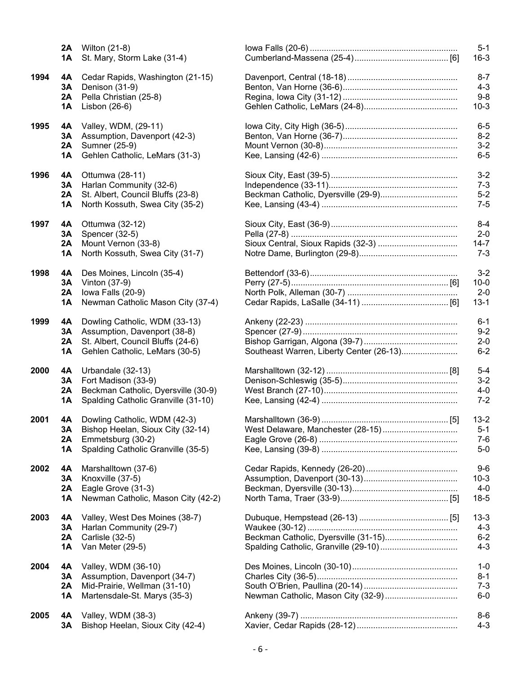|      | 2A<br>1Α             | Wilton (21-8)<br>St. Mary, Storm Lake (31-4)                                                                                         |
|------|----------------------|--------------------------------------------------------------------------------------------------------------------------------------|
| 1994 | 4A<br>3Α<br>2A<br>1Α | Cedar Rapids, Washington (21-15)<br>Denison (31-9)<br>Pella Christian (25-8)<br>Lisbon (26-6)                                        |
| 1995 | 4Α<br>3Α<br>2A<br>1Α | Valley, WDM, (29-11)<br>Assumption, Davenport (42-3)<br>Sumner (25-9)<br>Gehlen Catholic, LeMars (31-3)                              |
| 1996 | 4A<br>3A<br>2A<br>1A | Ottumwa (28-11)<br>Harlan Community (32-6)<br>St. Albert, Council Bluffs (23-8)<br>North Kossuth, Swea City (35-2)                   |
| 1997 | 4A<br>3A<br>2A<br>1Α | Ottumwa (32-12)<br>Spencer (32-5)<br>Mount Vernon (33-8)<br>North Kossuth, Swea City (31-7)                                          |
| 1998 | 4A<br>3Α<br>2A<br>1A | Des Moines, Lincoln (35-4)<br>Vinton (37-9)<br>lowa Falls (20-9)<br>Newman Catholic Mason City (37-4)                                |
| 1999 | 4A<br>3A<br>2A<br>1Α | Dowling Catholic, WDM (33-13)<br>Assumption, Davenport (38-8)<br>St. Albert, Council Bluffs (24-6)<br>Gehlen Catholic, LeMars (30-5) |
| 2000 | 4Α<br>3Α<br>2A<br>1Α | Urbandale (32-13)<br>Fort Madison (33-9)<br>Beckman Catholic, Dyersville (30-9)<br>Spalding Catholic Granville (31-10)               |
| 2001 | 4А<br>3А<br>2A<br>1Α | Dowling Catholic, WDM (42-3)<br>Bishop Heelan, Sioux City (32-14)<br>Emmetsburg (30-2)<br>Spalding Catholic Granville (35-5)         |
| 2002 | 4Α<br>3Α<br>2A<br>1Α | Marshalltown (37-6)<br>Knoxville (37-5)<br>Eagle Grove (31-3)<br>Newman Catholic, Mason City (42-2)                                  |
| 2003 | 4Α<br>3А<br>2A<br>1A | Valley, West Des Moines (38-7)<br>Harlan Community (29-7)<br>Carlisle (32-5)<br>Van Meter (29-5)                                     |
| 2004 | 4Α<br>3Α<br>2A<br>1Α | Valley, WDM (36-10)<br>Assumption, Davenport (34-7)<br>Mid-Prairie, Wellman (31-10)<br>Martensdale-St. Marys (35-3)                  |
| 2005 | 4А<br>3Α             | Valley, WDM (38-3)<br>Bishop Heelan, Sioux City (42-4)                                                                               |

|      | 1A       | <b>2A</b> Wilton (21-8)<br>St. Mary, Storm Lake (31-4)       |                                          | $5 - 1$<br>$16 - 3$ |
|------|----------|--------------------------------------------------------------|------------------------------------------|---------------------|
| 1994 | 4A       | Cedar Rapids, Washington (21-15)                             |                                          | $8 - 7$             |
|      | 3Α       | Denison (31-9)                                               |                                          | $4 - 3$             |
|      | 2A       | Pella Christian (25-8)                                       |                                          | $9-8$               |
|      | 1A       | Lisbon (26-6)                                                |                                          | $10-3$              |
| 1995 | 4A       | Valley, WDM, (29-11)                                         |                                          | $6-5$               |
|      | 3A       | Assumption, Davenport (42-3)                                 |                                          | $8 - 2$             |
|      | 2A       | Sumner (25-9)                                                |                                          | $3-2$               |
|      | 1A       | Gehlen Catholic, LeMars (31-3)                               |                                          | $6-5$               |
| 1996 | 4A       | Ottumwa (28-11)                                              |                                          | $3 - 2$             |
|      | 3Α<br>2A | Harlan Community (32-6)<br>St. Albert, Council Bluffs (23-8) |                                          | $7 - 3$<br>$5-2$    |
|      | 1Α       | North Kossuth, Swea City (35-2)                              |                                          | $7 - 5$             |
| 1997 | 4A       | Ottumwa (32-12)                                              |                                          | $8 - 4$             |
|      | 3A       | Spencer (32-5)                                               |                                          | $2 - 0$             |
|      | 2A       | Mount Vernon (33-8)                                          |                                          | $14 - 7$            |
|      | 1A       | North Kossuth, Swea City (31-7)                              |                                          | $7 - 3$             |
| 1998 | 4A       | Des Moines, Lincoln (35-4)                                   |                                          | $3 - 2$             |
|      | 3A       | Vinton (37-9)                                                |                                          | $10 - 0$            |
|      | 2A       | lowa Falls (20-9)                                            |                                          | $2 - 0$             |
|      | 1A       | Newman Catholic Mason City (37-4)                            |                                          | $13 - 1$            |
| 1999 | 4A       | Dowling Catholic, WDM (33-13)                                |                                          | $6 - 1$             |
|      | 3A       | Assumption, Davenport (38-8)                                 |                                          | $9 - 2$             |
|      | 2A       | St. Albert, Council Bluffs (24-6)                            |                                          | $2 - 0$             |
|      | 1Α       | Gehlen Catholic, LeMars (30-5)                               | Southeast Warren, Liberty Center (26-13) | $6 - 2$             |
| 2000 | 4A       | Urbandale (32-13)                                            |                                          | $5-4$               |
|      | 3A       | Fort Madison (33-9)                                          |                                          | $3 - 2$             |
|      | 2A       | Beckman Catholic, Dyersville (30-9)                          |                                          | $4-0$               |
|      | 1A       | Spalding Catholic Granville (31-10)                          |                                          | $7 - 2$             |
| 2001 | 4Α       | Dowling Catholic, WDM (42-3)                                 |                                          | $13 - 2$            |
|      | 3Α       | Bishop Heelan, Sioux City (32-14)                            | West Delaware, Manchester (28-15)        | $5 - 1$             |
|      | 2A       | Emmetsburg (30-2)                                            |                                          | $7-6$               |
|      | 1A       | Spalding Catholic Granville (35-5)                           |                                          | $5-0$               |
| 2002 | 4A       | Marshalltown (37-6)                                          |                                          | $9-6$               |
|      | 3Α       | Knoxville (37-5)                                             |                                          | $10-3$              |
|      | 2A       | Eagle Grove (31-3)                                           |                                          | $4-0$               |
|      | 1Α       | Newman Catholic, Mason City (42-2)                           |                                          | $18-5$              |
| 2003 | 4A       | Valley, West Des Moines (38-7)                               |                                          | $13 - 3$            |
|      | 3A       | Harlan Community (29-7)                                      |                                          | $4 - 3$             |
|      | 2A       | Carlisle (32-5)                                              | Beckman Catholic, Dyersville (31-15)     | $6-2$               |
|      | 1Α       | Van Meter (29-5)                                             |                                          | $4 - 3$             |
| 2004 | 4A       | Valley, WDM (36-10)                                          |                                          | $1 - 0$             |
|      | 3A       | Assumption, Davenport (34-7)                                 |                                          | $8 - 1$             |
|      | 2A       | Mid-Prairie, Wellman (31-10)                                 |                                          | $7 - 3$             |
|      | 1Α       | Martensdale-St. Marys (35-3)                                 | Newman Catholic, Mason City (32-9)       | $6-0$               |
| 2005 | 4A       | Valley, WDM (38-3)                                           |                                          | $8-6$               |
|      | 3A       | Bishop Heelan, Sioux City (42-4)                             |                                          | $4 - 3$             |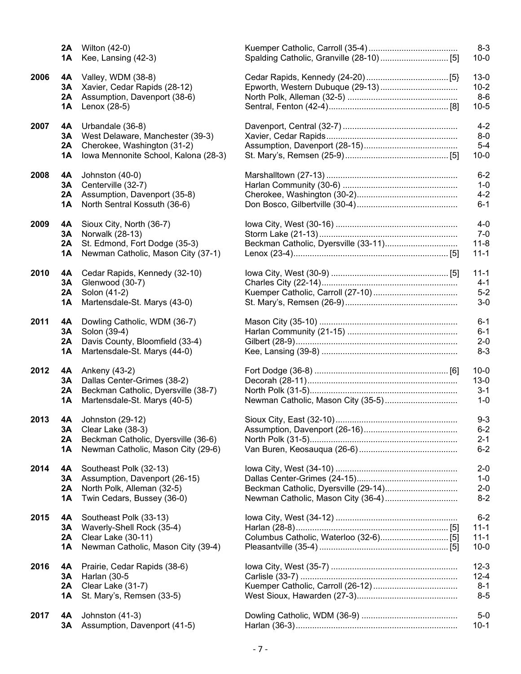|      | 2A        | Wilton (42-0)                        |                                      | $8 - 3$  |
|------|-----------|--------------------------------------|--------------------------------------|----------|
|      | 1A        | Kee, Lansing (42-3)                  |                                      | $10 - 0$ |
| 2006 | 4A        | Valley, WDM (38-8)                   |                                      | $13 - 0$ |
|      | 3Α        | Xavier, Cedar Rapids (28-12)         |                                      | $10 - 2$ |
|      | 2A        | Assumption, Davenport (38-6)         |                                      | $8-6$    |
|      | 1Α        | Lenox (28-5)                         |                                      | $10 - 5$ |
| 2007 | 4A        | Urbandale (36-8)                     |                                      | $4 - 2$  |
|      | 3A        | West Delaware, Manchester (39-3)     |                                      | $8 - 0$  |
|      | 2A        | Cherokee, Washington (31-2)          |                                      | $5-4$    |
|      | 1A        | Iowa Mennonite School, Kalona (28-3) |                                      | $10 - 0$ |
| 2008 | 4A        | Johnston (40-0)                      |                                      | $6 - 2$  |
|      | 3A        | Centerville (32-7)                   |                                      | $1 - 0$  |
|      | 2A        | Assumption, Davenport (35-8)         |                                      | $4 - 2$  |
|      | <b>1A</b> | North Sentral Kossuth (36-6)         |                                      | $6 - 1$  |
| 2009 | 4A        | Sioux City, North (36-7)             |                                      | $4 - 0$  |
|      | 3Α        | Norwalk (28-13)                      |                                      | $7 - 0$  |
|      | 2A        | St. Edmond, Fort Dodge (35-3)        | Beckman Catholic, Dyersville (33-11) | $11 - 8$ |
|      | <b>1A</b> | Newman Catholic, Mason City (37-1)   |                                      | $11 - 1$ |
| 2010 | 4А        | Cedar Rapids, Kennedy (32-10)        |                                      | $11 - 1$ |
|      | 3Α        | Glenwood (30-7)                      |                                      | $4 - 1$  |
|      | 2A        | Solon (41-2)                         |                                      | $5 - 2$  |
|      | 1A        | Martensdale-St. Marys (43-0)         |                                      | $3-0$    |
| 2011 | 4A        | Dowling Catholic, WDM (36-7)         |                                      | $6 - 1$  |
|      | 3Α        | Solon (39-4)                         |                                      | $6 - 1$  |
|      | 2A        | Davis County, Bloomfield (33-4)      |                                      | $2 - 0$  |
|      | 1A        | Martensdale-St. Marys (44-0)         |                                      | $8 - 3$  |
| 2012 | 4A        | Ankeny (43-2)                        |                                      | $10 - 0$ |
|      | 3A        | Dallas Center-Grimes (38-2)          |                                      | $13-0$   |
|      | 2A        | Beckman Catholic, Dyersville (38-7)  |                                      | $3 - 1$  |
|      | <b>1A</b> | Martensdale-St. Marys (40-5)         | Newman Catholic, Mason City (35-5)   | $1 - 0$  |
| 2013 | 4А        | Johnston (29-12)                     |                                      | $9 - 3$  |
|      | 3A        | Clear Lake (38-3)                    |                                      | $6 - 2$  |
|      | 2A        | Beckman Catholic, Dyersville (36-6)  |                                      | $2 - 1$  |
|      | <b>1A</b> | Newman Catholic, Mason City (29-6)   |                                      | $6 - 2$  |
| 2014 | 4A        | Southeast Polk (32-13)               |                                      | $2 - 0$  |
|      | 3A        | Assumption, Davenport (26-15)        |                                      | $1 - 0$  |
|      | 2A        | North Polk, Alleman (32-5)           | Beckman Catholic, Dyersville (29-14) | $2 - 0$  |
|      | 1A        | Twin Cedars, Bussey (36-0)           | Newman Catholic, Mason City (36-4)   | $8 - 2$  |
| 2015 | 4A        | Southeast Polk (33-13)               |                                      | $6 - 2$  |
|      | 3Α        | Waverly-Shell Rock (35-4)            |                                      | $11 - 1$ |
|      | 2A        | Clear Lake (30-11)                   |                                      | $11 - 1$ |
|      | 1A        | Newman Catholic, Mason City (39-4)   |                                      | $10 - 0$ |
| 2016 | 4A        | Prairie, Cedar Rapids (38-6)         |                                      | $12 - 3$ |
|      | 3A        | Harlan (30-5                         |                                      | $12 - 4$ |
|      | 2A        | Clear Lake (31-7)                    |                                      | $8 - 1$  |
|      | 1Α        | St. Mary's, Remsen (33-5)            |                                      | $8 - 5$  |
| 2017 | 4A        | Johnston (41-3)                      |                                      | $5-0$    |
|      | 3Α        | Assumption, Davenport (41-5)         |                                      | $10-1$   |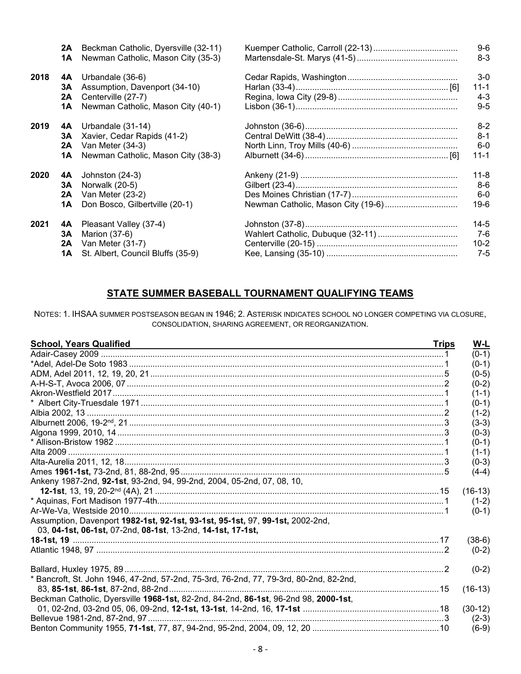|      | 2A | Beckman Catholic, Dyersville (32-11) |                                    | $9-6$    |
|------|----|--------------------------------------|------------------------------------|----------|
|      | 1Α | Newman Catholic, Mason City (35-3)   |                                    | $8 - 3$  |
| 2018 | 4A | Urbandale (36-6)                     |                                    | $3-0$    |
|      | 3А | Assumption, Davenport (34-10)        |                                    | 11-1     |
|      | 2A | Centerville (27-7)                   |                                    | $4 - 3$  |
|      | 1Α | Newman Catholic, Mason City (40-1)   |                                    | $9 - 5$  |
| 2019 | 4A | Urbandale (31-14)                    |                                    | $8 - 2$  |
|      | 3А | Xavier, Cedar Rapids (41-2)          |                                    | $8 - 1$  |
|      | 2Α | Van Meter (34-3)                     |                                    | $6-0$    |
|      | 1Α | Newman Catholic, Mason City (38-3)   |                                    | $11 - 1$ |
| 2020 | 4A | Johnston (24-3)                      |                                    | $11 - 8$ |
|      | 3А | Norwalk (20-5)                       |                                    | $8-6$    |
|      | 2A | Van Meter (23-2)                     |                                    | $6-0$    |
|      | 1Α | Don Bosco, Gilbertville (20-1)       | Newman Catholic, Mason City (19-6) | 19-6     |
| 2021 | 4A | Pleasant Valley (37-4)               |                                    | $14-5$   |
|      | 3А | Marion (37-6)                        |                                    | $7-6$    |
|      | 2Α | Van Meter (31-7)                     |                                    | $10 - 2$ |
|      | 1Α | St. Albert, Council Bluffs (35-9)    |                                    | $7 - 5$  |

## STATE SUMMER BASEBALL TOURNAMENT QUALIFYING TEAMS

NOTES: 1. IHSAA SUMMER POSTSEASON BEGAN IN 1946; 2. ASTERISK INDICATES SCHOOL NO LONGER COMPETING VIA CLOSURE, CONSOLIDATION, SHARING AGREEMENT, OR REORGANIZATION.

| <b>School, Years Qualified</b>                                                         | <b>Trips</b> | W-L       |
|----------------------------------------------------------------------------------------|--------------|-----------|
|                                                                                        |              | $(0-1)$   |
|                                                                                        |              | $(0-1)$   |
|                                                                                        |              | $(0-5)$   |
|                                                                                        |              | $(0-2)$   |
|                                                                                        |              | $(1-1)$   |
|                                                                                        |              | $(0-1)$   |
|                                                                                        |              | $(1-2)$   |
|                                                                                        |              | $(3-3)$   |
|                                                                                        |              | $(0-3)$   |
|                                                                                        |              | $(0-1)$   |
|                                                                                        |              | $(1-1)$   |
|                                                                                        |              | $(0-3)$   |
|                                                                                        |              | $(4-4)$   |
| Ankeny 1987-2nd, 92-1st, 93-2nd, 94, 99-2nd, 2004, 05-2nd, 07, 08, 10,                 |              |           |
|                                                                                        |              | $(16-13)$ |
|                                                                                        |              | $(1-2)$   |
|                                                                                        |              | $(0-1)$   |
| Assumption, Davenport 1982-1st, 92-1st, 93-1st, 95-1st, 97, 99-1st, 2002-2nd,          |              |           |
| 03, 04-1st, 06-1st, 07-2nd, 08-1st, 13-2nd, 14-1st, 17-1st,                            |              |           |
|                                                                                        |              | $(38-6)$  |
|                                                                                        |              | $(0-2)$   |
|                                                                                        |              |           |
|                                                                                        |              | $(0-2)$   |
| * Bancroft, St. John 1946, 47-2nd, 57-2nd, 75-3rd, 76-2nd, 77, 79-3rd, 80-2nd, 82-2nd, |              |           |
|                                                                                        |              | $(16-13)$ |
| Beckman Catholic, Dyersville 1968-1st, 82-2nd, 84-2nd, 86-1st, 96-2nd 98, 2000-1st,    |              |           |
|                                                                                        |              | $(30-12)$ |
|                                                                                        |              | $(2-3)$   |
|                                                                                        |              | $(6-9)$   |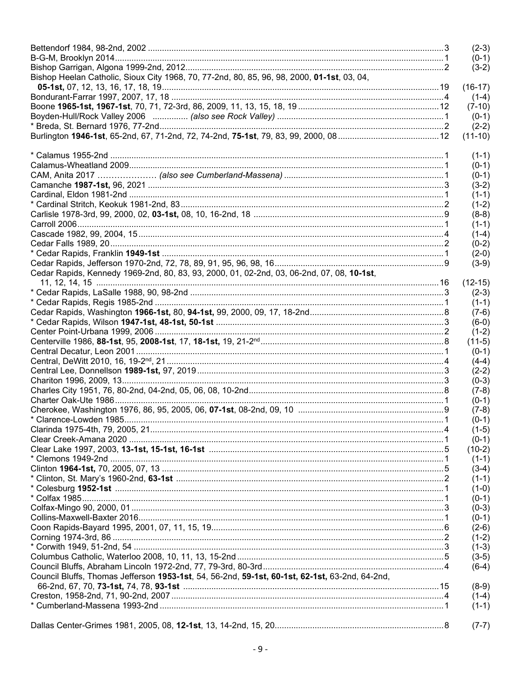|                                                                                                | $(2-3)$   |
|------------------------------------------------------------------------------------------------|-----------|
|                                                                                                | $(0-1)$   |
|                                                                                                | $(3-2)$   |
| Bishop Heelan Catholic, Sioux City 1968, 70, 77-2nd, 80, 85, 96, 98, 2000, 01-1st, 03, 04,     |           |
|                                                                                                | $(16-17)$ |
|                                                                                                | $(1-4)$   |
|                                                                                                | $(7-10)$  |
|                                                                                                | $(0-1)$   |
|                                                                                                | $(2-2)$   |
|                                                                                                | $(11-10)$ |
|                                                                                                | $(1-1)$   |
|                                                                                                | $(0-1)$   |
|                                                                                                | $(0-1)$   |
|                                                                                                | $(3-2)$   |
|                                                                                                | $(1-1)$   |
|                                                                                                | $(1-2)$   |
|                                                                                                | $(8-8)$   |
|                                                                                                | $(1-1)$   |
|                                                                                                | $(1-4)$   |
|                                                                                                | $(0-2)$   |
|                                                                                                | $(2-0)$   |
|                                                                                                | $(3-9)$   |
| Cedar Rapids, Kennedy 1969-2nd, 80, 83, 93, 2000, 01, 02-2nd, 03, 06-2nd, 07, 08, 10-1st,      |           |
|                                                                                                | $(12-15)$ |
|                                                                                                | $(2-3)$   |
|                                                                                                | $(1-1)$   |
|                                                                                                | $(7-6)$   |
|                                                                                                | $(6-0)$   |
|                                                                                                | $(1-2)$   |
|                                                                                                | $(11-5)$  |
|                                                                                                | $(0-1)$   |
|                                                                                                | $(4-4)$   |
|                                                                                                | $(2-2)$   |
|                                                                                                | $(0-3)$   |
|                                                                                                | $(7-8)$   |
|                                                                                                | $(0-1)$   |
|                                                                                                | $(7-8)$   |
|                                                                                                | $(0-1)$   |
|                                                                                                | $(1-5)$   |
|                                                                                                | $(0-1)$   |
|                                                                                                | $(10-2)$  |
|                                                                                                | $(1-1)$   |
|                                                                                                | $(3-4)$   |
|                                                                                                | $(1-1)$   |
|                                                                                                | $(1-0)$   |
|                                                                                                | $(0-1)$   |
|                                                                                                | $(0-3)$   |
|                                                                                                | $(0-1)$   |
|                                                                                                | $(2-6)$   |
|                                                                                                | $(1-2)$   |
|                                                                                                | $(1-3)$   |
|                                                                                                | $(3-5)$   |
|                                                                                                | $(6-4)$   |
| Council Bluffs, Thomas Jefferson 1953-1st, 54, 56-2nd, 59-1st, 60-1st, 62-1st, 63-2nd, 64-2nd, |           |
|                                                                                                | $(8-9)$   |
|                                                                                                | $(1-4)$   |
|                                                                                                | $(1-1)$   |
|                                                                                                |           |
|                                                                                                | $(7-7)$   |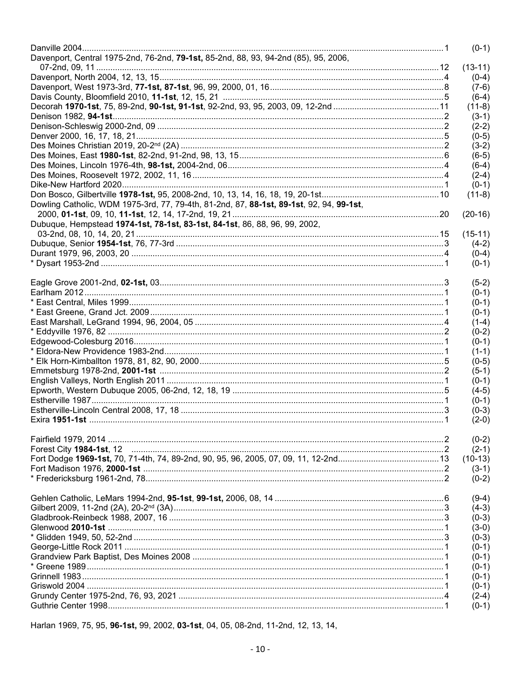|                                                                                         | $(0-1)$   |
|-----------------------------------------------------------------------------------------|-----------|
| Davenport, Central 1975-2nd, 76-2nd, 79-1st, 85-2nd, 88, 93, 94-2nd (85), 95, 2006,     |           |
|                                                                                         | $(13-11)$ |
|                                                                                         | $(0-4)$   |
|                                                                                         | $(7-6)$   |
|                                                                                         | $(6-4)$   |
|                                                                                         | $(11-8)$  |
|                                                                                         | $(3-1)$   |
|                                                                                         | $(2-2)$   |
|                                                                                         | $(0-5)$   |
|                                                                                         | $(3-2)$   |
|                                                                                         | $(6-5)$   |
|                                                                                         | $(6-4)$   |
|                                                                                         | $(2-4)$   |
|                                                                                         | $(0-1)$   |
|                                                                                         | $(11-8)$  |
| Dowling Catholic, WDM 1975-3rd, 77, 79-4th, 81-2nd, 87, 88-1st, 89-1st, 92, 94, 99-1st, |           |
|                                                                                         | $(20-16)$ |
| Dubuque, Hempstead 1974-1st, 78-1st, 83-1st, 84-1st, 86, 88, 96, 99, 2002,              |           |
|                                                                                         | $(15-11)$ |
|                                                                                         | $(4-2)$   |
|                                                                                         | $(0-4)$   |
|                                                                                         | $(0-1)$   |
|                                                                                         |           |
|                                                                                         | $(5-2)$   |
|                                                                                         | $(0-1)$   |
|                                                                                         | $(0-1)$   |
|                                                                                         | $(0-1)$   |
|                                                                                         | $(1-4)$   |
|                                                                                         | $(0-2)$   |
|                                                                                         | $(0-1)$   |
|                                                                                         | $(1-1)$   |
|                                                                                         | $(0-5)$   |
|                                                                                         | $(5-1)$   |
|                                                                                         | $(0-1)$   |
|                                                                                         | $(4-5)$   |
|                                                                                         | $(0-1)$   |
|                                                                                         | $(0-3)$   |
|                                                                                         | $(2-0)$   |
|                                                                                         |           |
|                                                                                         | $(0-2)$   |
|                                                                                         | $(2-1)$   |
|                                                                                         | $(10-13)$ |
|                                                                                         | $(3-1)$   |
|                                                                                         | $(0-2)$   |
|                                                                                         |           |
|                                                                                         | $(9-4)$   |
|                                                                                         | $(4-3)$   |
|                                                                                         | $(0-3)$   |
|                                                                                         | $(3-0)$   |
|                                                                                         | $(0-3)$   |
|                                                                                         | $(0-1)$   |
|                                                                                         | $(0-1)$   |
|                                                                                         | $(0-1)$   |
|                                                                                         | $(0-1)$   |
|                                                                                         | $(0-1)$   |
|                                                                                         | $(2-4)$   |
|                                                                                         | $(0-1)$   |
|                                                                                         |           |

Harlan 1969, 75, 95, 96-1st, 99, 2002, 03-1st, 04, 05, 08-2nd, 11-2nd, 12, 13, 14,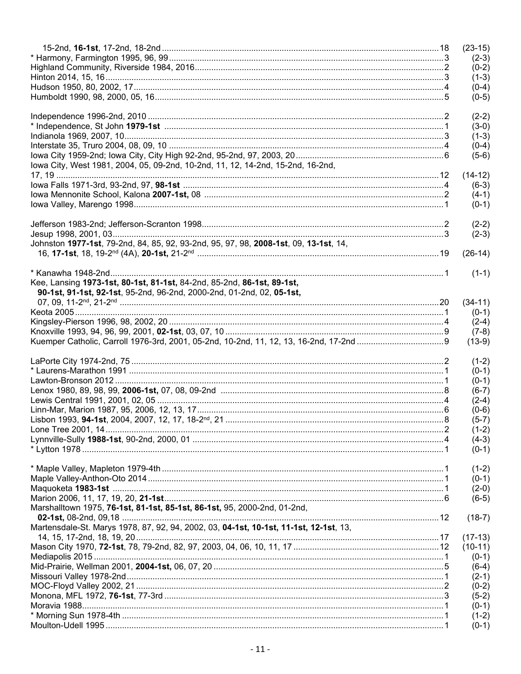|                                                                                       | $(23-15)$            |
|---------------------------------------------------------------------------------------|----------------------|
|                                                                                       | $(2-3)$              |
|                                                                                       | $(0-2)$              |
|                                                                                       | $(1-3)$              |
|                                                                                       | $(0-4)$              |
|                                                                                       | $(0-5)$              |
|                                                                                       |                      |
|                                                                                       | $(2-2)$              |
|                                                                                       | $(3-0)$              |
|                                                                                       | $(1-3)$              |
|                                                                                       | $(0-4)$              |
|                                                                                       | $(5-6)$              |
| lowa City, West 1981, 2004, 05, 09-2nd, 10-2nd, 11, 12, 14-2nd, 15-2nd, 16-2nd,       |                      |
|                                                                                       | $(14-12)$<br>$(6-3)$ |
|                                                                                       | $(4-1)$              |
|                                                                                       | $(0-1)$              |
|                                                                                       |                      |
|                                                                                       | $(2-2)$              |
|                                                                                       | $(2-3)$              |
| Johnston 1977-1st, 79-2nd, 84, 85, 92, 93-2nd, 95, 97, 98, 2008-1st, 09, 13-1st, 14,  |                      |
|                                                                                       | $(26-14)$            |
|                                                                                       |                      |
|                                                                                       | $(1-1)$              |
| Kee, Lansing 1973-1st, 80-1st, 81-1st, 84-2nd, 85-2nd, 86-1st, 89-1st,                |                      |
| 90-1st, 91-1st, 92-1st, 95-2nd, 96-2nd, 2000-2nd, 01-2nd, 02, 05-1st,                 |                      |
|                                                                                       | $(34-11)$            |
|                                                                                       | $(0-1)$              |
|                                                                                       | $(2-4)$              |
|                                                                                       | $(7-8)$              |
|                                                                                       | $(13-9)$             |
|                                                                                       |                      |
|                                                                                       |                      |
|                                                                                       | $(1-2)$              |
|                                                                                       | $(0-1)$              |
|                                                                                       | $(0-1)$              |
|                                                                                       | $(6-7)$              |
|                                                                                       | $(2-4)$              |
|                                                                                       | $(0-6)$              |
|                                                                                       | $(5-7)$              |
|                                                                                       | $(1-2)$              |
|                                                                                       | $(4-3)$<br>$(0-1)$   |
|                                                                                       |                      |
|                                                                                       | $(1-2)$              |
|                                                                                       | $(0-1)$              |
|                                                                                       | $(2-0)$              |
|                                                                                       | $(6-5)$              |
| Marshalltown 1975, 76-1st, 81-1st, 85-1st, 86-1st, 95, 2000-2nd, 01-2nd,              |                      |
|                                                                                       | $(18-7)$             |
| Martensdale-St. Marys 1978, 87, 92, 94, 2002, 03, 04-1st, 10-1st, 11-1st, 12-1st, 13, |                      |
|                                                                                       | $(17-13)$            |
|                                                                                       | $(10-11)$            |
|                                                                                       | $(0-1)$              |
|                                                                                       | $(6-4)$              |
|                                                                                       | $(2-1)$              |
|                                                                                       | $(0-2)$              |
|                                                                                       | $(5-2)$              |
|                                                                                       | $(0-1)$              |
|                                                                                       | $(1-2)$<br>$(0-1)$   |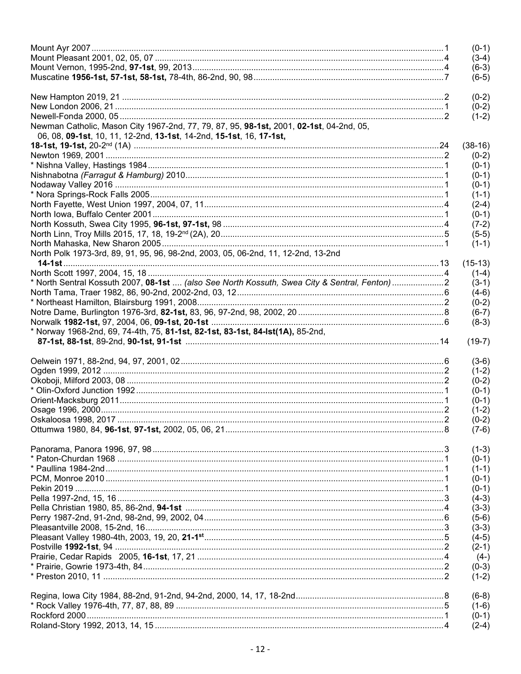|                                                                                                                                                                | $(0-1)$            |
|----------------------------------------------------------------------------------------------------------------------------------------------------------------|--------------------|
|                                                                                                                                                                | $(3-4)$            |
|                                                                                                                                                                | $(6-3)$            |
|                                                                                                                                                                | $(6-5)$            |
|                                                                                                                                                                | $(0-2)$            |
|                                                                                                                                                                |                    |
|                                                                                                                                                                | $(0-2)$            |
|                                                                                                                                                                | $(1-2)$            |
| Newman Catholic, Mason City 1967-2nd, 77, 79, 87, 95, 98-1st, 2001, 02-1st, 04-2nd, 05,<br>06, 08, 09-1st, 10, 11, 12-2nd, 13-1st, 14-2nd, 15-1st, 16, 17-1st, |                    |
|                                                                                                                                                                | $(38-16)$          |
|                                                                                                                                                                | $(0-2)$            |
|                                                                                                                                                                | $(0-1)$            |
|                                                                                                                                                                | $(0-1)$            |
|                                                                                                                                                                | $(0-1)$            |
|                                                                                                                                                                | $(1-1)$            |
|                                                                                                                                                                | $(2-4)$            |
|                                                                                                                                                                | $(0-1)$            |
|                                                                                                                                                                | $(7-2)$            |
|                                                                                                                                                                | $(5-5)$            |
|                                                                                                                                                                | $(1-1)$            |
| North Polk 1973-3rd, 89, 91, 95, 96, 98-2nd, 2003, 05, 06-2nd, 11, 12-2nd, 13-2nd                                                                              |                    |
|                                                                                                                                                                | $(15-13)$          |
|                                                                                                                                                                | $(1-4)$            |
| * North Sentral Kossuth 2007, 08-1st  (also See North Kossuth, Swea City & Sentral, Fenton) 2                                                                  | $(3-1)$            |
|                                                                                                                                                                | $(4-6)$            |
|                                                                                                                                                                | $(0-2)$            |
|                                                                                                                                                                | $(6-7)$            |
|                                                                                                                                                                | $(8-3)$            |
| * Norway 1968-2nd, 69, 74-4th, 75, 81-1st, 82-1st, 83-1st, 84-1st(1A), 85-2nd,                                                                                 |                    |
|                                                                                                                                                                | $(19-7)$           |
|                                                                                                                                                                | $(3-6)$            |
|                                                                                                                                                                | $(1-2)$            |
|                                                                                                                                                                | $(0-2)$            |
|                                                                                                                                                                | $(0-1)$            |
|                                                                                                                                                                | $(0-1)$            |
|                                                                                                                                                                | $(1-2)$            |
|                                                                                                                                                                | $(0-2)$            |
|                                                                                                                                                                | $(7-6)$            |
|                                                                                                                                                                |                    |
|                                                                                                                                                                | $(1-3)$            |
|                                                                                                                                                                | $(0-1)$            |
|                                                                                                                                                                | $(1-1)$            |
|                                                                                                                                                                | $(0-1)$            |
|                                                                                                                                                                | $(0-1)$            |
|                                                                                                                                                                | $(4-3)$            |
|                                                                                                                                                                | $(3-3)$            |
|                                                                                                                                                                | $(5-6)$            |
|                                                                                                                                                                | $(3-3)$            |
|                                                                                                                                                                | $(4-5)$            |
|                                                                                                                                                                | $(2-1)$            |
|                                                                                                                                                                | $(4-)$             |
|                                                                                                                                                                | $(0-3)$            |
|                                                                                                                                                                | $(1-2)$            |
|                                                                                                                                                                |                    |
|                                                                                                                                                                | $(6-8)$            |
|                                                                                                                                                                | $(1-6)$            |
|                                                                                                                                                                |                    |
|                                                                                                                                                                | $(0-1)$<br>$(2-4)$ |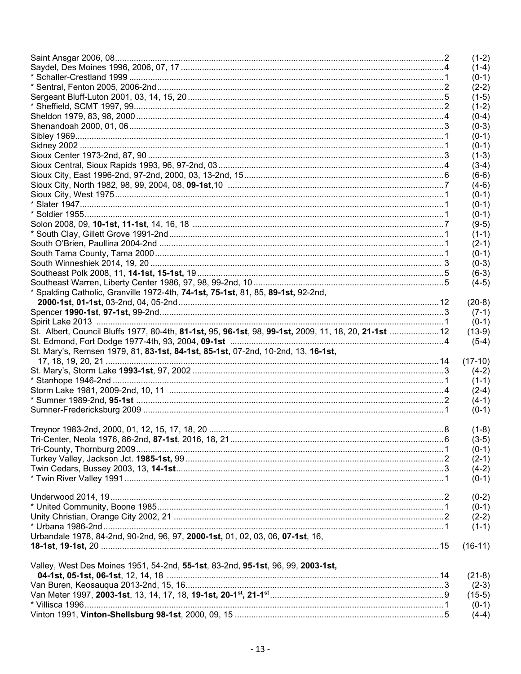|                                                                                                      | $(1-2)$            |
|------------------------------------------------------------------------------------------------------|--------------------|
|                                                                                                      | $(1-4)$            |
|                                                                                                      | $(0-1)$            |
|                                                                                                      | $(2-2)$            |
|                                                                                                      | $(1-5)$            |
|                                                                                                      | $(1-2)$            |
|                                                                                                      | $(0-4)$            |
|                                                                                                      | $(0-3)$            |
|                                                                                                      | $(0-1)$            |
|                                                                                                      | $(0-1)$            |
|                                                                                                      | $(1-3)$            |
|                                                                                                      | $(3-4)$            |
|                                                                                                      | $(6-6)$            |
|                                                                                                      | $(4-6)$            |
|                                                                                                      | $(0-1)$            |
|                                                                                                      | $(0-1)$            |
|                                                                                                      | $(0-1)$            |
|                                                                                                      | $(9-5)$            |
|                                                                                                      | $(1-1)$            |
|                                                                                                      | $(2-1)$            |
|                                                                                                      | $(0-1)$            |
|                                                                                                      | $(0-3)$            |
|                                                                                                      | $(6-3)$            |
|                                                                                                      | $(4-5)$            |
|                                                                                                      |                    |
| * Spalding Catholic, Granville 1972-4th, 74-1st, 75-1st, 81, 85, 89-1st, 92-2nd,                     |                    |
|                                                                                                      | $(20-8)$           |
|                                                                                                      | $(7-1)$            |
|                                                                                                      | $(0-1)$            |
| St. Albert, Council Bluffs 1977, 80-4th, 81-1st, 95, 96-1st, 98, 99-1st, 2009, 11, 18, 20, 21-1st 12 | $(13-9)$           |
|                                                                                                      | $(5-4)$            |
| St. Mary's, Remsen 1979, 81, 83-1st, 84-1st, 85-1st, 07-2nd, 10-2nd, 13, 16-1st,                     |                    |
|                                                                                                      | $(17-10)$          |
|                                                                                                      | $(4-2)$            |
|                                                                                                      | $(1-1)$            |
|                                                                                                      | $(2-4)$            |
|                                                                                                      | $(4-1)$            |
|                                                                                                      | $(0-1)$            |
|                                                                                                      |                    |
|                                                                                                      | $(1-8)$            |
|                                                                                                      | $(3-5)$            |
|                                                                                                      | $(0-1)$            |
|                                                                                                      | $(2-1)$            |
|                                                                                                      | $(4-2)$            |
|                                                                                                      | $(0-1)$            |
|                                                                                                      |                    |
|                                                                                                      | $(0-2)$            |
|                                                                                                      | $(0-1)$            |
|                                                                                                      | $(2-2)$            |
|                                                                                                      | $(1-1)$            |
| Urbandale 1978, 84-2nd, 90-2nd, 96, 97, 2000-1st, 01, 02, 03, 06, 07-1st, 16,                        |                    |
|                                                                                                      | $(16-11)$          |
|                                                                                                      |                    |
| Valley, West Des Moines 1951, 54-2nd, 55-1st, 83-2nd, 95-1st, 96, 99, 2003-1st,                      |                    |
|                                                                                                      | $(21-8)$           |
|                                                                                                      | $(2-3)$            |
|                                                                                                      | $(15-5)$           |
|                                                                                                      |                    |
|                                                                                                      | $(0-1)$<br>$(4-4)$ |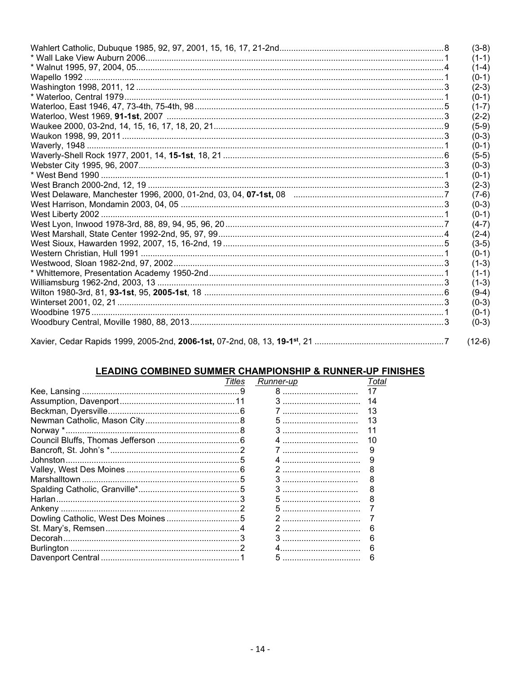| $(3-8)$  |
|----------|
| $(1-1)$  |
| $(1-4)$  |
| $(0-1)$  |
| $(2-3)$  |
| $(0-1)$  |
| $(1-7)$  |
| $(2-2)$  |
| $(5-9)$  |
| $(0-3)$  |
| $(0-1)$  |
| $(5-5)$  |
| $(0-3)$  |
| $(0-1)$  |
| $(2-3)$  |
| $(7-6)$  |
| $(0-3)$  |
| $(0-1)$  |
| $(4-7)$  |
| $(2-4)$  |
| $(3-5)$  |
| $(0-1)$  |
| $(1-3)$  |
| $(1-1)$  |
| $(1-3)$  |
| $(9-4)$  |
| $(0-3)$  |
| $(0-1)$  |
| $(0-3)$  |
|          |
| $(12-6)$ |

# <u>LEADING COMBINED SUMMER CHAMPIONSHIP & RUNNER-UP FINISHES</u><br>
Titles Runner-up Total

| 17<br>14<br>13<br>13<br>10<br>9<br>9<br>8<br>8<br>Dowling Catholic, West Des Moines5<br>6<br>6<br>5 | Titles | Runner-up | Tota |
|-----------------------------------------------------------------------------------------------------|--------|-----------|------|
|                                                                                                     |        |           |      |
|                                                                                                     |        |           |      |
|                                                                                                     |        |           |      |
|                                                                                                     |        |           |      |
|                                                                                                     |        |           |      |
|                                                                                                     |        |           |      |
|                                                                                                     |        |           |      |
|                                                                                                     |        |           |      |
|                                                                                                     |        |           |      |
|                                                                                                     |        |           |      |
|                                                                                                     |        |           |      |
|                                                                                                     |        |           |      |
|                                                                                                     |        |           |      |
|                                                                                                     |        |           |      |
|                                                                                                     |        |           |      |
|                                                                                                     |        |           |      |
|                                                                                                     |        |           |      |
|                                                                                                     |        |           |      |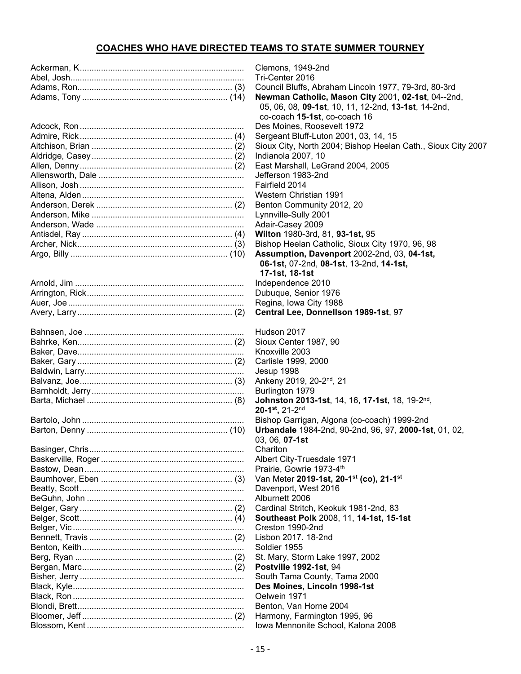## **COACHES WHO HAVE DIRECTED TEAMS TO STATE SUMMER TOURNEY**

| Hudson 2017                                       |
|---------------------------------------------------|
| Sioux Center 1987, 90                             |
| Knoxville 2003                                    |
| Carlisle 1999, 2000                               |
| Jesup 1998                                        |
| Ankeny 2019, 20-2 <sup>nd</sup> , 21              |
| Burlington 1979                                   |
| Johnston 2013-1st, 14, 16, 17-1st, 1              |
| $20-1^{st}$ , 21-2 <sup>nd</sup>                  |
| Bishop Garrigan, Algona (co-coach) 1              |
| Urbandale 1984-2nd, 90-2nd, 96, 97,               |
| 03, 06, 07-1st                                    |
| Chariton                                          |
| Albert City-Truesdale 1971                        |
| Prairie, Gowrie 1973-4th                          |
| Van Meter 2019-1st, 20-1 <sup>st</sup> (co), 21-1 |
| Davenport, West 2016                              |
| Alburnett 2006                                    |
| Cardinal Stritch, Keokuk 1981-2nd, 83             |
| Southeast Polk 2008, 11, 14-1st, 15-              |
| Creston 1990-2nd                                  |
| Lisbon 2017, 18-2nd                               |
| Soldier 1955                                      |
| St. Mary, Storm Lake 1997, 2002                   |
| Postville 1992-1st, 94                            |
| South Tama County, Tama 2000                      |
| Des Moines, Lincoln 1998-1st                      |
| Oelwein 1971                                      |
| Benton, Van Horne 2004                            |
| Harmony, Farmington 1995, 96                      |
| Iowa Mennonite School, Kalona 2008                |

Clemons, 1949-2nd Tri-Center 2016 Council Bluffs, Abraham Lincoln 1977, 79-3rd, 80-3rd **Newman Catholic, Mason City 2001, 02-1st, 04--2nd,**  05, 06, 08, **09-1st**, 10, 11, 12-2nd, **13-1st**, 14-2nd, co-coach **15-1st**, co-coach 16 Des Moines, Roosevelt 1972 Sergeant Bluff-Luton 2001, 03, 14, 15 Sioux City, North 2004; Bishop Heelan Cath., Sioux City 2007 Indianola 2007, 10 East Marshall, LeGrand 2004, 2005 Jefferson 1983-2nd Fairfield 2014 **Western Christian 1991** Benton Community 2012, 20 Lynnville-Sully 2001 Adair-Casey 2009 Antisdel, Ray ................................................................ (4) **Wilton** 1980-3rd, 81, **93-1st,** 95 Bishop Heelan Catholic, Sioux City 1970, 96, 98 **Assumption, Davenport** 2002-2nd, 03, 04-1st,  **06-1st,** 07-2nd, **08-1st**, 13-2nd, **14-1st, 17-1st, 18-1st** Independence 2010 Dubuque, Senior 1976 Regina, Iowa City 1988 Avery, Larry .................................................................. (2) **Central Lee, Donnellson 1989-1st**, 97 Hudson 2017 Sioux Center 1987, 90 Knoxville 2003 Carlisle 1999, 2000 Jesup 1998 Balkeny 2019, 20-2<sup>nd</sup>, 21 Burlington 1979 Barta, Michael .............................................................. (8) **Johnston 2013-1st**, 14, 16, **17-1st**, 18, 19-2nd, 20-1<sup>st</sup>, 21-2<sup>nd</sup> Bishop Garrigan, Algona (co-coach) 1999-2nd Barton, Denny ............................................................ (10) **Urbandale** 1984-2nd, 90-2nd, 96, 97, **2000-1st**, 01, 02, 03, 06, **07-1st** Albert City-Truesdale 1971 Prairie, Gowrie 1973-4<sup>th</sup> Van Meter 2019-1st, 20-1<sup>st</sup> (co), 21-1<sup>st</sup> Davenport, West 2016 Alburnett 2006 Gardinal Stritch, Keokuk 1981-2nd, 83 Belger, Scott................................................................. (4) **Southeast Polk** 2008, 11, **14-1st, 15-1st** Creston 1990-2nd Lisbon 2017. 18-2nd Soldier 1955 St. Mary, Storm Lake 1997, 2002 **Postville 1992-1st**, 94 South Tama County, Tama 2000 Des Moines, Lincoln 1998-1st Oelwein 1971 Benton, Van Horne 2004 Harmony, Farmington 1995, 96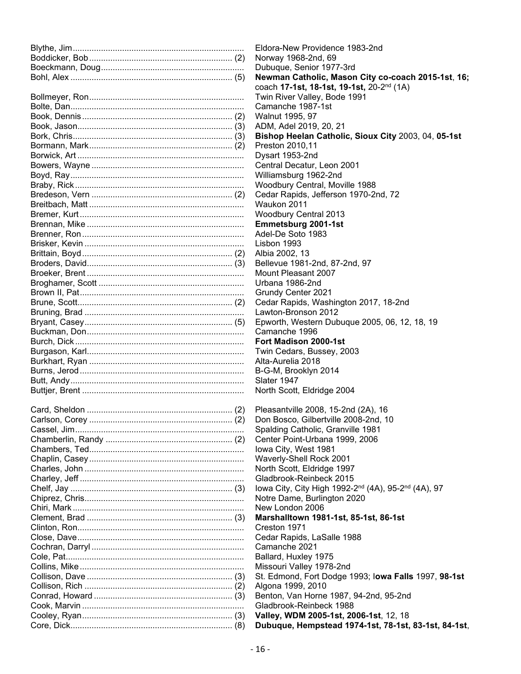| Eldora-New Providence 1983-2nd                        |
|-------------------------------------------------------|
| Norway 1968-2nd, 69                                   |
| Dubuque, Senior 1977-3rd                              |
| Newman Catholic, Mason City c                         |
| coach 17-1st, 18-1st, 19-1st, 20-2                    |
| Twin River Valley, Bode 1991                          |
| Camanche 1987-1st                                     |
| Walnut 1995, 97                                       |
| ADM, Adel 2019, 20, 21                                |
| <b>Bishop Heelan Catholic, Sioux 0</b>                |
| Preston 2010,11                                       |
| Dysart 1953-2nd                                       |
| Central Decatur, Leon 2001                            |
| Williamsburg 1962-2nd                                 |
| Woodbury Central, Moville 1988                        |
| Cedar Rapids, Jefferson 1970-2nd<br>Waukon 2011       |
| Woodbury Central 2013                                 |
| Emmetsburg 2001-1st                                   |
| Adel-De Soto 1983                                     |
| Lisbon 1993                                           |
| Albia 2002, 13                                        |
| Bellevue 1981-2nd, 87-2nd, 97                         |
| Mount Pleasant 2007                                   |
| Urbana 1986-2nd                                       |
| Grundy Center 2021                                    |
| Cedar Rapids, Washington 2017,                        |
| Lawton-Bronson 2012                                   |
| Epworth, Western Dubuque 2005,                        |
| Camanche 1996                                         |
| Fort Madison 2000-1st                                 |
| Twin Cedars, Bussey, 2003                             |
| Alta-Aurelia 2018                                     |
| B-G-M, Brooklyn 2014                                  |
| Slater 1947                                           |
| North Scott, Eldridge 2004                            |
|                                                       |
| Pleasantville 2008, 15-2nd (2A), 1                    |
| Don Bosco, Gilbertville 2008-2nd,                     |
| Spalding Catholic, Granville 1981                     |
| Center Point-Urbana 1999, 2006                        |
| Iowa City, West 1981                                  |
| Waverly-Shell Rock 2001<br>North Scott, Eldridge 1997 |
| Gladbrook-Reinbeck 2015                               |
| lowa City, City High 1992-2 <sup>nd</sup> (4A)        |
| Notre Dame, Burlington 2020                           |
| New London 2006                                       |
| Marshalltown 1981-1st, 85-1st, 8                      |
| Creston 1971                                          |
| Cedar Rapids, LaSalle 1988                            |
| Camanche 2021                                         |
| Ballard, Huxley 1975                                  |
| Missouri Valley 1978-2nd                              |
| St. Edmond, Fort Dodge 1993; lov                      |
| Algona 1999, 2010                                     |
| Benton, Van Horne 1987, 94-2nd,                       |
| Gladbrook-Reinbeck 1988                               |
| Valley, WDM 2005-1st, 2006-1st,                       |
| Dubuque, Hempstead 1974-1st,                          |

v 1968-2nd, 69 ue. Senior 1977-3rd an Catholic, Mason City co-coach 2015-1st, 16; coach **17-1st, 18-1st, 19-1st,** 20-2nd (1A) liver Valley, Bode 1991 าche 1987-1st Adel 2019, 20, 21 **B** Heelan Catholic, Sioux City 2003, 04, 05-1st n 2010,11<br>.1953-2nd Il Decatur, Leon 2001 nsburg 1962-2nd Bury Central, Moville 1988 Rapids, Jefferson 1970-2nd, 72 bury Central 2013 tsburg 2001-1st e Soto 1983<br>.1993 Je 1981-2nd, 87-2nd, 97 Pleasant 2007 a 1986-2nd V Center 2021 Rapids, Washington 2017, 18-2nd Bronson 2012. th, Western Dubuque 2005, 06, 12, 18, 19<br>ìche 1996 **adison 2000-1st** edars, Bussey, 2003<sup>.</sup> relia 2018 , Brooklyn 2014 Scott, Eldridge 2004 ntville 2008, 15-2nd (2A), 16 osco, Gilbertville 2008-2nd, 10 ng Catholic, Granville 1981 Point-Urbana 1999, 2006  $i$ ity, West 1981 ly-Shell Rock 2001 Scott, Eldridge 1997 ook-Reinbeck 2015  $\Sigma$ ity, City High 1992-2<sup>nd</sup> (4A), 95-2<sup>nd</sup> (4A), 97 Dame, Burlington 2020 ondon 2006 Clement, Brad .............................................................. (3) **Marshalltown 1981-1st, 85-1st, 86-1st** Rapids, LaSalle 1988 าche 2021 I, Huxley 1975 Iri Valley 1978-2nd Collison, Dave .............................................................. (3) St. Edmond, Fort Dodge 1993; I**owa Falls** 1997, **98-1st** 1999, 2010 l, Van Horne 1987, 94-2nd, 95-2nd ook-Reinbeck 1988 Cooley, Ryan................................................................ (3) **Valley, WDM 2005-1st, 2006-1st**, 12, 18 Core, Dick..................................................................... (8) **Dubuque, Hempstead 1974-1st, 78-1st, 83-1st, 84-1st**,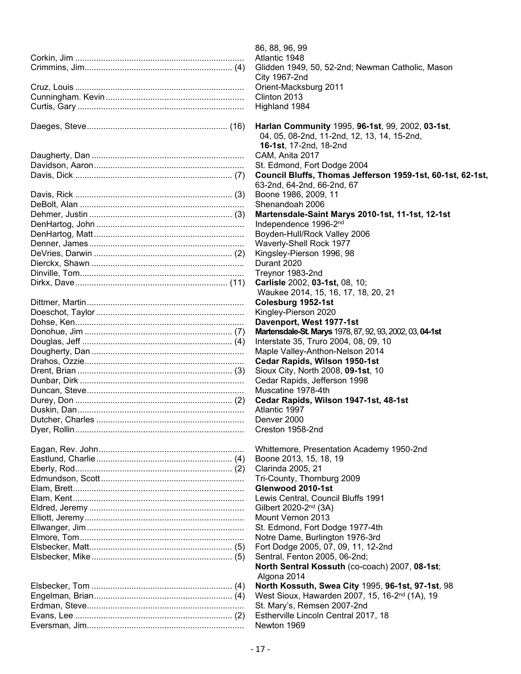| 86, 88, 96, 99                                             |
|------------------------------------------------------------|
| Atlantic 1948                                              |
| Glidden 1949, 50, 52-2nd; Newman Catholic, Mason           |
| City 1967-2nd                                              |
| Orient-Macksburg 2011                                      |
| Clinton 2013                                               |
| Highland 1984                                              |
|                                                            |
| Harlan Community 1995, 96-1st, 99, 2002, 03-1st,           |
| 04, 05, 08-2nd, 11-2nd, 12, 13, 14, 15-2nd,                |
| 16-1st, 17-2nd, 18-2nd                                     |
| CAM, Anita 2017                                            |
| St. Edmond, Fort Dodge 2004                                |
| Council Bluffs, Thomas Jefferson 1959-1st, 60-1st, 62-1st, |
| 63-2nd, 64-2nd, 66-2nd, 67                                 |
| Boone 1986, 2009, 11                                       |
| Shenandoah 2006                                            |
| Martensdale-Saint Marys 2010-1st, 11-1st, 12-1st           |
| Independence 1996-2nd                                      |
| Boyden-Hull/Rock Valley 2006                               |
| Waverly-Shell Rock 1977                                    |
| Kingsley-Pierson 1996, 98                                  |
| Durant 2020                                                |
| Treynor 1983-2nd                                           |
|                                                            |
| Carlisle 2002, 03-1st, 08, 10;                             |
| Waukee 2014, 15, 16, 17, 18, 20, 21                        |
| Colesburg 1952-1st                                         |
| Kingley-Pierson 2020                                       |
| Davenport, West 1977-1st                                   |
| Martensdale-St. Marys 1978, 87, 92, 93, 2002, 03, 04-1st   |
| Interstate 35, Truro 2004, 08, 09, 10                      |
| Maple Valley-Anthon-Nelson 2014                            |
| Cedar Rapids, Wilson 1950-1st                              |
| Sioux City, North 2008, 09-1st, 10                         |
| Cedar Rapids, Jefferson 1998                               |
| Muscatine 1978-4th                                         |
| Cedar Rapids, Wilson 1947-1st, 48-1st                      |
| Atlantic 1997                                              |
| Denver 2000                                                |
| Creston 1958-2nd                                           |
|                                                            |
| Whittemore, Presentation Academy 1950-2nd                  |
| Boone 2013, 15, 18, 19                                     |
| Clarinda 2005, 21                                          |
| Tri-County, Thornburg 2009                                 |
| Glenwood 2010-1st                                          |
| Lewis Central, Council Bluffs 1991                         |
| Gilbert 2020-2 <sup>nd</sup> (3A)                          |
| Mount Vernon 2013                                          |
| St. Edmond, Fort Dodge 1977-4th                            |
| Notre Dame, Burlington 1976-3rd                            |
| Fort Dodge 2005, 07, 09, 11, 12-2nd                        |
| Sentral, Fenton 2005, 06-2nd;                              |
| North Sentral Kossuth (co-coach) 2007, 08-1st;             |
| Algona 2014                                                |
| North Kossuth, Swea City 1995, 96-1st, 97-1st, 98          |
| West Sioux, Hawarden 2007, 15, 16-2 <sup>nd</sup> (1A), 19 |
| St. Mary's, Remsen 2007-2nd                                |
|                                                            |
| Estherville Lincoln Central 2017, 18                       |
| Newton 1969                                                |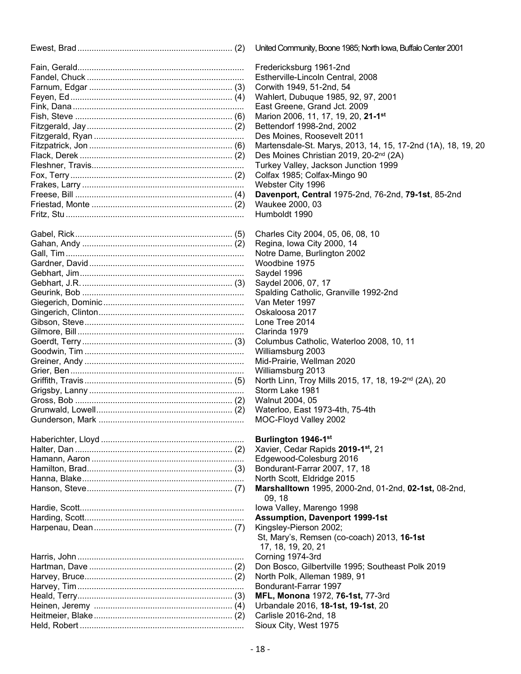| <b>United Commu</b>    |
|------------------------|
| Fredericksbu           |
| Estherville-L          |
| Corwith 1949           |
| Wahlert, Duk           |
| <b>East Greene</b>     |
| Marion 2006            |
| <b>Bettendorf 19</b>   |
| Des Moines,            |
|                        |
| Martensdale            |
| Des Moines             |
| <b>Turkey Valle</b>    |
| Colfax 1985;           |
| Webster City           |
| Davenport,             |
| Waukee 200             |
| Humboldt 19            |
| <b>Charles City</b>    |
| Regina, Iowa           |
| Notre Dame.            |
| Woodbine 19            |
|                        |
| Saydel 1996            |
| Saydel 2006            |
| Spalding Ca            |
| Van Meter 1            |
| Oskaloosa 2            |
| Lone Tree 2            |
| Clarinda 197           |
| Columbus C             |
| Williamsburg           |
| Mid-Prairie, V         |
| Williamsburg           |
| North Linn, T          |
| Storm Lake             |
|                        |
| Walnut 2004            |
| Waterloo, Ea           |
| MOC-Floyd              |
| <b>Burlington</b>      |
| Xavier, Ceda           |
| Edgewood-C             |
| Bondurant-F            |
| North Scott,           |
| <b>Marshalltow</b>     |
| 09, 18<br>lowa Valley, |
| <b>Assumptior</b>      |
| Kingsley-Pie           |
| St, Mary's, F          |
| 17, 18, 19,            |
| Corning 197            |
| Don Bosco,             |
| North Polk, A          |
|                        |
| Bondurant-F            |
| <b>MFL, Monor</b>      |
| Urbandale 2            |
| Carlisle 2016          |

Held, Robert ...................................................................... Sioux City, West 1975

ed Community, Boone 1985; North Iowa, Buffalo Center 2001

dericksburg 1961-2nd herville-Lincoln Central, 2008 with 1949, 51-2nd, 54 hlert, Dubuque 1985, 92, 97, 2001 t Greene, Grand Jct. 2009 fion 2006, 11, 17, 19, 20, 21-1<sup>st</sup> endorf 1998-2nd, 2002 Moines, Roosevelt 2011 tensdale-St. Marys, 2013, 14, 15, 17-2nd (1A), 18, 19, 20 Moines Christian 2019, 20-2<sup>nd</sup> (2A) key Valley, Jackson Junction 1999 fax 1985; Colfax-Mingo 90 bster City 1996 Freese, Bill ................................................................... (4) **Davenport, Central** 1975-2nd, 76-2nd, **79-1st**, 85-2nd ukee 2000. 03 mboldt 1990

arles City 2004, 05, 06, 08, 10 gina, Iowa City 2000, 14 re Dame, Burlington 2002 odbine 1975<br><sup>,</sup>del 1996 del 2006, 07, 17<sup>,</sup> Iding Catholic, Granville 1992-2nd Meter 1997 aloosa 2017. e. Tree 2014 rinda 1979 umbus Catholic, Waterloo 2008, 10, 11 iamsburg 2003 -Prairie, Wellman 2020 iamsburg 2013 th Linn, Troy Mills 2015, 17, 18, 19-2<sup>nd</sup> (2A), 20 rm Lake 1981 Inut 2004, 05 terloo, East 1973-4th, 75-4th G-Floyd Valley 2002

#### rlington 1946-1<sup>st</sup>

Halter, Dan ................................................................... (2) Xavier, Cedar Rapids **2019-1st,** 21 ewood-Colesburg 2016 durant-Farrar 2007, 17, 18 th Scott, Eldridge 2015 Hanson, Steve.............................................................. (7) **Marshalltown** 1995, 2000-2nd, 01-2nd, **02-1st,** 08-2nd, a Valley, Marengo 1998 **sumption, Davenport 1999-1st** gsley-Pierson 2002; St, Mary's, Remsen (co-coach) 2013, **16-1st** 17, 18, 19, 20, 21 Harris, John....................................................................... Corning 1974-3rd Bosco, Gilbertville 1995; Southeast Polk 2019 th Polk, Alleman 1989, 91 durant-Farrar 1997 L, Monona 1972, 76-1st, 77-3rd Heinen, Jeremy ........................................................... (4) Urbandale 2016, **18-1st, 19-1st**, 20 Carlisle 2016-2nd, 18<br>Sioux City, West 1975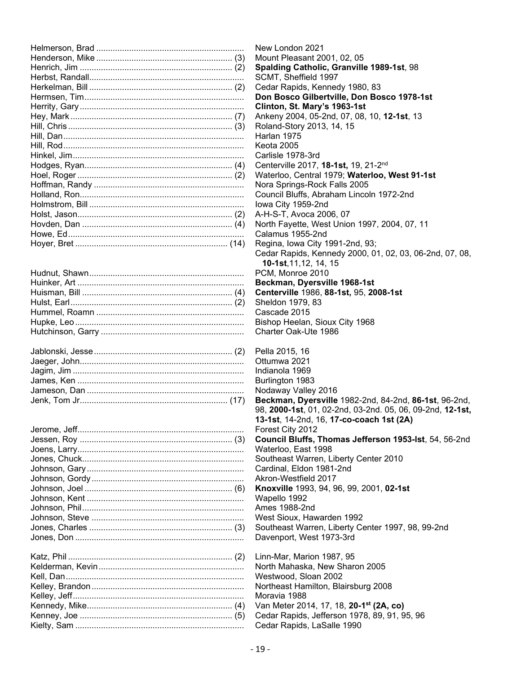| Kalderman Kavin |  |
|-----------------|--|

| Westwood, Sloan 2002 |
|----------------------|
|                      |
|                      |
|                      |
|                      |
|                      |

New London 2021 Mount Pleasant 2001, 02, 05 **Spalding Catholic, Granville 1989-1st**, 98 SCMT, Sheffield 1997 Cedar Rapids, Kennedy 1980, 83 Don Bosco Gilbertville, Don Bosco 1978-1st **Clinton, St. Mary's 1963-1st** Ankeny 2004, 05-2nd, 07, 08, 10, 12-1st, 13 Roland-Story 2013, 14, 15 Harlan 1975 Keota 2005 Carlisle 1978-3rd Genterville 2017, 18-1st, 19, 21-2<sup>nd</sup> Waterloo, Central 1979; Waterloo, West 91-1st Nora Springs-Rock Falls 2005 Council Bluffs, Abraham Lincoln 1972-2nd lowa City 1959-2nd A-H-S-T, Avoca 2006, 07 North Fayette, West Union 1997, 2004, 07, 11 Calamus 1955-2nd Regina, Iowa City 1991-2nd, 93; Cedar Rapids, Kennedy 2000, 01, 02, 03, 06-2nd, 07, 08, **10-1st**,11,12, 14, 15 PCM. Monroe 2010 Beckman, Dyersville 1968-1st Huisman, Bill ................................................................ (4) **Centerville** 1986, **88-1st,** 95, **2008-1st** Sheldon 1979, 83 Cascade 2015 Bishop Heelan, Sioux City 1968 Charter Oak-Ute 1986 Pella 2015, 16 Ottumwa 2021 Indianola 1969 Burlington 1983 Nodaway Valley 2016 Beckman, Dyersville 1982-2nd, 84-2nd, 86-1st, 96-2nd, 98, **2000-1st**, 01, 02-2nd, 03-2nd. 05, 06, 09-2nd, **12-1st, 13-1st**, 14-2nd, 16, **17-co-coach 1st (2A)**<br>Forest City 2012 Forest City 2012 **Council Bluffs, Thomas Jefferson 1953-lst**, 54, 56-2nd Waterloo, East 1998 Southeast Warren, Liberty Center 2010 Cardinal, Eldon 1981-2nd Akron-Westfield 2017 Knoxville 1993, 94, 96, 99, 2001, 02-1st Wapello 1992 Ames 1988-2nd West Sioux, Hawarden 1992 Southeast Warren, Liberty Center 1997, 98, 99-2nd Davenport, West 1973-3rd Linn-Mar, Marion 1987, 95 North Mahaska, New Sharon 2005 Westwood, Sloan 2002 Northeast Hamilton, Blairsburg 2008 Moravia 1988 Kennedy, Mike.............................................................. (4) Van Meter 2014, 17, 18, **20-1st (2A, co)**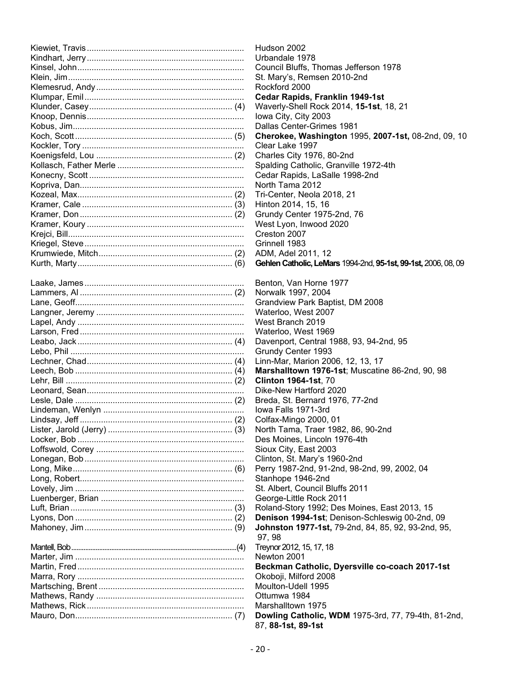| Hudsor        |
|---------------|
| Urbano        |
| Counci        |
| St. Mar       |
| Rockfo        |
| Cedar         |
| Waverl        |
| Iowa C        |
| Dallas        |
| Cherol        |
| Clear L       |
| Charle:       |
| Spaldir       |
| Cedar         |
| North T       |
| Tri-Cer       |
| Hinton        |
| Grundy        |
| West L        |
| Cresto        |
| Grinne        |
| ADM, /        |
| Gehlen        |
|               |
| <b>Benton</b> |
| Norwal        |
| <b>Grand</b>  |
| Waterl        |
| West E        |
| Waterle       |
| Daven         |
| Grundy        |
| Linn-M        |
| Marsh         |
| Clintor       |
| Dike-N        |
| Breda,        |
| lowa F        |
| Colfax-       |
| North 1       |
| Des M         |
| Sioux (       |
| Clinton       |
| Perry 1       |
| Stanho        |
| St. Alb       |
| George        |
| Roland        |
| Deniso        |
| <b>Johns</b>  |
| 97, 98        |
| Treynor       |
| Newtor        |
| <b>Beckn</b>  |
| Okobo         |
| Moulto        |
| Ottumy        |
| Marsha        |
| <b>Dowlir</b> |
|               |

dson 2002 bandale 1978 uncil Bluffs, Thomas Jefferson 1978 Mary's, Remsen 2010-2nd ckford 2000 dar Rapids, Franklin 1949-1st kuerly-Shell Rock 2014, **15-1st**, 18, 21 a City, City 2003 Ilas Center-Grimes 1981  $erokee, Washington 1995, 2007-1st, 08-2nd, 09, 10$ ar Lake 1997. arles City 1976, 80-2nd alding Catholic, Granville 1972-4th dar Rapids, LaSalle 1998-2nd  $rth$  Tama 2012 Center, Neola 2018, 21 ton 2014, 15, 16 undy Center 1975-2nd, 76 st Lyon, Inwood 2020 Krejci, Bill........................................................................... Creston 2007 nnell 1983 M, Adel 2011, 12 Kurth, Marty.................................................................. (6) **Gehlen Catholic, LeMars** 1994-2nd, **95-1st, 99-1st,** 2006, 08, 09 nton. Van Horne 1977 rwalk 1997, 2004 andview Park Baptist, DM 2008 iterloo, West 2007 st Branch 2019 terloo, West 1969 venport, Central 1988, 93, 94-2nd, 95 undy Center 1993 n-Mar, Marion 2006, 12, 13, 17 rshalltown 1976-1st; Muscatine 86-2nd, 90, 98 Lehr, Bill ....................................................................... (2) **Clinton 1964-1st**, 70 e-New Hartford 2020 eda, St. Bernard 1976, 77-2nd va Falls 1971-3rd  $If ax-Mingo 2000, 01$ rth Tama, Traer 1982, 86, 90-2nd s Moines, Lincoln 1976-4th ux City, East 2003 hton, St. Mary's 1960-2nd rry 1987-2nd, 91-2nd, 98-2nd, 99, 2002, 04 nhope 1946-2nd

Albert, Council Bluffs 2011

orge-Little Rock 2011

land-Story 1992; Des Moines, East 2013, 15

nison 1994-1st; Denison-Schleswig 00-2nd, 09 **hnston 1977-1st,** 79-2nd, 84, 85, 92, 93-2nd, 95,<br>′, 98

ynor 2012, 15, 17, 18

wton 2001

ckman Catholic, Dyersville co-coach 2017-1st oboji, Milford 2008 ulton-Udell 1995 umwa 1984 rshalltown 1975 wling Catholic, WDM 1975-3rd, 77, 79-4th, 81-2nd, 87, **88-1st, 89-1st**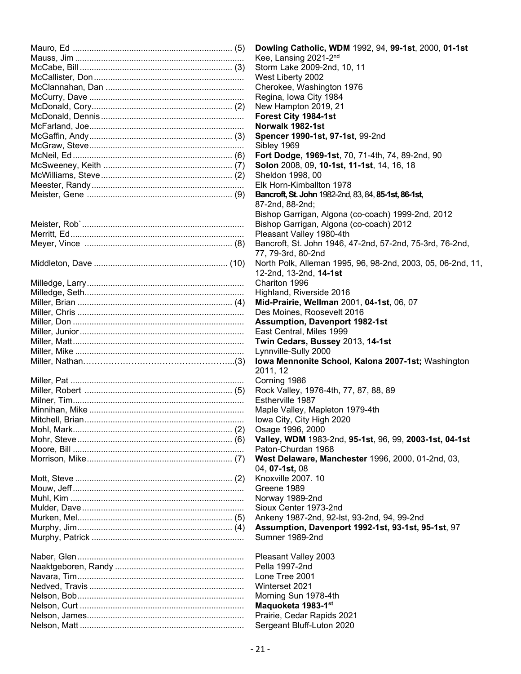| Dowling Catholic, WDM 1992, 94, 99-1st, 2000, 01-1st        |
|-------------------------------------------------------------|
| Kee, Lansing 2021-2nd                                       |
| Storm Lake 2009-2nd, 10, 11                                 |
| West Liberty 2002                                           |
| Cherokee, Washington 1976                                   |
| Regina, Iowa City 1984                                      |
| New Hampton 2019, 21                                        |
| Forest City 1984-1st                                        |
| Norwalk 1982-1st                                            |
|                                                             |
| Spencer 1990-1st, 97-1st, 99-2nd                            |
| Sibley 1969                                                 |
| Fort Dodge, 1969-1st, 70, 71-4th, 74, 89-2nd, 90            |
| Solon 2008, 09, 10-1st, 11-1st, 14, 16, 18                  |
| Sheldon 1998, 00                                            |
| Elk Horn-Kimballton 1978                                    |
| Bancroft, St. John 1982-2nd, 83, 84, 85-1st, 86-1st,        |
| 87-2nd, 88-2nd;                                             |
| Bishop Garrigan, Algona (co-coach) 1999-2nd, 2012           |
| Bishop Garrigan, Algona (co-coach) 2012                     |
| Pleasant Valley 1980-4th                                    |
| Bancroft, St. John 1946, 47-2nd, 57-2nd, 75-3rd, 76-2nd,    |
| 77, 79-3rd, 80-2nd                                          |
| North Polk, Alleman 1995, 96, 98-2nd, 2003, 05, 06-2nd, 11, |
| 12-2nd, 13-2nd, 14-1st                                      |
|                                                             |
| Chariton 1996                                               |
| Highland, Riverside 2016                                    |
| Mid-Prairie, Wellman 2001, 04-1st, 06, 07                   |
| Des Moines, Roosevelt 2016                                  |
| <b>Assumption, Davenport 1982-1st</b>                       |
| East Central, Miles 1999                                    |
| Twin Cedars, Bussey 2013, 14-1st                            |
| Lynnville-Sully 2000                                        |
| Iowa Mennonite School, Kalona 2007-1st; Washington          |
| 2011, 12                                                    |
| Corning 1986                                                |
| Rock Valley, 1976-4th, 77, 87, 88, 89                       |
| Estherville 1987                                            |
| Maple Valley, Mapleton 1979-4th                             |
| Iowa City, City High 2020                                   |
| Osage 1996, 2000                                            |
| Valley, WDM 1983-2nd, 95-1st, 96, 99, 2003-1st, 04-1st      |
| Paton-Churdan 1968                                          |
|                                                             |
| West Delaware, Manchester 1996, 2000, 01-2nd, 03,           |
| 04, <b>07-1st</b> , 08                                      |
| Knoxville 2007. 10                                          |
| Greene 1989                                                 |
| Norway 1989-2nd                                             |
| Sioux Center 1973-2nd                                       |
| Ankeny 1987-2nd, 92-lst, 93-2nd, 94, 99-2nd                 |
| Assumption, Davenport 1992-1st, 93-1st, 95-1st, 97          |
| Sumner 1989-2nd                                             |
|                                                             |
| Pleasant Valley 2003                                        |
| Pella 1997-2nd                                              |
| Lone Tree 2001                                              |
| Winterset 2021                                              |
| Morning Sun 1978-4th                                        |
|                                                             |
| Maquoketa 1983-1st                                          |
| Prairie, Cedar Rapids 2021                                  |
| Sergeant Bluff-Luton 2020                                   |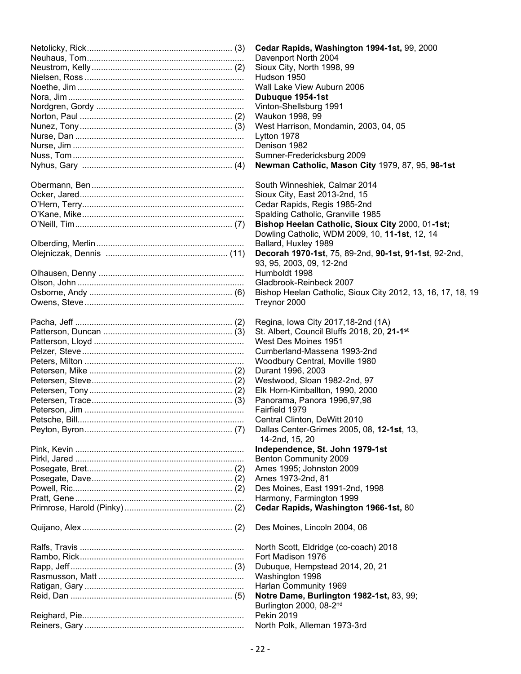|  | Cedar Rapids, Washington 1994-1st, 99, 2000                 |
|--|-------------------------------------------------------------|
|  | Davenport North 2004                                        |
|  | Sioux City, North 1998, 99                                  |
|  | Hudson 1950                                                 |
|  | Wall Lake View Auburn 2006                                  |
|  | Dubuque 1954-1st                                            |
|  | Vinton-Shellsburg 1991                                      |
|  | Waukon 1998, 99                                             |
|  |                                                             |
|  | West Harrison, Mondamin, 2003, 04, 05                       |
|  | Lytton 1978                                                 |
|  | Denison 1982                                                |
|  | Sumner-Fredericksburg 2009                                  |
|  | Newman Catholic, Mason City 1979, 87, 95, 98-1st            |
|  |                                                             |
|  | South Winneshiek, Calmar 2014                               |
|  | Sioux City, East 2013-2nd, 15                               |
|  | Cedar Rapids, Regis 1985-2nd                                |
|  | Spalding Catholic, Granville 1985                           |
|  | Bishop Heelan Catholic, Sioux City 2000, 01-1st;            |
|  | Dowling Catholic, WDM 2009, 10, 11-1st, 12, 14              |
|  | Ballard, Huxley 1989                                        |
|  | Decorah 1970-1st, 75, 89-2nd, 90-1st, 91-1st, 92-2nd,       |
|  | 93, 95, 2003, 09, 12-2nd                                    |
|  | Humboldt 1998                                               |
|  | Gladbrook-Reinbeck 2007                                     |
|  |                                                             |
|  | Bishop Heelan Catholic, Sioux City 2012, 13, 16, 17, 18, 19 |
|  | Treynor 2000                                                |
|  |                                                             |
|  | Regina, Iowa City 2017, 18-2nd (1A)                         |
|  | St. Albert, Council Bluffs 2018, 20, 21-1 <sup>st</sup>     |
|  | West Des Moines 1951                                        |
|  | Cumberland-Massena 1993-2nd                                 |
|  | Woodbury Central, Moville 1980                              |
|  | Durant 1996, 2003                                           |
|  | Westwood, Sloan 1982-2nd, 97                                |
|  | Elk Horn-Kimballton, 1990, 2000                             |
|  | Panorama, Panora 1996,97,98                                 |
|  | Fairfield 1979                                              |
|  | Central Clinton, DeWitt 2010                                |
|  | Dallas Center-Grimes 2005, 08, 12-1st, 13,                  |
|  | 14-2nd, 15, 20                                              |
|  | Independence, St. John 1979-1st                             |
|  | Benton Community 2009                                       |
|  |                                                             |
|  | Ames 1995; Johnston 2009                                    |
|  | Ames 1973-2nd, 81                                           |
|  | Des Moines, East 1991-2nd, 1998                             |
|  | Harmony, Farmington 1999                                    |
|  | Cedar Rapids, Washington 1966-1st, 80                       |
|  | Des Moines, Lincoln 2004, 06                                |
|  |                                                             |
|  | North Scott, Eldridge (co-coach) 2018                       |
|  | Fort Madison 1976                                           |
|  | Dubuque, Hempstead 2014, 20, 21                             |
|  | Washington 1998                                             |
|  | Harlan Community 1969                                       |
|  | Notre Dame, Burlington 1982-1st, 83, 99;                    |
|  | Burlington 2000, 08-2 <sup>nd</sup>                         |
|  | <b>Pekin 2019</b>                                           |
|  | North Polk, Alleman 1973-3rd                                |
|  |                                                             |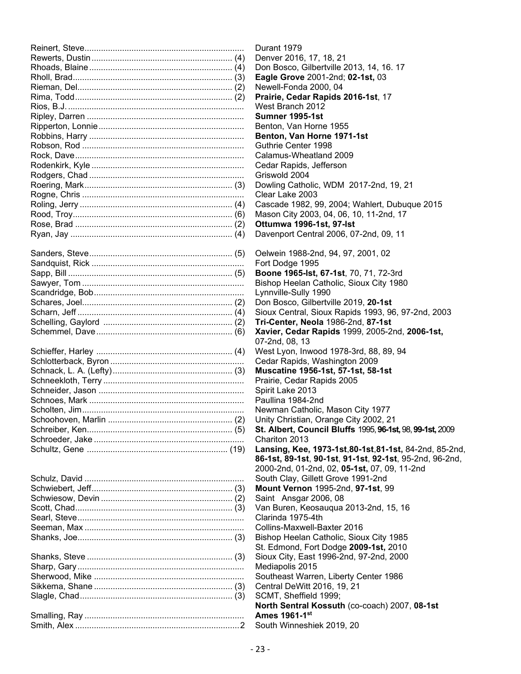| Dι                            |
|-------------------------------|
| De                            |
| Do                            |
| Ea                            |
| Ne                            |
| Pr                            |
| W                             |
| Sι                            |
| Be                            |
| Be                            |
| Gι                            |
| Cε                            |
| Cє                            |
| Gr                            |
| Do                            |
| Ck                            |
| Cε<br>Ma                      |
| Ot                            |
| Dε                            |
|                               |
| Οe                            |
| Fo                            |
| Bo                            |
| <b>Bis</b>                    |
| Ly                            |
| Dc                            |
| Sio                           |
| Tr                            |
| Xa                            |
| 07                            |
| W                             |
| Cє                            |
| Mι                            |
| Pr                            |
| Sp                            |
| Pa                            |
| Ne                            |
| Ur                            |
| <b>St</b>                     |
| Cr                            |
| La                            |
| 86                            |
| 20                            |
| Sc                            |
| M                             |
| Sa                            |
| Va                            |
| Cl                            |
| Co                            |
| Bis                           |
| St.                           |
| Sio                           |
| Me                            |
| Sc                            |
| $C\epsilon$<br>S <sub>C</sub> |
| <b>N</b>                      |
| Ar                            |
| <b>Sc</b>                     |
|                               |

Reinert, Steve.................................................................... Durant 1979 enver 2016, 17, 18, 21 on Bosco, Gilbertville 2013, 14, 16. 17 **Rhole Grove 2001-2nd; 02-1st, 03** ewell-Fonda 2000, 04 rairie, Cedar Rapids 2016-1st, 17 est Branch 2012 Ripley, Darren ................................................................... **Sumner 1995-1st** enton, Van Horne 1955 enton, Van Horne 1971-1st uthrie Center 1998 Roadamus-Wheatland 2009 edar Rapids, Jefferson. riswold 2004 bwling Catholic, WDM 2017-2nd, 19, 21 ear Lake 2003 ascade 1982, 99, 2004; Wahlert, Dubuque 2015 ason City 2003, 04, 06, 10, 11-2nd, 17 Rose, Brad ................................................................... (2) **Ottumwa 1996-1st, 97-lst** avenport Central 2006, 07-2nd, 09, 11 elwein 1988-2nd, 94, 97, 2001, 02 It Dodge 1995 **bone 1965-lst, 67-1st**, 70, 71, 72-3rd shop Heelan Catholic, Sioux City 1980 mnville-Sully 1990 on Bosco, Gilbertville 2019, 20-1st oux Central, Sioux Rapids 1993, 96, 97-2nd, 2003 i-Center, Neola 1986-2nd, 87-1st Schemmel, Dave.......................................................... (6) **Xavier, Cedar Rapids** 1999, 2005-2nd, **2006-1st,**  -2nd, 08, 13 est Lyon, Inwood 1978-3rd, 88, 89, 94 edar Rapids, Washington 2009 Schnack, L. A. (Lefty)................................................... (3) **Muscatine 1956-1st, 57-1st, 58-1st** airie, Cedar Rapids 2005 Sirit Lake 2013 ullina 1984-2nd ewman Catholic, Mason City 1977 hity Christian, Orange City 2002, 21 Schreiber, Ken.............................................................. (5) **St. Albert, Council Bluffs** 1995, **96-1st,**98, **99-1st,** 2009 hariton 2013 **nsing, Kee, 1973-1st, 80-1st, 81-1st, 84-2nd, 85-2nd, 86-1st, 89-1st**, **90-1st**, **91-1st**, **92-1st**, 95-2nd, 96-2nd, 2000-2nd, 01-2nd, 02, **05-1st,** 07, 09, 11-2nd outh Clay, Gillett Grove 1991-2nd Schwiebert, Jeff............................................................ (3) **Mount Vernon** 1995-2nd, **97-1st**, 99  $sint$  Ansgar 2006, 08 an Buren, Keosaugua 2013-2nd, 15, 16 arinda 1975-4th bllins-Maxwell-Baxter 2016 shop Heelan Catholic, Sioux City 1985 .......................................................................................... St. Edmond, Fort Dodge **2009-1st,** 2010 oux City, East 1996-2nd, 97-2nd, 2000 ediapolis 2015 butheast Warren, Liberty Center 1986 entral DeWitt 2016, 19, 21  $CMT.$  Sheffield 1999; **North Sentral Kossuth** (co-coach) 2007, **08-1st** mes 1961-1<sup>st</sup> outh Winneshiek 2019, 20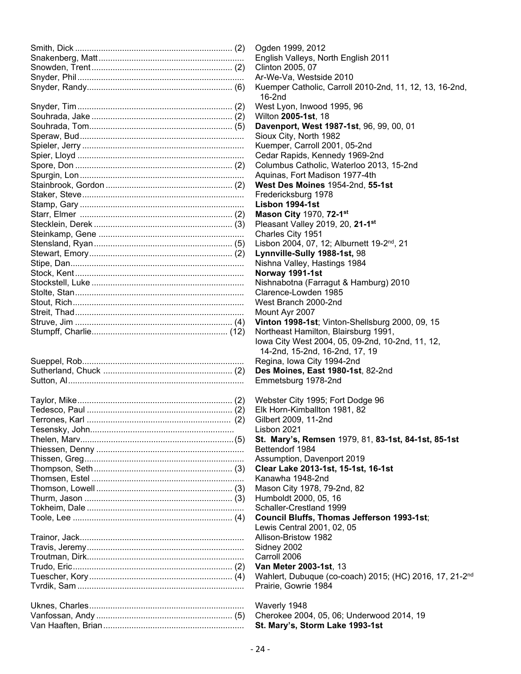| Ogden 1999, 2012                       |
|----------------------------------------|
| English Valleys, North English 201     |
| Clinton 2005, 07                       |
| Ar-We-Va, Westside 2010                |
| Kuemper Catholic, Carroll 2010-2r      |
| 16-2nd                                 |
| West Lyon, Inwood 1995, 96             |
| Wilton 2005-1st, 18                    |
| Davenport, West 1987-1st, 96, 99       |
| Sioux City, North 1982                 |
| Kuemper, Carroll 2001, 05-2nd          |
| Cedar Rapids, Kennedy 1969-2nd         |
| Columbus Catholic, Waterloo 2013       |
| Aquinas, Fort Madison 1977-4th         |
| West Des Moines 1954-2nd, 55-1         |
| Fredericksburg 1978                    |
| Lisbon 1994-1st                        |
| Mason City 1970, 72-1st                |
| Pleasant Valley 2019, 20, 21-1st       |
| Charles City 1951                      |
| Lisbon 2004, 07, 12; Alburnett 19-2    |
|                                        |
| Lynnville-Sully 1988-1st, 98           |
| Nishna Valley, Hastings 1984           |
| Norway 1991-1st                        |
| Nishnabotna (Farragut & Hamburg        |
| Clarence-Lowden 1985                   |
| West Branch 2000-2nd                   |
| Mount Ayr 2007                         |
| Vinton 1998-1st; Vinton-Shellsbur      |
| Northeast Hamilton, Blairsburg 199     |
| lowa City West 2004, 05, 09-2nd,       |
| 14-2nd, 15-2nd, 16-2nd, 17, 19         |
| Regina, Iowa City 1994-2nd             |
| Des Moines, East 1980-1st, 82-2        |
| Emmetsburg 1978-2nd                    |
|                                        |
| Webster City 1995; Fort Dodge 96       |
| Elk Horn-Kimballton 1981, 82           |
| Gilbert 2009, 11-2nd                   |
| Lisbon 2021                            |
| St. Mary's, Remsen 1979, 81, 83        |
| Bettendorf 1984                        |
| Assumption, Davenport 2019             |
| Clear Lake 2013-1st, 15-1st, 16-1      |
| Kanawha 1948-2nd                       |
| Mason City 1978, 79-2nd, 82            |
| Humboldt 2000, 05, 16                  |
| Schaller-Crestland 1999                |
| <b>Council Bluffs, Thomas Jefferso</b> |
| Lewis Central 2001, 02, 05             |
| Allison-Bristow 1982                   |
| Sidney 2002                            |
| Carroll 2006                           |
| Van Meter 2003-1st, 13                 |
| Wahlert, Dubuque (co-coach) 201        |
| Prairie, Gowrie 1984                   |
|                                        |
| Waverly 1948                           |
| Cherokee 2004, 05, 06; Underwoo        |
| St. Mary's, Storm Lake 1993-1st        |
|                                        |

Inglish Valleys, North English 2011 Slinton 2005, 07 \r-We-Va, Westside 2010 Suemper Catholic, Carroll 2010-2nd, 11, 12, 13, 16-2nd, Vest Lyon, Inwood 1995, 96  $N$ ilton **2005-1st**, 18 **Davenport, West 1987-1st**, 96, 99, 00, 01 Sioux City, North 1982 Suemper, Carroll 2001, 05-2nd Cedar Rapids, Kennedy 1969-2nd Columbus Catholic, Waterloo 2013, 15-2nd Spurgin, Lon...................................................................... Aquinas, Fort Madison 1977-4th **Vest Des Moines 1954-2nd, 55-1st** Fredericksburg 1978 Stamp, Gary ...................................................................... **Lisbon 1994-1st** Starr, Elmer ................................................................. (2) **Mason City** 1970, **72-1st** <sup>2</sup>leasant Valley 2019, 20, 21-1<sup>st</sup> Charles City 1951 Isbon 2004, 07, 12; Alburnett 19-2<sup>nd</sup>, 21 Stewart, Emory............................................................. (2) **Lynnville-Sully 1988-1st,** 98 Vishna Valley, Hastings 1984 Stock, Kent........................................................................ **Norway 1991-1st** Vishnabotna (Farragut & Hamburg) 2010 Slarence-Lowden 1985 Vest Branch 2000-2nd Mount Ayr 2007 **Inton 1998-1st**; Vinton-Shellsburg 2000, 09, 15 Vortheast Hamilton, Blairsburg 1991, owa City West 2004, 05, 09-2nd, 10-2nd, 11, 12, 14-2nd, 15-2nd, 16-2nd, 17, 19 Regina, Iowa City 1994-2nd **Des Moines, East 1980-1st**, 82-2nd Emmetsburg 1978-2nd Vebster City 1995; Fort Dodge 96 Elk Horn-Kimballton 1981, 82 Gilbert 2009, 11-2nd isbon 2021. Thelen, Marv.................................................................(5) **St. Mary's, Remsen** 1979, 81, **83-1st, 84-1st, 85-1st** Bettendorf 1984 Assumption, Davenport 2019 Thompson, Seth........................................................... (3) **Clear Lake 2013-1st, 15-1st, 16-1st** Kanawha 1948-2nd Aason City 1978, 79-2nd, 82 Thurm, Jason ............................................................... (3) Humboldt 2000, 05, 16 Schaller-Crestland 1999 Toole, Lee .................................................................... (4) **Council Bluffs, Thomas Jefferson 1993-1st**; Lewis Central 2001, 02, 05 **Nlison-Bristow 1982** Sidney 2002 .<br>.<br>Tarroll 2006 **Trudity Mater 2003-1st**, 13 Vahlert, Dubuque (co-coach) 2015; (HC) 2016, 17, 21-2<sup>nd</sup> Prairie, Gowrie 1984 Waverly 1948 Cherokee 2004, 05, 06; Underwood 2014, 19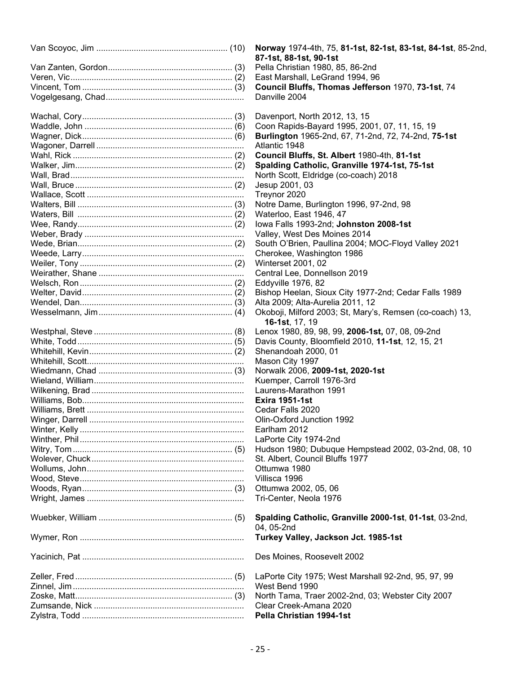| Norway 1974-4th, 75, 81-1st, 82-1st, 83-1st, 84-1st, 85-2nd,<br>87-1st, 88-1st, 90-1st |
|----------------------------------------------------------------------------------------|
| Pella Christian 1980, 85, 86-2nd                                                       |
| East Marshall, LeGrand 1994, 96                                                        |
| Council Bluffs, Thomas Jefferson 1970, 73-1st, 74                                      |
| Danville 2004                                                                          |
|                                                                                        |
| Davenport, North 2012, 13, 15                                                          |
| Coon Rapids-Bayard 1995, 2001, 07, 11, 15, 19                                          |
| Burlington 1965-2nd, 67, 71-2nd, 72, 74-2nd, 75-1st                                    |
| Atlantic 1948                                                                          |
| Council Bluffs, St. Albert 1980-4th, 81-1st                                            |
| Spalding Catholic, Granville 1974-1st, 75-1st                                          |
| North Scott, Eldridge (co-coach) 2018                                                  |
| Jesup 2001, 03                                                                         |
| Treynor 2020                                                                           |
| Notre Dame, Burlington 1996, 97-2nd, 98                                                |
| Waterloo, East 1946, 47                                                                |
| lowa Falls 1993-2nd; Johnston 2008-1st                                                 |
| Valley, West Des Moines 2014                                                           |
| South O'Brien, Paullina 2004; MOC-Floyd Valley 2021                                    |
| Cherokee, Washington 1986                                                              |
| <b>Winterset 2001, 02</b>                                                              |
| Central Lee, Donnellson 2019                                                           |
|                                                                                        |
| Eddyville 1976, 82                                                                     |
| Bishop Heelan, Sioux City 1977-2nd; Cedar Falls 1989                                   |
| Alta 2009; Alta-Aurelia 2011, 12                                                       |
| Okoboji, Milford 2003; St, Mary's, Remsen (co-coach) 13,<br><b>16-1st</b> , 17, 19     |
|                                                                                        |
| Lenox 1980, 89, 98, 99, 2006-1st, 07, 08, 09-2nd                                       |
| Davis County, Bloomfield 2010, 11-1st, 12, 15, 21                                      |
| Shenandoah 2000, 01                                                                    |
| Mason City 1997                                                                        |
| Norwalk 2006, 2009-1st, 2020-1st                                                       |
| Kuemper, Carroll 1976-3rd                                                              |
| Laurens-Marathon 1991                                                                  |
| <b>Exira 1951-1st</b>                                                                  |
| Cedar Falls 2020                                                                       |
| Olin-Oxford Junction 1992                                                              |
| Earlham 2012                                                                           |
| LaPorte City 1974-2nd                                                                  |
| Hudson 1980; Dubuque Hempstead 2002, 03-2nd, 08, 10                                    |
| St. Albert, Council Bluffs 1977                                                        |
| Ottumwa 1980                                                                           |
| Villisca 1996                                                                          |
| Ottumwa 2002, 05, 06                                                                   |
| Tri-Center, Neola 1976                                                                 |
|                                                                                        |
| Spalding Catholic, Granville 2000-1st, 01-1st, 03-2nd,                                 |
| 04, 05-2nd                                                                             |
| Turkey Valley, Jackson Jct. 1985-1st                                                   |
|                                                                                        |
| Des Moines, Roosevelt 2002                                                             |
| LaPorte City 1975; West Marshall 92-2nd, 95, 97, 99                                    |
| West Bend 1990                                                                         |
| North Tama, Traer 2002-2nd, 03; Webster City 2007                                      |
| Clear Creek-Amana 2020                                                                 |
| Pella Christian 1994-1st                                                               |
|                                                                                        |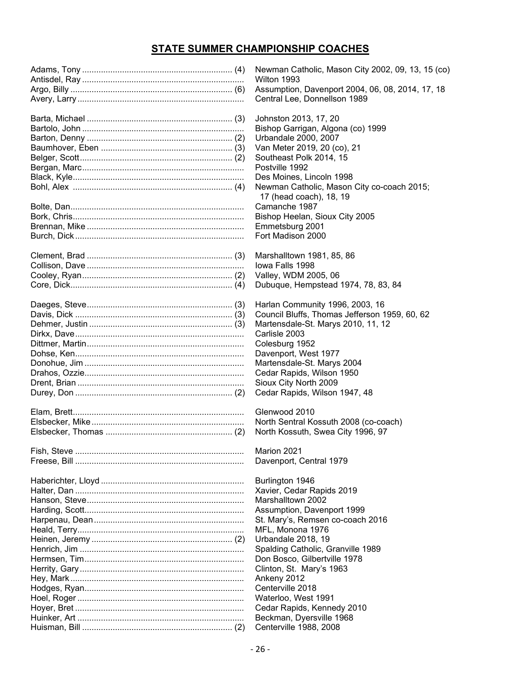## **STATE SUMMER CHAMPIONSHIP COACHES**

| Newman Catholic, Mason City 2002, 09, 13, 15 (co) |
|---------------------------------------------------|
| Wilton 1993                                       |
| Assumption, Davenport 2004, 06, 08, 2014, 17, 18  |
| Central Lee, Donnellson 1989                      |
|                                                   |
| Johnston 2013, 17, 20                             |
| Bishop Garrigan, Algona (co) 1999                 |
| Urbandale 2000, 2007                              |
| Van Meter 2019, 20 (co), 21                       |
| Southeast Polk 2014, 15                           |
| Postville 1992                                    |
| Des Moines, Lincoln 1998                          |
|                                                   |
| Newman Catholic, Mason City co-coach 2015;        |
| 17 (head coach), 18, 19                           |
| Camanche 1987                                     |
| Bishop Heelan, Sioux City 2005                    |
| Emmetsburg 2001                                   |
| Fort Madison 2000                                 |
|                                                   |
| Marshalltown 1981, 85, 86                         |
| Iowa Falls 1998                                   |
| Valley, WDM 2005, 06                              |
| Dubuque, Hempstead 1974, 78, 83, 84               |
|                                                   |
| Harlan Community 1996, 2003, 16                   |
| Council Bluffs, Thomas Jefferson 1959, 60, 62     |
| Martensdale-St. Marys 2010, 11, 12                |
| Carlisle 2003                                     |
| Colesburg 1952                                    |
|                                                   |
| Davenport, West 1977                              |
| Martensdale-St. Marys 2004                        |
| Cedar Rapids, Wilson 1950                         |
| Sioux City North 2009                             |
| Cedar Rapids, Wilson 1947, 48                     |
|                                                   |
| Glenwood 2010                                     |
| North Sentral Kossuth 2008 (co-coach)             |
| North Kossuth, Swea City 1996, 97                 |
|                                                   |
| Marion 2021                                       |
| Davenport, Central 1979                           |
|                                                   |
| Burlington 1946                                   |
| Xavier, Cedar Rapids 2019                         |
| Marshalltown 2002                                 |
| Assumption, Davenport 1999                        |
| St. Mary's, Remsen co-coach 2016                  |
| MFL, Monona 1976                                  |
| Urbandale 2018, 19                                |
| Spalding Catholic, Granville 1989                 |
| Don Bosco, Gilbertville 1978                      |
| Clinton, St. Mary's 1963                          |
|                                                   |
| Ankeny 2012                                       |
| Centerville 2018                                  |
| Waterloo, West 1991                               |
| Cedar Rapids, Kennedy 2010                        |
| Beckman, Dyersville 1968                          |
| Centerville 1988, 2008                            |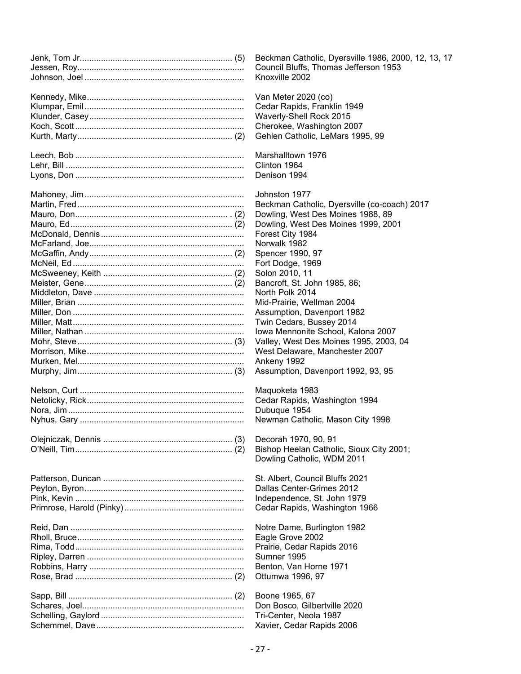| Beckman Catholic, Dyersville 1986, 2000, 12, 13, 17 |
|-----------------------------------------------------|
| Council Bluffs, Thomas Jefferson 1953               |
| Knoxville 2002                                      |
|                                                     |
| Van Meter 2020 (co)                                 |
| Cedar Rapids, Franklin 1949                         |
|                                                     |
| Waverly-Shell Rock 2015                             |
| Cherokee, Washington 2007                           |
| Gehlen Catholic, LeMars 1995, 99                    |
|                                                     |
| Marshalltown 1976                                   |
| Clinton 1964                                        |
| Denison 1994                                        |
|                                                     |
| Johnston 1977                                       |
| Beckman Catholic, Dyersville (co-coach) 2017        |
|                                                     |
| Dowling, West Des Moines 1988, 89                   |
| Dowling, West Des Moines 1999, 2001                 |
| Forest City 1984                                    |
| Norwalk 1982                                        |
| Spencer 1990, 97                                    |
| Fort Dodge, 1969                                    |
| Solon 2010, 11                                      |
| Bancroft, St. John 1985, 86;                        |
| North Polk 2014                                     |
| Mid-Prairie, Wellman 2004                           |
| Assumption, Davenport 1982                          |
|                                                     |
| Twin Cedars, Bussey 2014                            |
| Iowa Mennonite School, Kalona 2007                  |
| Valley, West Des Moines 1995, 2003, 04              |
| West Delaware, Manchester 2007                      |
| Ankeny 1992                                         |
| Assumption, Davenport 1992, 93, 95                  |
|                                                     |
| Maquoketa 1983                                      |
| Cedar Rapids, Washington 1994                       |
| Dubuque 1954                                        |
| Newman Catholic, Mason City 1998                    |
|                                                     |
| Decorah 1970, 90, 91                                |
| Bishop Heelan Catholic, Sioux City 2001;            |
|                                                     |
| Dowling Catholic, WDM 2011                          |
|                                                     |
| St. Albert, Council Bluffs 2021                     |
| Dallas Center-Grimes 2012                           |
| Independence, St. John 1979                         |
| Cedar Rapids, Washington 1966                       |
|                                                     |
| Notre Dame, Burlington 1982                         |
| Eagle Grove 2002                                    |
| Prairie, Cedar Rapids 2016                          |
| Sumner 1995                                         |
| Benton, Van Horne 1971                              |
|                                                     |
| Ottumwa 1996, 97                                    |
|                                                     |
| Boone 1965, 67                                      |
| Don Bosco, Gilbertville 2020                        |
| Tri-Center, Neola 1987                              |
| Xavier, Cedar Rapids 2006                           |
|                                                     |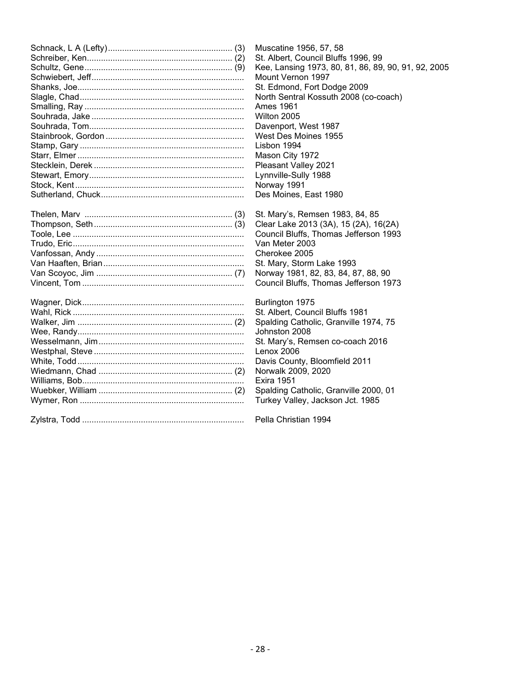| Muscatine 1956, 57, 58<br>St. Albert, Council Bluffs 1996, 99<br>Kee, Lansing 1973, 80, 81, 86, 89, 90, 91, 92, 2005<br>Mount Vernon 1997<br>St. Edmond, Fort Dodge 2009<br>North Sentral Kossuth 2008 (co-coach)<br>Ames 1961<br>Wilton 2005 |
|-----------------------------------------------------------------------------------------------------------------------------------------------------------------------------------------------------------------------------------------------|
| Davenport, West 1987<br>West Des Moines 1955                                                                                                                                                                                                  |
| Lisbon 1994                                                                                                                                                                                                                                   |
| Mason City 1972                                                                                                                                                                                                                               |
| Pleasant Valley 2021                                                                                                                                                                                                                          |
| Lynnville-Sully 1988                                                                                                                                                                                                                          |
| Norway 1991                                                                                                                                                                                                                                   |
| Des Moines, East 1980                                                                                                                                                                                                                         |
| St. Mary's, Remsen 1983, 84, 85                                                                                                                                                                                                               |
| Clear Lake 2013 (3A), 15 (2A), 16(2A)                                                                                                                                                                                                         |
| Council Bluffs, Thomas Jefferson 1993                                                                                                                                                                                                         |
| Van Meter 2003                                                                                                                                                                                                                                |
| Cherokee 2005                                                                                                                                                                                                                                 |
| St. Mary, Storm Lake 1993                                                                                                                                                                                                                     |
| Norway 1981, 82, 83, 84, 87, 88, 90                                                                                                                                                                                                           |
| Council Bluffs, Thomas Jefferson 1973                                                                                                                                                                                                         |
| Burlington 1975                                                                                                                                                                                                                               |
| St. Albert, Council Bluffs 1981                                                                                                                                                                                                               |
| Spalding Catholic, Granville 1974, 75                                                                                                                                                                                                         |
| Johnston 2008                                                                                                                                                                                                                                 |
| St. Mary's, Remsen co-coach 2016                                                                                                                                                                                                              |
| Lenox 2006                                                                                                                                                                                                                                    |
| Davis County, Bloomfield 2011                                                                                                                                                                                                                 |
| Norwalk 2009, 2020<br><b>Exira 1951</b>                                                                                                                                                                                                       |
| Spalding Catholic, Granville 2000, 01                                                                                                                                                                                                         |
| Turkey Valley, Jackson Jct. 1985                                                                                                                                                                                                              |
|                                                                                                                                                                                                                                               |
| Pella Christian 1994                                                                                                                                                                                                                          |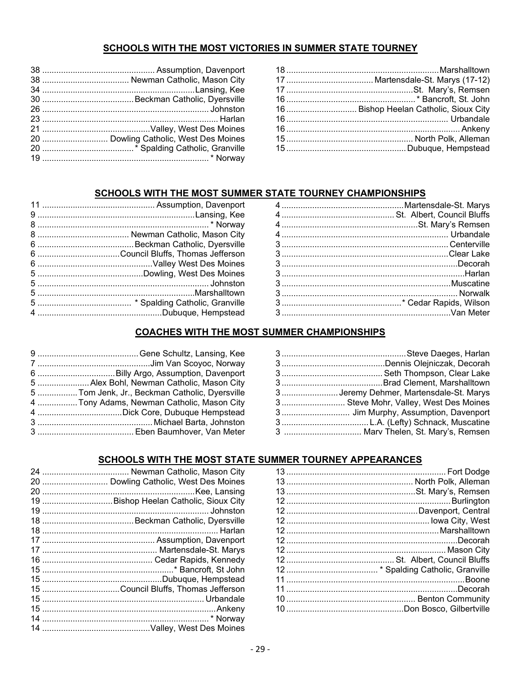## SCHOOLS WITH THE MOST VICTORIES IN SUMMER STATE TOURNEY

| 20  Dowling Catholic, West Des Moines |
|---------------------------------------|
|                                       |
|                                       |

| 16  Bishop Heelan Catholic, Sioux City |
|----------------------------------------|
|                                        |
|                                        |
|                                        |
|                                        |

## SCHOOLS WITH THE MOST SUMMER STATE TOURNEY CHAMPIONSHIPS

## **COACHES WITH THE MOST SUMMER CHAMPIONSHIPS**

| 3Jeremy Dehmer, Martensdale-St. Marys |
|---------------------------------------|
| 3 Steve Mohr, Valley, West Des Moines |
|                                       |
|                                       |
|                                       |

| 5  Alex Bohl, Newman Catholic, Mason City      |
|------------------------------------------------|
| 5  Tom Jenk, Jr., Beckman Catholic, Dyersville |
| 4  Tony Adams, Newman Catholic, Mason City     |
|                                                |
|                                                |
|                                                |

## SCHOOLS WITH THE MOST STATE SUMMER TOURNEY APPEARANCES

| 20  Dowling Catholic, West Des Moines |  |
|---------------------------------------|--|

| 19  Bishop Heelan Catholic, Sioux City |
|----------------------------------------|
|                                        |
|                                        |
|                                        |
|                                        |
|                                        |
|                                        |
|                                        |
|                                        |
| 15 Council Bluffs, Thomas Jefferson    |
|                                        |
|                                        |
|                                        |
|                                        |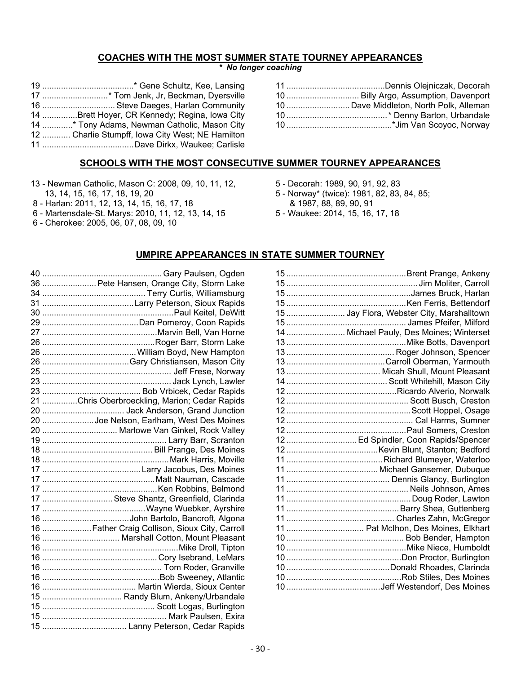## **COACHES WITH THE MOST SUMMER STATE TOURNEY APPEARANCES**

*\* No longer coaching*

| 17 * Tom Jenk, Jr, Beckman, Dyersville           |
|--------------------------------------------------|
| 16  Steve Daeges, Harlan Community               |
| 14 Brett Hoyer, CR Kennedy; Regina, Iowa City    |
| 14 * Tony Adams, Newman Catholic, Mason City     |
| 12  Charlie Stumpff, Iowa City West; NE Hamilton |
|                                                  |

| 10  Billy Argo, Assumption, Davenport   |
|-----------------------------------------|
| 10  Dave Middleton, North Polk, Alleman |
|                                         |
|                                         |
|                                         |

## **SCHOOLS WITH THE MOST CONSECUTIVE SUMMER TOURNEY APPEARANCES**

- 13 Newman Catholic, Mason C: 2008, 09, 10, 11, 12,
- 13, 14, 15, 16, 17, 18, 19, 20
- 8 Harlan: 2011, 12, 13, 14, 15, 16, 17, 18
- 6 Martensdale-St. Marys: 2010, 11, 12, 13, 14, 15
- 6 Cherokee: 2005, 06, 07, 08, 09, 10
- 5 Decorah: 1989, 90, 91, 92, 83
- 5 Norway\* (twice): 1981, 82, 83, 84, 85;
	- & 1987, 88, 89, 90, 91
- 5 Waukee: 2014, 15, 16, 17, 18

## **UMPIRE APPEARANCES IN STATE SUMMER TOURNEY**

| 36  Pete Hansen, Orange City, Storm Lake       |
|------------------------------------------------|
|                                                |
|                                                |
|                                                |
|                                                |
|                                                |
|                                                |
|                                                |
|                                                |
|                                                |
|                                                |
|                                                |
| 21 Chris Oberbroeckling, Marion; Cedar Rapids  |
|                                                |
| 20 Joe Nelson, Earlham, West Des Moines        |
| 20  Marlowe Van Ginkel, Rock Valley            |
|                                                |
|                                                |
|                                                |
|                                                |
|                                                |
|                                                |
| 17  Steve Shantz, Greenfield, Clarinda         |
|                                                |
|                                                |
| 16  Father Craig Collison, Sioux City, Carroll |
| 16  Marshall Cotton, Mount Pleasant            |
|                                                |
|                                                |
|                                                |
|                                                |
|                                                |
| 15  Randy Blum, Ankeny/Urbandale               |
|                                                |
|                                                |
|                                                |
|                                                |

| 15  Jay Flora, Webster City, Marshalltown |
|-------------------------------------------|
|                                           |
| 14  Michael Pauly, Des Moines; Winterset  |
|                                           |
|                                           |
|                                           |
|                                           |
|                                           |
|                                           |
|                                           |
|                                           |
|                                           |
|                                           |
| 12  Ed Spindler, Coon Rapids/Spencer      |
|                                           |
|                                           |
|                                           |
|                                           |
|                                           |
|                                           |
|                                           |
|                                           |
| 11  Pat McIhon, Des Moines, Elkhart       |
|                                           |
|                                           |
|                                           |
|                                           |
|                                           |
|                                           |
|                                           |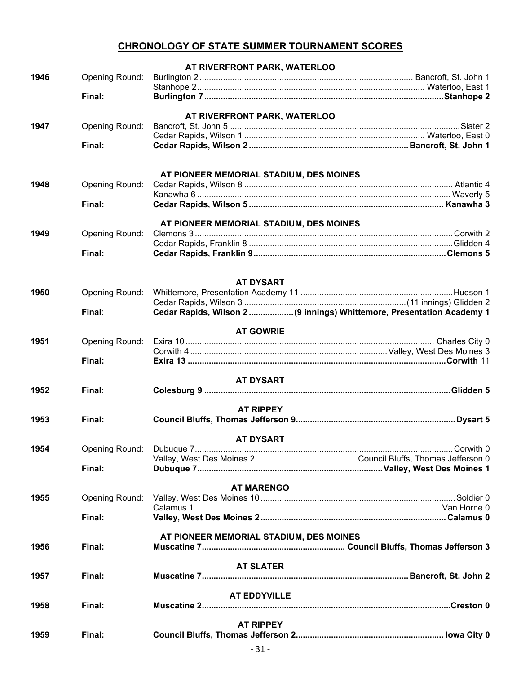## **CHRONOLOGY OF STATE SUMMER TOURNAMENT SCORES**

|      |                | AT RIVERFRONT PARK, WATERLOO                                         |
|------|----------------|----------------------------------------------------------------------|
| 1946 | Opening Round: |                                                                      |
|      |                |                                                                      |
|      | Final:         |                                                                      |
|      |                | AT RIVERFRONT PARK, WATERLOO                                         |
| 1947 | Opening Round: |                                                                      |
|      |                |                                                                      |
|      | Final:         |                                                                      |
|      |                |                                                                      |
|      |                |                                                                      |
|      |                | AT PIONEER MEMORIAL STADIUM, DES MOINES                              |
| 1948 | Opening Round: |                                                                      |
|      | Final:         |                                                                      |
|      |                |                                                                      |
|      |                | AT PIONEER MEMORIAL STADIUM, DES MOINES                              |
| 1949 | Opening Round: |                                                                      |
|      |                |                                                                      |
|      | Final:         |                                                                      |
|      |                |                                                                      |
|      |                |                                                                      |
|      |                | <b>AT DYSART</b>                                                     |
| 1950 | Opening Round: |                                                                      |
|      |                |                                                                      |
|      | Final:         | Cedar Rapids, Wilson 2(9 innings) Whittemore, Presentation Academy 1 |
|      |                | <b>AT GOWRIE</b>                                                     |
| 1951 | Opening Round: |                                                                      |
|      |                |                                                                      |
|      | Final:         |                                                                      |
|      |                |                                                                      |
|      |                | <b>AT DYSART</b>                                                     |
| 1952 | Final:         |                                                                      |
|      |                | <b>AT RIPPEY</b>                                                     |
| 1953 | Final:         |                                                                      |
|      |                |                                                                      |
|      |                | <b>AT DYSART</b>                                                     |
| 1954 | Opening Round: |                                                                      |
|      |                |                                                                      |
|      | Final:         |                                                                      |
|      |                |                                                                      |
|      |                | <b>AT MARENGO</b>                                                    |
| 1955 | Opening Round: |                                                                      |
|      | Final:         |                                                                      |
|      |                |                                                                      |
|      |                | AT PIONEER MEMORIAL STADIUM, DES MOINES                              |
| 1956 | Final:         |                                                                      |
|      |                |                                                                      |
|      |                | <b>AT SLATER</b>                                                     |
| 1957 | Final:         |                                                                      |
|      |                |                                                                      |
| 1958 | Final:         | <b>AT EDDYVILLE</b>                                                  |
|      |                |                                                                      |
|      |                | <b>AT RIPPEY</b>                                                     |
| 1959 | Final:         |                                                                      |
|      |                |                                                                      |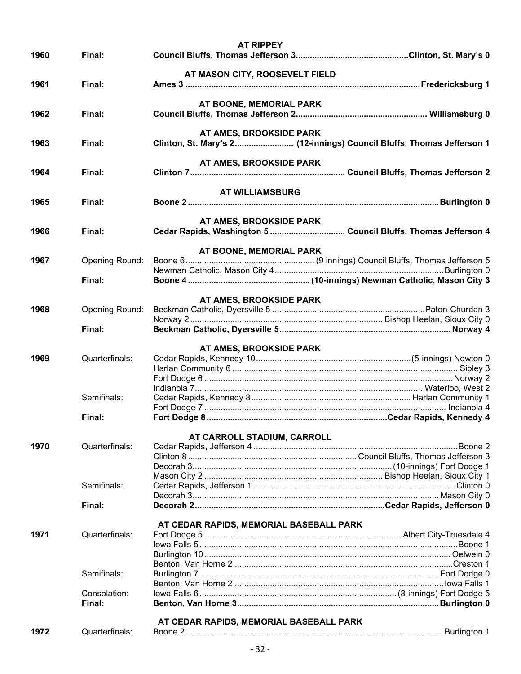|      |                        | <b>AT RIPPEY</b>                                                      |  |
|------|------------------------|-----------------------------------------------------------------------|--|
| 1960 | Final:                 |                                                                       |  |
|      |                        |                                                                       |  |
|      |                        | AT MASON CITY, ROOSEVELT FIELD                                        |  |
| 1961 | Final:                 |                                                                       |  |
|      |                        |                                                                       |  |
|      |                        | AT BOONE, MEMORIAL PARK                                               |  |
| 1962 | Final:                 |                                                                       |  |
|      |                        |                                                                       |  |
|      |                        | AT AMES, BROOKSIDE PARK                                               |  |
| 1963 | Final:                 | Clinton, St. Mary's 2 (12-innings) Council Bluffs, Thomas Jefferson 1 |  |
|      |                        | AT AMES, BROOKSIDE PARK                                               |  |
| 1964 | Final:                 |                                                                       |  |
|      |                        |                                                                       |  |
|      |                        | <b>AT WILLIAMSBURG</b>                                                |  |
| 1965 | Final:                 |                                                                       |  |
|      |                        |                                                                       |  |
|      |                        | AT AMES, BROOKSIDE PARK                                               |  |
| 1966 | Final:                 |                                                                       |  |
|      |                        |                                                                       |  |
|      |                        | AT BOONE, MEMORIAL PARK                                               |  |
| 1967 | Opening Round:         |                                                                       |  |
|      |                        |                                                                       |  |
|      | Final:                 |                                                                       |  |
|      |                        |                                                                       |  |
|      |                        | AT AMES, BROOKSIDE PARK                                               |  |
| 1968 | Opening Round:         |                                                                       |  |
|      |                        |                                                                       |  |
|      | Final:                 |                                                                       |  |
|      |                        |                                                                       |  |
|      |                        | AT AMES, BROOKSIDE PARK                                               |  |
| 1969 | Quarterfinals:         |                                                                       |  |
|      |                        |                                                                       |  |
|      |                        |                                                                       |  |
|      | Semifinals:            |                                                                       |  |
|      |                        |                                                                       |  |
|      | Final:                 |                                                                       |  |
|      |                        |                                                                       |  |
|      |                        | AT CARROLL STADIUM, CARROLL                                           |  |
| 1970 | Quarterfinals:         |                                                                       |  |
|      |                        |                                                                       |  |
|      |                        |                                                                       |  |
|      |                        |                                                                       |  |
|      | Semifinals:            |                                                                       |  |
|      |                        |                                                                       |  |
|      | Final:                 |                                                                       |  |
|      |                        |                                                                       |  |
|      |                        | AT CEDAR RAPIDS, MEMORIAL BASEBALL PARK                               |  |
| 1971 | Quarterfinals:         |                                                                       |  |
|      |                        |                                                                       |  |
|      |                        |                                                                       |  |
|      |                        |                                                                       |  |
|      | Semifinals:            |                                                                       |  |
|      |                        |                                                                       |  |
|      | Consolation:<br>Final: |                                                                       |  |
|      |                        |                                                                       |  |
|      |                        | AT CEDAR RAPIDS, MEMORIAL BASEBALL PARK                               |  |
| 1972 | Quarterfinals:         |                                                                       |  |
|      |                        |                                                                       |  |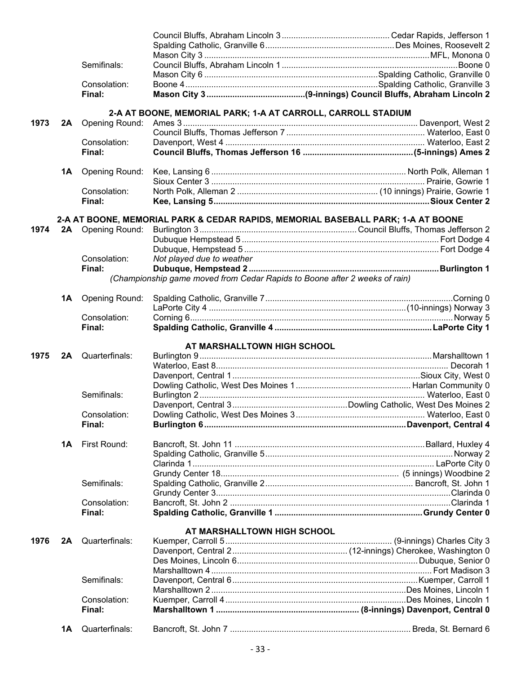|      |    | Semifinals:           |                                                                                  |  |
|------|----|-----------------------|----------------------------------------------------------------------------------|--|
|      |    |                       |                                                                                  |  |
|      |    | Consolation:          |                                                                                  |  |
|      |    | Final:                |                                                                                  |  |
|      |    |                       | 2-A AT BOONE, MEMORIAL PARK; 1-A AT CARROLL, CARROLL STADIUM                     |  |
| 1973 | 2A |                       |                                                                                  |  |
|      |    |                       |                                                                                  |  |
|      |    | Consolation:          |                                                                                  |  |
|      |    | Final:                |                                                                                  |  |
|      |    |                       |                                                                                  |  |
|      | 1A | <b>Opening Round:</b> |                                                                                  |  |
|      |    |                       |                                                                                  |  |
|      |    | Consolation:          |                                                                                  |  |
|      |    | Final:                |                                                                                  |  |
|      |    |                       |                                                                                  |  |
|      |    |                       | 2-A AT BOONE, MEMORIAL PARK & CEDAR RAPIDS, MEMORIAL BASEBALL PARK; 1-A AT BOONE |  |
|      |    |                       |                                                                                  |  |
|      |    |                       |                                                                                  |  |
|      |    |                       |                                                                                  |  |
|      |    | Consolation:          | Not played due to weather                                                        |  |
|      |    | Final:                |                                                                                  |  |
|      |    |                       | (Championship game moved from Cedar Rapids to Boone after 2 weeks of rain)       |  |
|      | 1A | <b>Opening Round:</b> |                                                                                  |  |
|      |    |                       |                                                                                  |  |
|      |    | Consolation:          |                                                                                  |  |
|      |    | Final:                |                                                                                  |  |
|      |    |                       |                                                                                  |  |
| 1975 |    | 2A Quarterfinals:     | AT MARSHALLTOWN HIGH SCHOOL                                                      |  |
|      |    |                       |                                                                                  |  |
|      |    |                       |                                                                                  |  |
|      |    |                       |                                                                                  |  |
|      |    |                       |                                                                                  |  |
|      |    |                       |                                                                                  |  |
|      |    | Semifinals:           |                                                                                  |  |
|      |    |                       |                                                                                  |  |
|      |    | Consolation:          |                                                                                  |  |
|      |    | Final:                |                                                                                  |  |
|      | 1A | First Round:          |                                                                                  |  |
|      |    |                       |                                                                                  |  |
|      |    |                       |                                                                                  |  |
|      |    |                       |                                                                                  |  |
|      |    |                       |                                                                                  |  |
|      |    | Semifinals:           |                                                                                  |  |
|      |    |                       |                                                                                  |  |
|      |    | Consolation:          |                                                                                  |  |
|      |    | Final:                |                                                                                  |  |
|      |    |                       | AT MARSHALLTOWN HIGH SCHOOL                                                      |  |
| 1976 | 2A | Quarterfinals:        |                                                                                  |  |
|      |    |                       |                                                                                  |  |
|      |    |                       |                                                                                  |  |
|      |    |                       |                                                                                  |  |
|      |    | Semifinals:           |                                                                                  |  |
|      |    |                       |                                                                                  |  |
|      |    | Consolation:          |                                                                                  |  |
|      |    | Final:                |                                                                                  |  |
|      | 1Α | Quarterfinals:        |                                                                                  |  |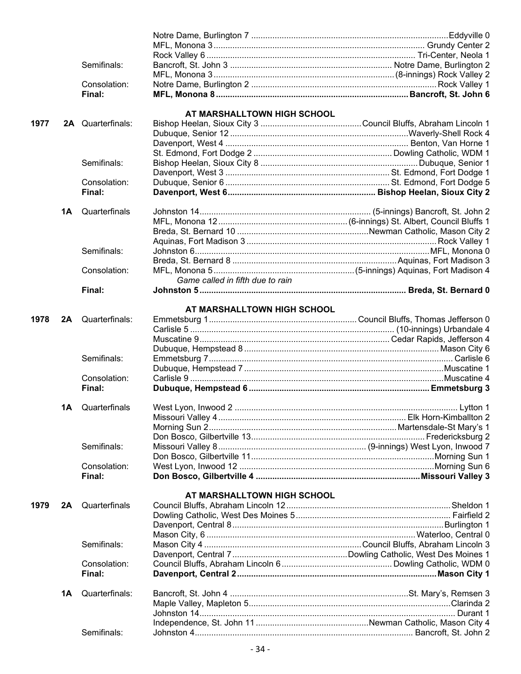|      |    | Semifinals:            |                                  |  |
|------|----|------------------------|----------------------------------|--|
|      |    |                        |                                  |  |
|      |    | Consolation:           |                                  |  |
|      |    | Final:                 |                                  |  |
|      |    |                        |                                  |  |
| 1977 |    | 2A Quarterfinals:      | AT MARSHALLTOWN HIGH SCHOOL      |  |
|      |    |                        |                                  |  |
|      |    |                        |                                  |  |
|      |    |                        |                                  |  |
|      |    | Semifinals:            |                                  |  |
|      |    |                        |                                  |  |
|      |    | Consolation:           |                                  |  |
|      |    | Final:                 |                                  |  |
|      |    |                        |                                  |  |
|      | 1Α | Quarterfinals          |                                  |  |
|      |    |                        |                                  |  |
|      |    |                        |                                  |  |
|      |    |                        |                                  |  |
|      |    | Semifinals:            |                                  |  |
|      |    |                        |                                  |  |
|      |    | Consolation:           |                                  |  |
|      |    |                        | Game called in fifth due to rain |  |
|      |    | Final:                 |                                  |  |
|      |    |                        | AT MARSHALLTOWN HIGH SCHOOL      |  |
| 1978 | 2A | Quarterfinals:         |                                  |  |
|      |    |                        |                                  |  |
|      |    |                        |                                  |  |
|      |    |                        |                                  |  |
|      |    | Semifinals:            |                                  |  |
|      |    |                        |                                  |  |
|      |    | Consolation:           |                                  |  |
|      |    | Final:                 |                                  |  |
|      |    |                        |                                  |  |
|      | 1Α | Quarterfinals          |                                  |  |
|      |    |                        |                                  |  |
|      |    |                        |                                  |  |
|      |    |                        |                                  |  |
|      |    | Semifinals:            |                                  |  |
|      |    |                        |                                  |  |
|      |    | Consolation:<br>Final: |                                  |  |
|      |    |                        |                                  |  |
|      |    |                        | AT MARSHALLTOWN HIGH SCHOOL      |  |
| 1979 | 2A | Quarterfinals          |                                  |  |
|      |    |                        |                                  |  |
|      |    |                        |                                  |  |
|      |    |                        |                                  |  |
|      |    | Semifinals:            |                                  |  |
|      |    |                        |                                  |  |
|      |    | Consolation:           |                                  |  |
|      |    | Final:                 |                                  |  |
|      | 1A | Quarterfinals:         |                                  |  |
|      |    |                        |                                  |  |
|      |    |                        |                                  |  |
|      |    |                        |                                  |  |
|      |    | Semifinals:            |                                  |  |
|      |    |                        |                                  |  |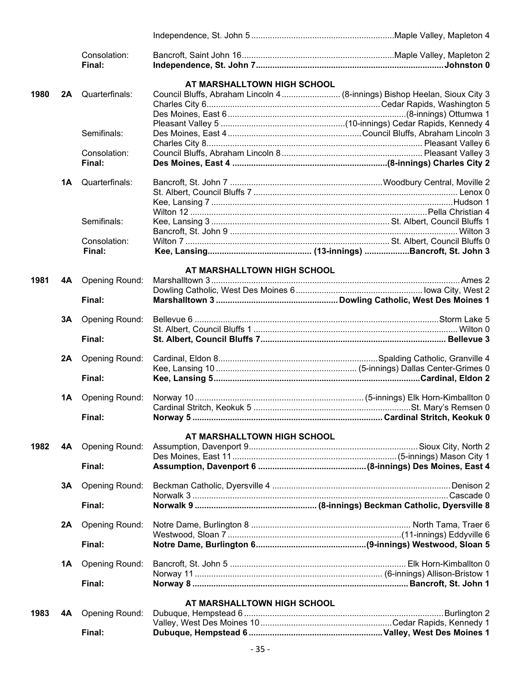|      |    | Consolation:          |                             |                                                                            |
|------|----|-----------------------|-----------------------------|----------------------------------------------------------------------------|
|      |    | Final:                |                             |                                                                            |
|      |    |                       | AT MARSHALLTOWN HIGH SCHOOL |                                                                            |
| 1980 | 2A | Quarterfinals:        |                             | Council Bluffs, Abraham Lincoln 4  (8-innings) Bishop Heelan, Sioux City 3 |
|      |    |                       |                             |                                                                            |
|      |    |                       |                             |                                                                            |
|      |    |                       |                             |                                                                            |
|      |    | Semifinals:           |                             |                                                                            |
|      |    |                       |                             |                                                                            |
|      |    | Consolation:          |                             |                                                                            |
|      |    | Final:                |                             |                                                                            |
|      | 1A | Quarterfinals:        |                             |                                                                            |
|      |    |                       |                             |                                                                            |
|      |    |                       |                             |                                                                            |
|      |    |                       |                             |                                                                            |
|      |    | Semifinals:           |                             |                                                                            |
|      |    |                       |                             |                                                                            |
|      |    |                       |                             |                                                                            |
|      |    | Consolation:          |                             |                                                                            |
|      |    | Final:                |                             |                                                                            |
|      |    |                       | AT MARSHALLTOWN HIGH SCHOOL |                                                                            |
| 1981 | 4A | <b>Opening Round:</b> |                             |                                                                            |
|      |    |                       |                             |                                                                            |
|      |    | Final:                |                             |                                                                            |
|      | 3Α | <b>Opening Round:</b> |                             |                                                                            |
|      |    |                       |                             |                                                                            |
|      |    | Final:                |                             |                                                                            |
|      |    | Opening Round:        |                             |                                                                            |
|      | 2A |                       |                             |                                                                            |
|      |    | Final:                |                             |                                                                            |
|      |    |                       |                             |                                                                            |
|      | 1A | Opening Round:        |                             |                                                                            |
|      |    |                       |                             |                                                                            |
|      |    | Final:                |                             |                                                                            |
|      |    |                       | AT MARSHALLTOWN HIGH SCHOOL |                                                                            |
| 1982 | 4A | <b>Opening Round:</b> |                             |                                                                            |
|      |    |                       |                             |                                                                            |
|      |    | Final:                |                             |                                                                            |
|      |    |                       |                             |                                                                            |
|      | 3Α | <b>Opening Round:</b> |                             |                                                                            |
|      |    | Final:                |                             |                                                                            |
|      |    |                       |                             |                                                                            |
|      | 2A | <b>Opening Round:</b> |                             |                                                                            |
|      |    |                       |                             |                                                                            |
|      |    | Final:                |                             |                                                                            |
|      | 1A | <b>Opening Round:</b> |                             |                                                                            |
|      |    |                       |                             |                                                                            |
|      |    | Final:                |                             |                                                                            |
|      |    |                       |                             |                                                                            |
|      |    |                       | AT MARSHALLTOWN HIGH SCHOOL |                                                                            |
| 1983 | 4Α | <b>Opening Round:</b> |                             |                                                                            |
|      |    |                       |                             |                                                                            |
|      |    | Final:                |                             |                                                                            |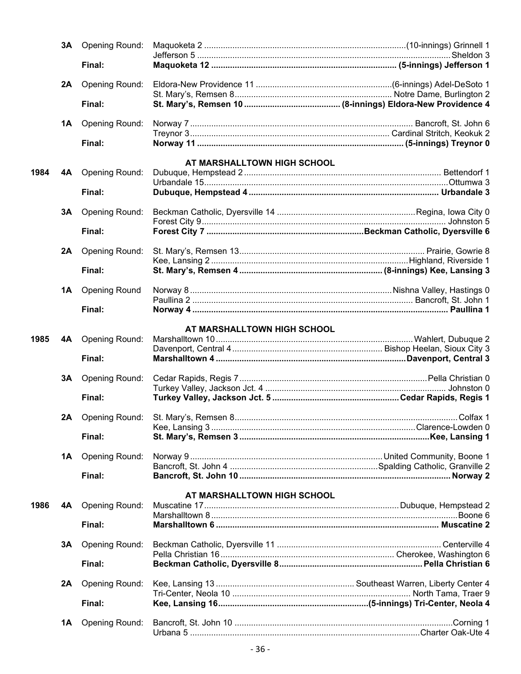|      | 3A | Opening Round:        |                                                             |  |
|------|----|-----------------------|-------------------------------------------------------------|--|
|      |    | Final:                |                                                             |  |
|      | 2A | Opening Round:        |                                                             |  |
|      |    | Final:                |                                                             |  |
|      | 1Α | <b>Opening Round:</b> |                                                             |  |
|      |    | Final:                |                                                             |  |
|      |    |                       | AT MARSHALLTOWN HIGH SCHOOL                                 |  |
| 1984 | 4A | <b>Opening Round:</b> |                                                             |  |
|      |    | Final:                |                                                             |  |
|      | 3A | <b>Opening Round:</b> |                                                             |  |
|      |    | Final:                |                                                             |  |
|      | 2A | <b>Opening Round:</b> |                                                             |  |
|      |    | Final:                |                                                             |  |
|      |    |                       |                                                             |  |
|      | 1Α | <b>Opening Round</b>  |                                                             |  |
|      |    | Final:                |                                                             |  |
|      |    |                       | AT MARSHALLTOWN HIGH SCHOOL                                 |  |
| 1985 | 4A | <b>Opening Round:</b> |                                                             |  |
|      |    | Final:                |                                                             |  |
|      | 3A | <b>Opening Round:</b> |                                                             |  |
|      |    | Final:                |                                                             |  |
|      | 2A |                       |                                                             |  |
|      |    | Final:                |                                                             |  |
|      |    |                       |                                                             |  |
|      | 1Α | <b>Opening Round:</b> |                                                             |  |
|      |    | Final:                |                                                             |  |
|      |    |                       | AT MARSHALLTOWN HIGH SCHOOL                                 |  |
| 1986 | 4A | <b>Opening Round:</b> |                                                             |  |
|      |    | Final:                | Marshalltown 6 …………………………………………………………………………………… Muscatine 2 |  |
|      | 3Α | <b>Opening Round:</b> |                                                             |  |
|      |    | Final:                |                                                             |  |
|      | 2A | <b>Opening Round:</b> |                                                             |  |
|      |    |                       |                                                             |  |
|      |    | Final:                |                                                             |  |
|      | 1A | <b>Opening Round:</b> |                                                             |  |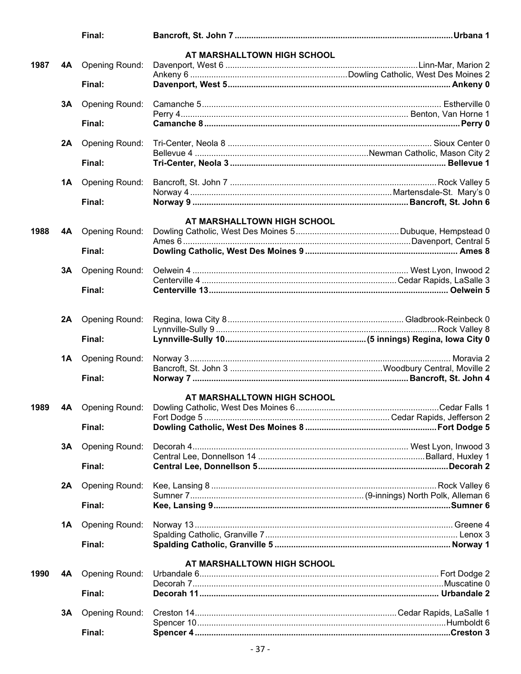|      |    | Final:                   |                             |  |
|------|----|--------------------------|-----------------------------|--|
|      |    |                          | AT MARSHALLTOWN HIGH SCHOOL |  |
| 1987 |    | 4A Opening Round:        |                             |  |
|      |    | Final:                   |                             |  |
|      |    |                          |                             |  |
|      | 3Α | <b>Opening Round:</b>    |                             |  |
|      |    | Final:                   |                             |  |
|      |    |                          |                             |  |
|      | 2A | Opening Round:           |                             |  |
|      |    | Final:                   |                             |  |
|      |    |                          |                             |  |
|      |    | <b>1A</b> Opening Round: |                             |  |
|      |    | Final:                   |                             |  |
|      |    |                          |                             |  |
| 1988 |    |                          | AT MARSHALLTOWN HIGH SCHOOL |  |
|      | 4A | <b>Opening Round:</b>    |                             |  |
|      |    | Final:                   |                             |  |
|      |    | <b>3A</b> Opening Round: |                             |  |
|      |    |                          |                             |  |
|      |    | Final:                   |                             |  |
|      |    |                          |                             |  |
|      |    | 2A Opening Round:        |                             |  |
|      |    | Final:                   |                             |  |
|      |    |                          |                             |  |
|      | 1A | <b>Opening Round:</b>    |                             |  |
|      |    | Final:                   |                             |  |
|      |    |                          |                             |  |
|      |    |                          | AT MARSHALLTOWN HIGH SCHOOL |  |
| 1989 | 4A | Opening Round:           |                             |  |
|      |    | Final:                   |                             |  |
|      |    |                          |                             |  |
|      | 3A | <b>Opening Round:</b>    |                             |  |
|      |    | Final:                   |                             |  |
|      |    |                          |                             |  |
|      | 2A | <b>Opening Round:</b>    |                             |  |
|      |    | Final:                   |                             |  |
|      | 1A | <b>Opening Round:</b>    |                             |  |
|      |    |                          |                             |  |
|      |    | Final:                   |                             |  |
|      |    |                          | AT MARSHALLTOWN HIGH SCHOOL |  |
| 1990 | 4A | <b>Opening Round:</b>    |                             |  |
|      |    |                          |                             |  |
|      |    | Final:                   |                             |  |
|      | 3Α | <b>Opening Round:</b>    |                             |  |
|      |    |                          |                             |  |
|      |    | Final:                   |                             |  |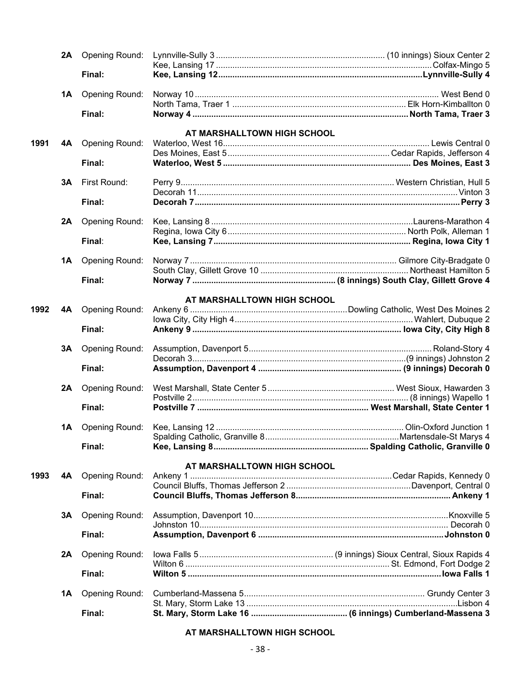|      | 2A | <b>Opening Round:</b> |                             |                        |
|------|----|-----------------------|-----------------------------|------------------------|
|      |    | Final:                |                             |                        |
|      | 1A | <b>Opening Round:</b> |                             |                        |
|      |    |                       |                             |                        |
|      |    | Final:                |                             |                        |
|      |    |                       | AT MARSHALLTOWN HIGH SCHOOL |                        |
| 1991 | 4A | Opening Round:        |                             |                        |
|      |    | Final:                |                             |                        |
|      |    |                       |                             |                        |
|      | 3A | First Round:          |                             |                        |
|      |    |                       |                             |                        |
|      |    | Final:                |                             |                        |
|      | 2A | <b>Opening Round:</b> |                             |                        |
|      |    |                       |                             |                        |
|      |    | Final:                |                             |                        |
|      |    |                       |                             |                        |
|      | 1A | <b>Opening Round:</b> |                             |                        |
|      |    | Final:                |                             |                        |
|      |    |                       |                             |                        |
|      |    |                       | AT MARSHALLTOWN HIGH SCHOOL |                        |
| 1992 | 4A | <b>Opening Round:</b> |                             |                        |
|      |    |                       |                             |                        |
|      |    | Final:                |                             |                        |
|      | 3Α | <b>Opening Round:</b> |                             |                        |
|      |    |                       |                             |                        |
|      |    | Final:                |                             |                        |
|      | 2A | <b>Opening Round:</b> |                             |                        |
|      |    |                       |                             |                        |
|      |    | Final:                |                             |                        |
|      |    |                       |                             |                        |
|      |    |                       |                             | Olin-Oxford Junction 1 |
|      |    | Final:                |                             |                        |
|      |    |                       |                             |                        |
|      |    |                       | AT MARSHALLTOWN HIGH SCHOOL |                        |
| 1993 | 4A | <b>Opening Round:</b> |                             |                        |
|      |    |                       |                             |                        |
|      |    | Final:                |                             |                        |
|      | 3Α | <b>Opening Round:</b> |                             |                        |
|      |    |                       |                             |                        |
|      |    | Final:                |                             |                        |
|      | 2A |                       |                             |                        |
|      |    |                       |                             |                        |
|      |    | Final:                |                             |                        |
|      |    |                       |                             |                        |
|      | 1Α | Opening Round:        |                             |                        |
|      |    | Final:                |                             |                        |
|      |    |                       |                             |                        |

#### **AT MARSHALLTOWN HIGH SCHOOL**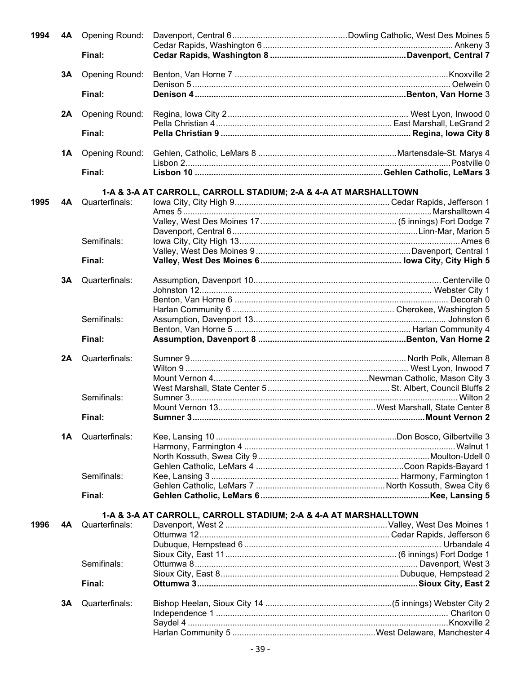| 1994 | 4A | <b>Opening Round:</b> |                                                                  |  |
|------|----|-----------------------|------------------------------------------------------------------|--|
|      |    |                       |                                                                  |  |
|      |    | Final:                |                                                                  |  |
|      | 3A | Opening Round:        |                                                                  |  |
|      |    |                       |                                                                  |  |
|      |    | Final:                |                                                                  |  |
|      | 2A | Opening Round:        |                                                                  |  |
|      |    |                       |                                                                  |  |
|      |    | Final:                |                                                                  |  |
|      | 1Α | Opening Round:        |                                                                  |  |
|      |    | Final:                |                                                                  |  |
|      |    |                       |                                                                  |  |
|      |    |                       | 1-A & 3-A AT CARROLL, CARROLL STADIUM; 2-A & 4-A AT MARSHALLTOWN |  |
| 1995 | 4A | Quarterfinals:        |                                                                  |  |
|      |    |                       |                                                                  |  |
|      |    |                       |                                                                  |  |
|      |    |                       |                                                                  |  |
|      |    | Semifinals:           |                                                                  |  |
|      |    |                       |                                                                  |  |
|      |    | Final:                |                                                                  |  |
|      |    |                       |                                                                  |  |
|      | 3A | Quarterfinals:        |                                                                  |  |
|      |    |                       |                                                                  |  |
|      |    |                       |                                                                  |  |
|      |    |                       |                                                                  |  |
|      |    | Semifinals:           |                                                                  |  |
|      |    |                       |                                                                  |  |
|      |    | Final:                |                                                                  |  |
|      |    |                       |                                                                  |  |
|      |    |                       |                                                                  |  |
|      | 2A | Quarterfinals:        |                                                                  |  |
|      |    |                       |                                                                  |  |
|      |    |                       |                                                                  |  |
|      |    |                       |                                                                  |  |
|      |    | Semifinals:           |                                                                  |  |
|      |    |                       |                                                                  |  |
|      |    | Final:                |                                                                  |  |
|      | 1A | Quarterfinals:        |                                                                  |  |
|      |    |                       |                                                                  |  |
|      |    |                       |                                                                  |  |
|      |    |                       |                                                                  |  |
|      |    |                       |                                                                  |  |
|      |    | Semifinals:           |                                                                  |  |
|      |    | Final:                |                                                                  |  |
|      |    |                       |                                                                  |  |
|      |    |                       | 1-A & 3-A AT CARROLL, CARROLL STADIUM; 2-A & 4-A AT MARSHALLTOWN |  |
| 1996 | 4Α | Quarterfinals:        |                                                                  |  |
|      |    |                       |                                                                  |  |
|      |    |                       |                                                                  |  |
|      |    |                       |                                                                  |  |
|      |    | Semifinals:           |                                                                  |  |
|      |    |                       |                                                                  |  |
|      |    | Final:                |                                                                  |  |
|      |    |                       |                                                                  |  |
|      | 3Α | Quarterfinals:        |                                                                  |  |
|      |    |                       |                                                                  |  |
|      |    |                       |                                                                  |  |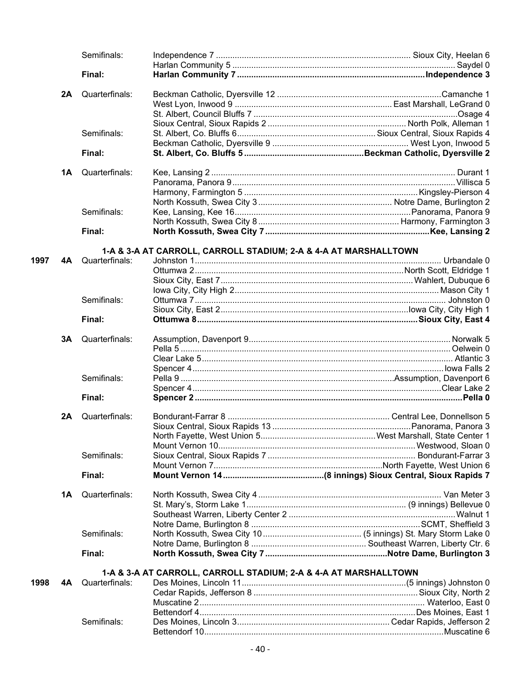|      |    | Semifinals:              |                                                                  |  |
|------|----|--------------------------|------------------------------------------------------------------|--|
|      |    |                          |                                                                  |  |
|      |    | Final:                   |                                                                  |  |
|      | 2A | Quarterfinals:           |                                                                  |  |
|      |    |                          |                                                                  |  |
|      |    |                          |                                                                  |  |
|      |    |                          |                                                                  |  |
|      |    | Semifinals:              |                                                                  |  |
|      |    |                          |                                                                  |  |
|      |    | Final:                   |                                                                  |  |
|      | 1A | Quarterfinals:           |                                                                  |  |
|      |    |                          |                                                                  |  |
|      |    |                          |                                                                  |  |
|      |    |                          |                                                                  |  |
|      |    | Semifinals:              |                                                                  |  |
|      |    |                          |                                                                  |  |
|      |    | Final:                   |                                                                  |  |
|      |    |                          | 1-A & 3-A AT CARROLL, CARROLL STADIUM; 2-A & 4-A AT MARSHALLTOWN |  |
| 1997 | 4A | Quarterfinals:           |                                                                  |  |
|      |    |                          |                                                                  |  |
|      |    |                          |                                                                  |  |
|      |    |                          |                                                                  |  |
|      |    | Semifinals:              |                                                                  |  |
|      |    |                          |                                                                  |  |
|      |    | Final:                   |                                                                  |  |
|      |    | <b>3A</b> Quarterfinals: |                                                                  |  |
|      |    |                          |                                                                  |  |
|      |    |                          |                                                                  |  |
|      |    |                          |                                                                  |  |
|      |    | Semifinals:              |                                                                  |  |
|      |    |                          |                                                                  |  |
|      |    |                          |                                                                  |  |
|      |    | Final:                   |                                                                  |  |
|      | 2A | Quarterfinals:           |                                                                  |  |
|      |    |                          |                                                                  |  |
|      |    |                          |                                                                  |  |
|      |    |                          |                                                                  |  |
|      |    | Semifinals:              |                                                                  |  |
|      |    |                          |                                                                  |  |
|      |    | Final:                   |                                                                  |  |
|      | 1A | Quarterfinals:           |                                                                  |  |
|      |    |                          |                                                                  |  |
|      |    |                          |                                                                  |  |
|      |    |                          |                                                                  |  |
|      |    | Semifinals:              |                                                                  |  |
|      |    |                          |                                                                  |  |
|      |    | Final:                   |                                                                  |  |
|      |    |                          |                                                                  |  |
| 1998 | 4Α | Quarterfinals:           | 1-A & 3-A AT CARROLL, CARROLL STADIUM; 2-A & 4-A AT MARSHALLTOWN |  |
|      |    |                          |                                                                  |  |
|      |    |                          |                                                                  |  |
|      |    |                          |                                                                  |  |
|      |    | Semifinals:              |                                                                  |  |
|      |    |                          |                                                                  |  |
|      |    |                          |                                                                  |  |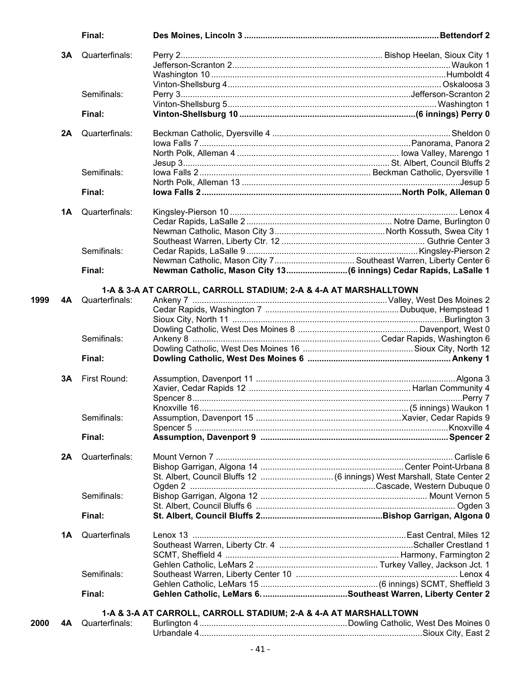|      |    | Final:         |                                                                  |                                                                    |
|------|----|----------------|------------------------------------------------------------------|--------------------------------------------------------------------|
|      | 3A | Quarterfinals: |                                                                  |                                                                    |
|      |    |                |                                                                  |                                                                    |
|      |    |                |                                                                  |                                                                    |
|      |    |                |                                                                  |                                                                    |
|      |    | Semifinals:    |                                                                  |                                                                    |
|      |    |                |                                                                  |                                                                    |
|      |    | Final:         |                                                                  |                                                                    |
|      |    |                |                                                                  |                                                                    |
|      | 2A | Quarterfinals: |                                                                  |                                                                    |
|      |    |                |                                                                  |                                                                    |
|      |    |                |                                                                  |                                                                    |
|      |    |                |                                                                  |                                                                    |
|      |    | Semifinals:    |                                                                  |                                                                    |
|      |    |                |                                                                  |                                                                    |
|      |    | Final:         |                                                                  |                                                                    |
|      | 1A | Quarterfinals: |                                                                  |                                                                    |
|      |    |                |                                                                  |                                                                    |
|      |    |                |                                                                  |                                                                    |
|      |    |                |                                                                  |                                                                    |
|      |    | Semifinals:    |                                                                  |                                                                    |
|      |    |                |                                                                  | Newman Catholic, Mason City 7 Southeast Warren, Liberty Center 6   |
|      |    | Final:         |                                                                  | Newman Catholic, Mason City 13 (6 innings) Cedar Rapids, LaSalle 1 |
|      |    |                |                                                                  |                                                                    |
|      |    |                | 1-A & 3-A AT CARROLL, CARROLL STADIUM; 2-A & 4-A AT MARSHALLTOWN |                                                                    |
| 1999 | 4A | Quarterfinals: |                                                                  |                                                                    |
|      |    |                |                                                                  |                                                                    |
|      |    |                |                                                                  |                                                                    |
|      |    |                |                                                                  |                                                                    |
|      |    | Semifinals:    |                                                                  |                                                                    |
|      |    |                |                                                                  |                                                                    |
|      |    | Final:         |                                                                  |                                                                    |
|      | 3A | First Round:   |                                                                  |                                                                    |
|      |    |                |                                                                  |                                                                    |
|      |    |                |                                                                  |                                                                    |
|      |    |                |                                                                  |                                                                    |
|      |    |                |                                                                  |                                                                    |
|      |    | Semifinals:    |                                                                  |                                                                    |
|      |    |                |                                                                  |                                                                    |
|      |    | Final:         |                                                                  | Assumption, Davenport 9 members and the content of the Spencer 2   |
|      | 2A | Quarterfinals: |                                                                  |                                                                    |
|      |    |                |                                                                  |                                                                    |
|      |    |                |                                                                  |                                                                    |
|      |    |                |                                                                  |                                                                    |
|      |    | Semifinals:    |                                                                  |                                                                    |
|      |    |                |                                                                  |                                                                    |
|      |    | Final:         |                                                                  |                                                                    |
|      |    |                |                                                                  |                                                                    |
|      | 1A | Quarterfinals  |                                                                  |                                                                    |
|      |    |                |                                                                  |                                                                    |
|      |    |                |                                                                  |                                                                    |
|      |    |                |                                                                  |                                                                    |
|      |    | Semifinals:    |                                                                  |                                                                    |
|      |    |                |                                                                  |                                                                    |
|      |    | Final:         |                                                                  |                                                                    |
|      |    |                |                                                                  |                                                                    |
|      |    |                | 1-A & 3-A AT CARROLL, CARROLL STADIUM; 2-A & 4-A AT MARSHALLTOWN |                                                                    |
| 2000 | 4А | Quarterfinals: |                                                                  |                                                                    |
|      |    |                |                                                                  |                                                                    |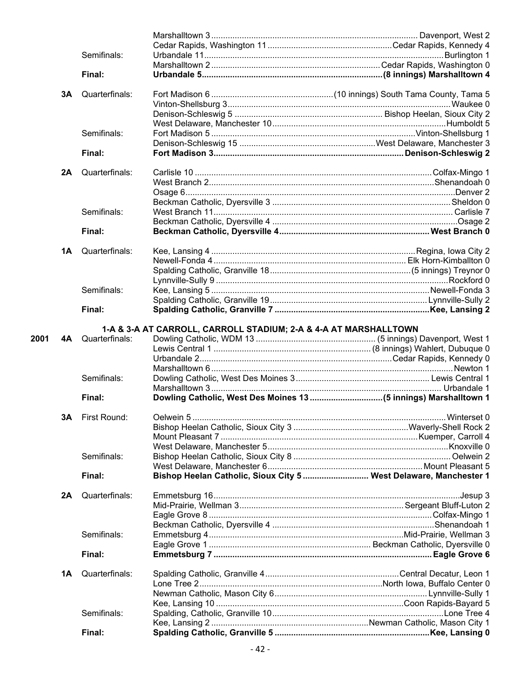|      |           | Semifinals:    |                                                                  |                                                                   |
|------|-----------|----------------|------------------------------------------------------------------|-------------------------------------------------------------------|
|      |           |                |                                                                  |                                                                   |
|      |           | Final:         |                                                                  |                                                                   |
|      | <b>3A</b> | Quarterfinals: |                                                                  |                                                                   |
|      |           |                |                                                                  |                                                                   |
|      |           |                |                                                                  |                                                                   |
|      |           |                |                                                                  |                                                                   |
|      |           | Semifinals:    |                                                                  |                                                                   |
|      |           |                |                                                                  |                                                                   |
|      |           | Final:         |                                                                  |                                                                   |
|      | 2A        | Quarterfinals: |                                                                  |                                                                   |
|      |           |                |                                                                  |                                                                   |
|      |           |                |                                                                  |                                                                   |
|      |           |                |                                                                  |                                                                   |
|      |           | Semifinals:    |                                                                  |                                                                   |
|      |           |                |                                                                  |                                                                   |
|      |           |                |                                                                  |                                                                   |
|      |           | Final:         |                                                                  |                                                                   |
|      | 1A        | Quarterfinals: |                                                                  |                                                                   |
|      |           |                |                                                                  |                                                                   |
|      |           |                |                                                                  |                                                                   |
|      |           |                |                                                                  |                                                                   |
|      |           | Semifinals:    |                                                                  |                                                                   |
|      |           |                |                                                                  |                                                                   |
|      |           | Final:         |                                                                  |                                                                   |
|      |           |                | 1-A & 3-A AT CARROLL, CARROLL STADIUM; 2-A & 4-A AT MARSHALLTOWN |                                                                   |
| 2001 | 4A        | Quarterfinals: |                                                                  |                                                                   |
|      |           |                |                                                                  |                                                                   |
|      |           |                |                                                                  |                                                                   |
|      |           |                |                                                                  |                                                                   |
|      |           | Semifinals:    |                                                                  |                                                                   |
|      |           |                |                                                                  |                                                                   |
|      |           | Final:         |                                                                  |                                                                   |
|      | 3Α        | First Round:   |                                                                  |                                                                   |
|      |           |                |                                                                  |                                                                   |
|      |           |                |                                                                  |                                                                   |
|      |           |                |                                                                  |                                                                   |
|      |           | Semifinals:    |                                                                  |                                                                   |
|      |           |                |                                                                  |                                                                   |
|      |           |                |                                                                  |                                                                   |
|      |           | Final:         |                                                                  | Bishop Heelan Catholic, Sioux City 5  West Delaware, Manchester 1 |
|      | 2A        | Quarterfinals: |                                                                  |                                                                   |
|      |           |                |                                                                  |                                                                   |
|      |           |                |                                                                  |                                                                   |
|      |           |                |                                                                  |                                                                   |
|      |           | Semifinals:    |                                                                  |                                                                   |
|      |           |                |                                                                  |                                                                   |
|      |           | Final:         |                                                                  |                                                                   |
|      | 1A        | Quarterfinals: |                                                                  |                                                                   |
|      |           |                |                                                                  |                                                                   |
|      |           |                |                                                                  |                                                                   |
|      |           |                |                                                                  |                                                                   |
|      |           |                |                                                                  |                                                                   |
|      |           | Semifinals:    |                                                                  |                                                                   |
|      |           |                |                                                                  |                                                                   |
|      |           | Final:         |                                                                  |                                                                   |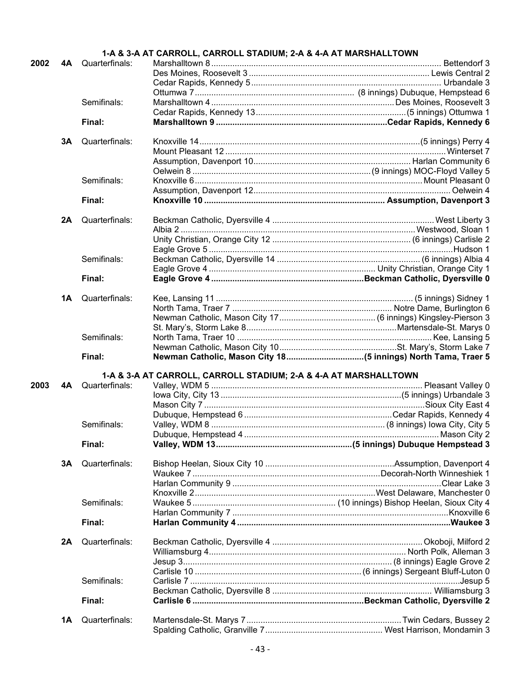|      |    |                | 1-A & 3-A AT CARROLL, CARROLL STADIUM; 2-A & 4-A AT MARSHALLTOWN |  |
|------|----|----------------|------------------------------------------------------------------|--|
| 2002 | 4A | Quarterfinals: |                                                                  |  |
|      |    |                |                                                                  |  |
|      |    |                |                                                                  |  |
|      |    |                |                                                                  |  |
|      |    | Semifinals:    |                                                                  |  |
|      |    |                |                                                                  |  |
|      |    | Final:         |                                                                  |  |
|      |    |                |                                                                  |  |
|      | 3A | Quarterfinals: |                                                                  |  |
|      |    |                |                                                                  |  |
|      |    |                |                                                                  |  |
|      |    |                |                                                                  |  |
|      |    |                |                                                                  |  |
|      |    | Semifinals:    |                                                                  |  |
|      |    |                |                                                                  |  |
|      |    | Final:         |                                                                  |  |
|      | 2A | Quarterfinals: |                                                                  |  |
|      |    |                |                                                                  |  |
|      |    |                |                                                                  |  |
|      |    |                |                                                                  |  |
|      |    |                |                                                                  |  |
|      |    | Semifinals:    |                                                                  |  |
|      |    |                |                                                                  |  |
|      |    | Final:         |                                                                  |  |
|      |    |                |                                                                  |  |
|      | 1A | Quarterfinals: |                                                                  |  |
|      |    |                |                                                                  |  |
|      |    |                |                                                                  |  |
|      |    |                |                                                                  |  |
|      |    | Semifinals:    |                                                                  |  |
|      |    |                |                                                                  |  |
|      |    | Final:         |                                                                  |  |
|      |    |                |                                                                  |  |
| 2003 | 4A | Quarterfinals: | 1-A & 3-A AT CARROLL, CARROLL STADIUM; 2-A & 4-A AT MARSHALLTOWN |  |
|      |    |                |                                                                  |  |
|      |    |                |                                                                  |  |
|      |    |                |                                                                  |  |
|      |    |                |                                                                  |  |
|      |    | Semifinals:    |                                                                  |  |
|      |    |                |                                                                  |  |
|      |    | Final:         |                                                                  |  |
|      | 3A | Quarterfinals: |                                                                  |  |
|      |    |                |                                                                  |  |
|      |    |                |                                                                  |  |
|      |    |                |                                                                  |  |
|      |    |                |                                                                  |  |
|      |    | Semifinals:    |                                                                  |  |
|      |    |                |                                                                  |  |
|      |    | Final:         |                                                                  |  |
|      | 2A | Quarterfinals: |                                                                  |  |
|      |    |                |                                                                  |  |
|      |    |                |                                                                  |  |
|      |    |                |                                                                  |  |
|      |    |                |                                                                  |  |
|      |    | Semifinals:    |                                                                  |  |
|      |    |                |                                                                  |  |
|      |    | Final:         |                                                                  |  |
|      |    |                |                                                                  |  |
|      | 1A | Quarterfinals: |                                                                  |  |
|      |    |                |                                                                  |  |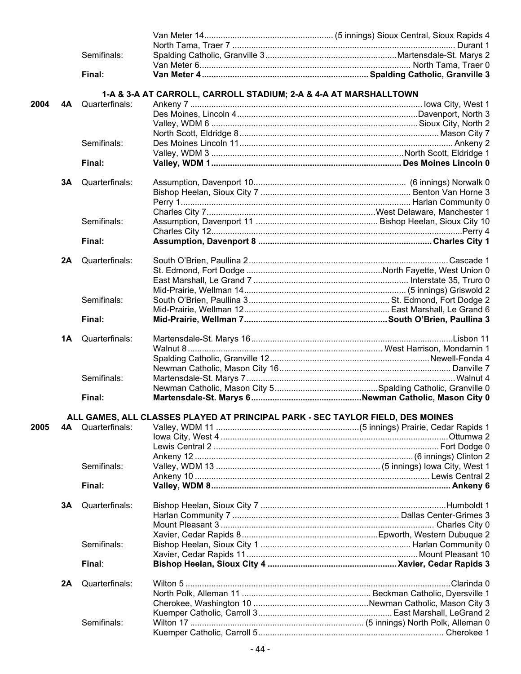|      |    | Semifinals:    |                                                                                |  |
|------|----|----------------|--------------------------------------------------------------------------------|--|
|      |    |                |                                                                                |  |
|      |    | Final:         |                                                                                |  |
|      |    |                |                                                                                |  |
|      |    |                | 1-A & 3-A AT CARROLL, CARROLL STADIUM; 2-A & 4-A AT MARSHALLTOWN               |  |
| 2004 | 4A | Quarterfinals: |                                                                                |  |
|      |    |                |                                                                                |  |
|      |    |                |                                                                                |  |
|      |    |                |                                                                                |  |
|      |    | Semifinals:    |                                                                                |  |
|      |    |                |                                                                                |  |
|      |    | Final:         |                                                                                |  |
|      |    | Quarterfinals: |                                                                                |  |
|      | 3Α |                |                                                                                |  |
|      |    |                |                                                                                |  |
|      |    |                |                                                                                |  |
|      |    |                |                                                                                |  |
|      |    | Semifinals:    |                                                                                |  |
|      |    |                |                                                                                |  |
|      |    | Final:         |                                                                                |  |
|      | 2A | Quarterfinals: |                                                                                |  |
|      |    |                |                                                                                |  |
|      |    |                |                                                                                |  |
|      |    |                |                                                                                |  |
|      |    | Semifinals:    |                                                                                |  |
|      |    |                |                                                                                |  |
|      |    |                |                                                                                |  |
|      |    | Final:         |                                                                                |  |
|      | 1A | Quarterfinals: |                                                                                |  |
|      |    |                |                                                                                |  |
|      |    |                |                                                                                |  |
|      |    |                |                                                                                |  |
|      |    | Semifinals:    |                                                                                |  |
|      |    |                |                                                                                |  |
|      |    | Final:         |                                                                                |  |
|      |    |                |                                                                                |  |
|      |    |                | ALL GAMES, ALL CLASSES PLAYED AT PRINCIPAL PARK - SEC TAYLOR FIELD, DES MOINES |  |
| 2005 | 4A | Quarterfinals: |                                                                                |  |
|      |    |                |                                                                                |  |
|      |    |                |                                                                                |  |
|      |    |                |                                                                                |  |
|      |    | Semifinals:    |                                                                                |  |
|      |    |                |                                                                                |  |
|      |    | Final:         |                                                                                |  |
|      |    | Quarterfinals: |                                                                                |  |
|      | 3A |                |                                                                                |  |
|      |    |                |                                                                                |  |
|      |    |                |                                                                                |  |
|      |    |                |                                                                                |  |
|      |    | Semifinals:    |                                                                                |  |
|      |    |                |                                                                                |  |
|      |    | Final:         |                                                                                |  |
|      | 2A | Quarterfinals: |                                                                                |  |
|      |    |                |                                                                                |  |
|      |    |                |                                                                                |  |
|      |    |                |                                                                                |  |
|      |    |                |                                                                                |  |
|      |    | Semifinals:    |                                                                                |  |
|      |    |                |                                                                                |  |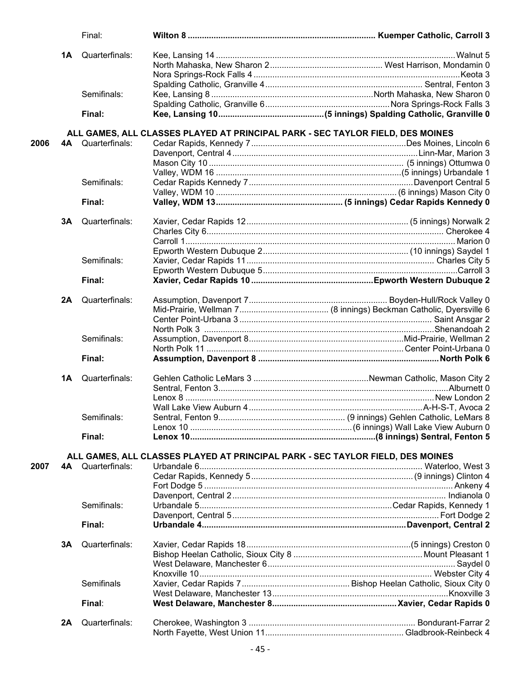|      |           | Final:         |                                                                                |  |
|------|-----------|----------------|--------------------------------------------------------------------------------|--|
|      | <b>1A</b> | Quarterfinals: |                                                                                |  |
|      |           |                |                                                                                |  |
|      |           |                |                                                                                |  |
|      |           |                |                                                                                |  |
|      |           | Semifinals:    |                                                                                |  |
|      |           |                |                                                                                |  |
|      |           | Final:         |                                                                                |  |
|      |           |                | ALL GAMES, ALL CLASSES PLAYED AT PRINCIPAL PARK - SEC TAYLOR FIELD, DES MOINES |  |
| 2006 | 4A –      | Quarterfinals: |                                                                                |  |
|      |           |                |                                                                                |  |
|      |           |                |                                                                                |  |
|      |           |                |                                                                                |  |
|      |           | Semifinals:    |                                                                                |  |
|      |           |                |                                                                                |  |
|      |           | Final:         |                                                                                |  |
|      |           |                |                                                                                |  |
|      | 3A        | Quarterfinals: |                                                                                |  |
|      |           |                |                                                                                |  |
|      |           |                |                                                                                |  |
|      |           |                |                                                                                |  |
|      |           | Semifinals:    |                                                                                |  |
|      |           |                |                                                                                |  |
|      |           | Final:         |                                                                                |  |
|      | 2A        | Quarterfinals: |                                                                                |  |
|      |           |                |                                                                                |  |
|      |           |                |                                                                                |  |
|      |           |                |                                                                                |  |
|      |           | Semifinals:    |                                                                                |  |
|      |           |                |                                                                                |  |
|      |           | Final:         |                                                                                |  |
|      | 1A        | Quarterfinals: |                                                                                |  |
|      |           |                |                                                                                |  |
|      |           |                |                                                                                |  |
|      |           |                |                                                                                |  |
|      |           | Semifinals:    |                                                                                |  |
|      |           |                |                                                                                |  |
|      |           |                |                                                                                |  |
|      |           | Final:         |                                                                                |  |
|      |           |                | ALL GAMES, ALL CLASSES PLAYED AT PRINCIPAL PARK - SEC TAYLOR FIELD, DES MOINES |  |
| 2007 | 4A        | Quarterfinals: |                                                                                |  |
|      |           |                |                                                                                |  |
|      |           |                |                                                                                |  |
|      |           |                |                                                                                |  |
|      |           | Semifinals:    |                                                                                |  |
|      |           |                |                                                                                |  |
|      |           | Final:         |                                                                                |  |
|      | 3A        | Quarterfinals: |                                                                                |  |
|      |           |                |                                                                                |  |
|      |           |                |                                                                                |  |
|      |           |                |                                                                                |  |
|      |           | Semifinals     |                                                                                |  |
|      |           |                |                                                                                |  |
|      |           | Final:         |                                                                                |  |
|      |           |                |                                                                                |  |
|      | 2A        | Quarterfinals: |                                                                                |  |
|      |           |                |                                                                                |  |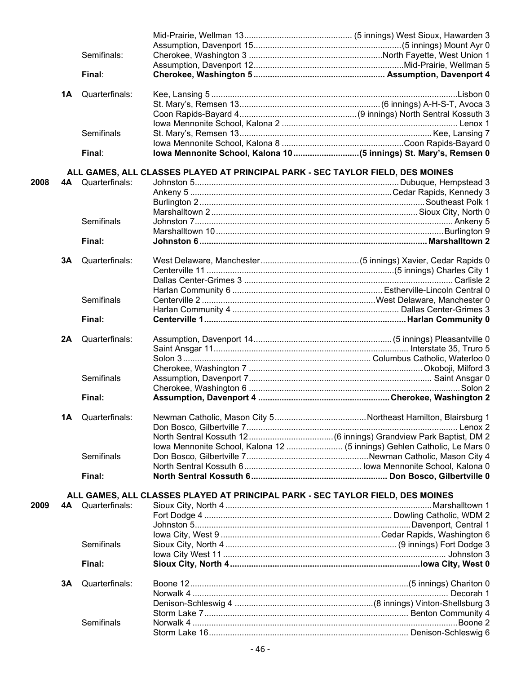| Semifinals:<br>Final:<br>Quarterfinals:<br>1A<br>Semifinals<br>Final:<br>ALL GAMES, ALL CLASSES PLAYED AT PRINCIPAL PARK - SEC TAYLOR FIELD, DES MOINES<br>4A Quarterfinals:<br>2008<br><b>Semifinals</b><br>Final:<br>Quarterfinals:<br>3A<br>Semifinals<br>Final:<br>Quarterfinals:<br>2A<br>Semifinals<br>Final:<br>Quarterfinals:<br>1Α<br>Iowa Mennonite School, Kalona 12  (5 innings) Gehlen Catholic, Le Mars 0<br>Semifinals<br>Final:<br>ALL GAMES, ALL CLASSES PLAYED AT PRINCIPAL PARK - SEC TAYLOR FIELD, DES MOINES<br>4A Quarterfinals:<br>Semifinals<br>Final:<br>Quarterfinals:<br>3A<br>Semifinals |  |  |  |
|----------------------------------------------------------------------------------------------------------------------------------------------------------------------------------------------------------------------------------------------------------------------------------------------------------------------------------------------------------------------------------------------------------------------------------------------------------------------------------------------------------------------------------------------------------------------------------------------------------------------|--|--|--|
|                                                                                                                                                                                                                                                                                                                                                                                                                                                                                                                                                                                                                      |  |  |  |
|                                                                                                                                                                                                                                                                                                                                                                                                                                                                                                                                                                                                                      |  |  |  |
|                                                                                                                                                                                                                                                                                                                                                                                                                                                                                                                                                                                                                      |  |  |  |
|                                                                                                                                                                                                                                                                                                                                                                                                                                                                                                                                                                                                                      |  |  |  |
|                                                                                                                                                                                                                                                                                                                                                                                                                                                                                                                                                                                                                      |  |  |  |
|                                                                                                                                                                                                                                                                                                                                                                                                                                                                                                                                                                                                                      |  |  |  |
|                                                                                                                                                                                                                                                                                                                                                                                                                                                                                                                                                                                                                      |  |  |  |
|                                                                                                                                                                                                                                                                                                                                                                                                                                                                                                                                                                                                                      |  |  |  |
|                                                                                                                                                                                                                                                                                                                                                                                                                                                                                                                                                                                                                      |  |  |  |
|                                                                                                                                                                                                                                                                                                                                                                                                                                                                                                                                                                                                                      |  |  |  |
|                                                                                                                                                                                                                                                                                                                                                                                                                                                                                                                                                                                                                      |  |  |  |
|                                                                                                                                                                                                                                                                                                                                                                                                                                                                                                                                                                                                                      |  |  |  |
|                                                                                                                                                                                                                                                                                                                                                                                                                                                                                                                                                                                                                      |  |  |  |
|                                                                                                                                                                                                                                                                                                                                                                                                                                                                                                                                                                                                                      |  |  |  |
|                                                                                                                                                                                                                                                                                                                                                                                                                                                                                                                                                                                                                      |  |  |  |
|                                                                                                                                                                                                                                                                                                                                                                                                                                                                                                                                                                                                                      |  |  |  |
|                                                                                                                                                                                                                                                                                                                                                                                                                                                                                                                                                                                                                      |  |  |  |
|                                                                                                                                                                                                                                                                                                                                                                                                                                                                                                                                                                                                                      |  |  |  |
| 2009                                                                                                                                                                                                                                                                                                                                                                                                                                                                                                                                                                                                                 |  |  |  |
|                                                                                                                                                                                                                                                                                                                                                                                                                                                                                                                                                                                                                      |  |  |  |
|                                                                                                                                                                                                                                                                                                                                                                                                                                                                                                                                                                                                                      |  |  |  |
|                                                                                                                                                                                                                                                                                                                                                                                                                                                                                                                                                                                                                      |  |  |  |
|                                                                                                                                                                                                                                                                                                                                                                                                                                                                                                                                                                                                                      |  |  |  |
|                                                                                                                                                                                                                                                                                                                                                                                                                                                                                                                                                                                                                      |  |  |  |
|                                                                                                                                                                                                                                                                                                                                                                                                                                                                                                                                                                                                                      |  |  |  |
|                                                                                                                                                                                                                                                                                                                                                                                                                                                                                                                                                                                                                      |  |  |  |
|                                                                                                                                                                                                                                                                                                                                                                                                                                                                                                                                                                                                                      |  |  |  |
|                                                                                                                                                                                                                                                                                                                                                                                                                                                                                                                                                                                                                      |  |  |  |
|                                                                                                                                                                                                                                                                                                                                                                                                                                                                                                                                                                                                                      |  |  |  |
|                                                                                                                                                                                                                                                                                                                                                                                                                                                                                                                                                                                                                      |  |  |  |
|                                                                                                                                                                                                                                                                                                                                                                                                                                                                                                                                                                                                                      |  |  |  |
|                                                                                                                                                                                                                                                                                                                                                                                                                                                                                                                                                                                                                      |  |  |  |
|                                                                                                                                                                                                                                                                                                                                                                                                                                                                                                                                                                                                                      |  |  |  |
|                                                                                                                                                                                                                                                                                                                                                                                                                                                                                                                                                                                                                      |  |  |  |
|                                                                                                                                                                                                                                                                                                                                                                                                                                                                                                                                                                                                                      |  |  |  |
|                                                                                                                                                                                                                                                                                                                                                                                                                                                                                                                                                                                                                      |  |  |  |
|                                                                                                                                                                                                                                                                                                                                                                                                                                                                                                                                                                                                                      |  |  |  |
|                                                                                                                                                                                                                                                                                                                                                                                                                                                                                                                                                                                                                      |  |  |  |
|                                                                                                                                                                                                                                                                                                                                                                                                                                                                                                                                                                                                                      |  |  |  |
|                                                                                                                                                                                                                                                                                                                                                                                                                                                                                                                                                                                                                      |  |  |  |
|                                                                                                                                                                                                                                                                                                                                                                                                                                                                                                                                                                                                                      |  |  |  |
|                                                                                                                                                                                                                                                                                                                                                                                                                                                                                                                                                                                                                      |  |  |  |
|                                                                                                                                                                                                                                                                                                                                                                                                                                                                                                                                                                                                                      |  |  |  |
|                                                                                                                                                                                                                                                                                                                                                                                                                                                                                                                                                                                                                      |  |  |  |
|                                                                                                                                                                                                                                                                                                                                                                                                                                                                                                                                                                                                                      |  |  |  |
|                                                                                                                                                                                                                                                                                                                                                                                                                                                                                                                                                                                                                      |  |  |  |
|                                                                                                                                                                                                                                                                                                                                                                                                                                                                                                                                                                                                                      |  |  |  |
|                                                                                                                                                                                                                                                                                                                                                                                                                                                                                                                                                                                                                      |  |  |  |
|                                                                                                                                                                                                                                                                                                                                                                                                                                                                                                                                                                                                                      |  |  |  |
|                                                                                                                                                                                                                                                                                                                                                                                                                                                                                                                                                                                                                      |  |  |  |
|                                                                                                                                                                                                                                                                                                                                                                                                                                                                                                                                                                                                                      |  |  |  |
|                                                                                                                                                                                                                                                                                                                                                                                                                                                                                                                                                                                                                      |  |  |  |
|                                                                                                                                                                                                                                                                                                                                                                                                                                                                                                                                                                                                                      |  |  |  |
|                                                                                                                                                                                                                                                                                                                                                                                                                                                                                                                                                                                                                      |  |  |  |
|                                                                                                                                                                                                                                                                                                                                                                                                                                                                                                                                                                                                                      |  |  |  |
|                                                                                                                                                                                                                                                                                                                                                                                                                                                                                                                                                                                                                      |  |  |  |
|                                                                                                                                                                                                                                                                                                                                                                                                                                                                                                                                                                                                                      |  |  |  |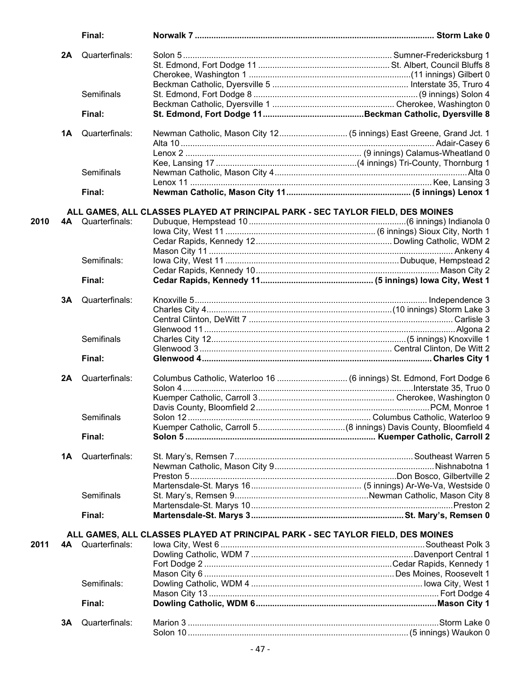|      |    | Final:                   |                                                                                |  |
|------|----|--------------------------|--------------------------------------------------------------------------------|--|
|      | 2A | Quarterfinals:           |                                                                                |  |
|      |    |                          |                                                                                |  |
|      |    |                          |                                                                                |  |
|      |    |                          |                                                                                |  |
|      |    | Semifinals               |                                                                                |  |
|      |    |                          |                                                                                |  |
|      |    | Final:                   |                                                                                |  |
|      |    |                          |                                                                                |  |
|      | 1Α | Quarterfinals:           |                                                                                |  |
|      |    |                          |                                                                                |  |
|      |    |                          |                                                                                |  |
|      |    | Semifinals               |                                                                                |  |
|      |    |                          |                                                                                |  |
|      |    | Final:                   |                                                                                |  |
|      |    |                          | ALL GAMES, ALL CLASSES PLAYED AT PRINCIPAL PARK - SEC TAYLOR FIELD, DES MOINES |  |
| 2010 |    | 4A Quarterfinals:        |                                                                                |  |
|      |    |                          |                                                                                |  |
|      |    |                          |                                                                                |  |
|      |    |                          |                                                                                |  |
|      |    | Semifinals:              |                                                                                |  |
|      |    |                          |                                                                                |  |
|      |    | Final:                   |                                                                                |  |
|      |    |                          |                                                                                |  |
|      | 3A | Quarterfinals:           |                                                                                |  |
|      |    |                          |                                                                                |  |
|      |    |                          |                                                                                |  |
|      |    |                          |                                                                                |  |
|      |    | Semifinals               |                                                                                |  |
|      |    |                          |                                                                                |  |
|      |    | Final:                   |                                                                                |  |
|      | 2A | Quarterfinals:           |                                                                                |  |
|      |    |                          |                                                                                |  |
|      |    |                          |                                                                                |  |
|      |    |                          |                                                                                |  |
|      |    | Semifinals               |                                                                                |  |
|      |    |                          |                                                                                |  |
|      |    | Final:                   |                                                                                |  |
|      | 1Α | Quarterfinals:           |                                                                                |  |
|      |    |                          |                                                                                |  |
|      |    |                          |                                                                                |  |
|      |    |                          |                                                                                |  |
|      |    | Semifinals               |                                                                                |  |
|      |    |                          |                                                                                |  |
|      |    | Final:                   |                                                                                |  |
|      |    |                          | ALL GAMES, ALL CLASSES PLAYED AT PRINCIPAL PARK - SEC TAYLOR FIELD, DES MOINES |  |
| 2011 |    | <b>4A</b> Quarterfinals: |                                                                                |  |
|      |    |                          |                                                                                |  |
|      |    |                          |                                                                                |  |
|      |    |                          |                                                                                |  |
|      |    | Semifinals:              |                                                                                |  |
|      |    |                          |                                                                                |  |
|      |    | Final:                   |                                                                                |  |
|      |    |                          |                                                                                |  |
|      | 3A | Quarterfinals:           |                                                                                |  |
|      |    |                          |                                                                                |  |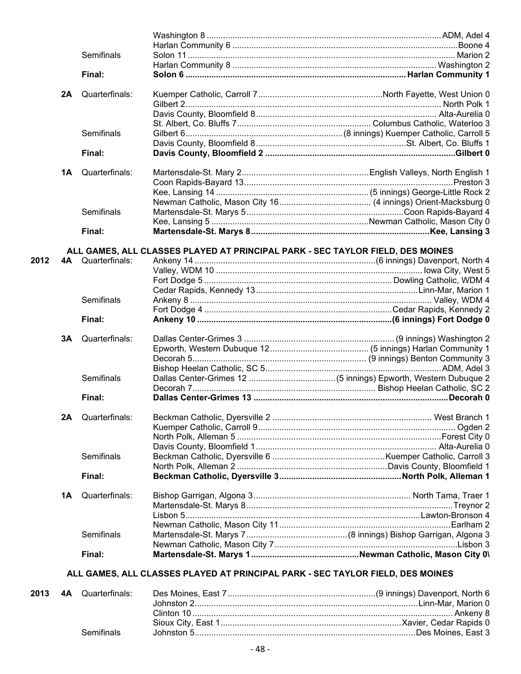|      |    | Semifinals        |                                                                                |  |
|------|----|-------------------|--------------------------------------------------------------------------------|--|
|      |    |                   |                                                                                |  |
|      |    | Final:            |                                                                                |  |
|      | 2A | Quarterfinals:    |                                                                                |  |
|      |    |                   |                                                                                |  |
|      |    |                   |                                                                                |  |
|      |    |                   |                                                                                |  |
|      |    | Semifinals        |                                                                                |  |
|      |    |                   |                                                                                |  |
|      |    | Final:            |                                                                                |  |
|      | 1Α | Quarterfinals:    |                                                                                |  |
|      |    |                   |                                                                                |  |
|      |    |                   |                                                                                |  |
|      |    |                   |                                                                                |  |
|      |    | Semifinals        |                                                                                |  |
|      |    |                   |                                                                                |  |
|      |    | Final:            |                                                                                |  |
|      |    |                   | ALL GAMES, ALL CLASSES PLAYED AT PRINCIPAL PARK - SEC TAYLOR FIELD, DES MOINES |  |
| 2012 |    | 4A Quarterfinals: |                                                                                |  |
|      |    |                   |                                                                                |  |
|      |    |                   |                                                                                |  |
|      |    |                   |                                                                                |  |
|      |    | Semifinals        |                                                                                |  |
|      |    |                   |                                                                                |  |
|      |    | Final:            |                                                                                |  |
|      | 3A | Quarterfinals:    |                                                                                |  |
|      |    |                   |                                                                                |  |
|      |    |                   |                                                                                |  |
|      |    |                   |                                                                                |  |
|      |    | Semifinals        |                                                                                |  |
|      |    |                   |                                                                                |  |
|      |    | Final:            |                                                                                |  |
|      | 2A | Quarterfinals:    |                                                                                |  |
|      |    |                   |                                                                                |  |
|      |    |                   |                                                                                |  |
|      |    |                   |                                                                                |  |
|      |    | <b>Semifinals</b> |                                                                                |  |
|      |    |                   |                                                                                |  |
|      |    | Final:            |                                                                                |  |
|      | 1Α | Quarterfinals:    |                                                                                |  |
|      |    |                   |                                                                                |  |
|      |    |                   |                                                                                |  |
|      |    |                   |                                                                                |  |
|      |    | Semifinals        |                                                                                |  |
|      |    |                   |                                                                                |  |
|      |    | Final:            |                                                                                |  |
|      |    |                   | ALL GAMES, ALL CLASSES PLAYED AT PRINCIPAL PARK - SEC TAYLOR FIELD, DES MOINES |  |
|      |    |                   |                                                                                |  |
| 2013 |    | 4A Quarterfinals: |                                                                                |  |

| Semifinals |                          |
|------------|--------------------------|
|            | <b>J 4A</b> Quancimiais. |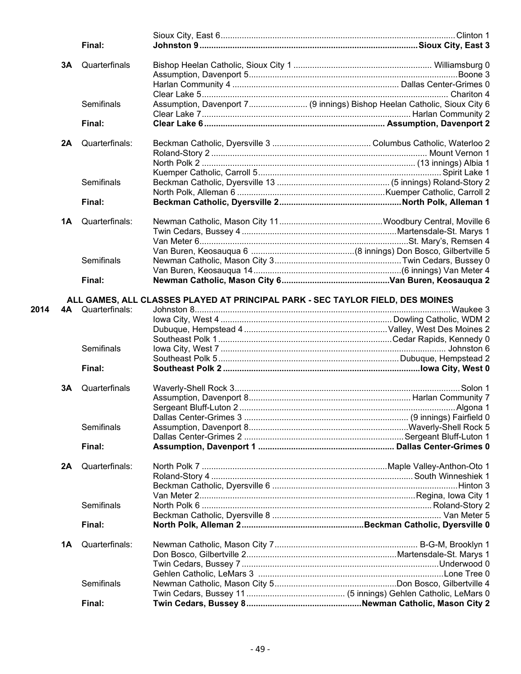|      |    | Final:            |                                                                                |                                                                          |
|------|----|-------------------|--------------------------------------------------------------------------------|--------------------------------------------------------------------------|
|      | 3A | Quarterfinals     |                                                                                |                                                                          |
|      |    |                   |                                                                                |                                                                          |
|      |    |                   |                                                                                |                                                                          |
|      |    |                   |                                                                                |                                                                          |
|      |    | Semifinals        |                                                                                | Assumption, Davenport 7 (9 innings) Bishop Heelan Catholic, Sioux City 6 |
|      |    |                   |                                                                                |                                                                          |
|      |    | Final:            |                                                                                |                                                                          |
|      |    |                   |                                                                                |                                                                          |
|      | 2A | Quarterfinals:    |                                                                                |                                                                          |
|      |    |                   |                                                                                |                                                                          |
|      |    |                   |                                                                                |                                                                          |
|      |    |                   |                                                                                |                                                                          |
|      |    | Semifinals        |                                                                                |                                                                          |
|      |    |                   |                                                                                |                                                                          |
|      |    | Final:            |                                                                                |                                                                          |
|      |    |                   |                                                                                |                                                                          |
|      | 1A | Quarterfinals:    |                                                                                |                                                                          |
|      |    |                   |                                                                                |                                                                          |
|      |    |                   |                                                                                |                                                                          |
|      |    |                   |                                                                                |                                                                          |
|      |    | <b>Semifinals</b> |                                                                                |                                                                          |
|      |    |                   |                                                                                |                                                                          |
|      |    | Final:            |                                                                                |                                                                          |
|      |    |                   | ALL GAMES, ALL CLASSES PLAYED AT PRINCIPAL PARK - SEC TAYLOR FIELD, DES MOINES |                                                                          |
| 2014 |    | 4A Quarterfinals: |                                                                                |                                                                          |
|      |    |                   |                                                                                |                                                                          |
|      |    |                   |                                                                                |                                                                          |
|      |    |                   |                                                                                |                                                                          |
|      |    |                   |                                                                                |                                                                          |
|      |    | Semifinals        |                                                                                |                                                                          |
|      |    |                   |                                                                                |                                                                          |
|      |    | Final:            |                                                                                |                                                                          |
|      | 3A | Quarterfinals     |                                                                                |                                                                          |
|      |    |                   |                                                                                |                                                                          |
|      |    |                   |                                                                                |                                                                          |
|      |    |                   |                                                                                |                                                                          |
|      |    | Semifinals        |                                                                                |                                                                          |
|      |    |                   |                                                                                |                                                                          |
|      |    |                   |                                                                                |                                                                          |
|      |    | Final:            |                                                                                |                                                                          |
|      | 2A | Quarterfinals:    |                                                                                |                                                                          |
|      |    |                   |                                                                                |                                                                          |
|      |    |                   |                                                                                |                                                                          |
|      |    |                   |                                                                                |                                                                          |
|      |    | Semifinals        |                                                                                |                                                                          |
|      |    |                   |                                                                                |                                                                          |
|      |    | Final:            |                                                                                |                                                                          |
|      |    |                   |                                                                                |                                                                          |
|      | 1A | Quarterfinals:    |                                                                                |                                                                          |
|      |    |                   |                                                                                |                                                                          |
|      |    |                   |                                                                                |                                                                          |
|      |    |                   |                                                                                |                                                                          |
|      |    | Semifinals        |                                                                                |                                                                          |
|      |    |                   |                                                                                |                                                                          |
|      |    | Final:            |                                                                                |                                                                          |
|      |    |                   |                                                                                |                                                                          |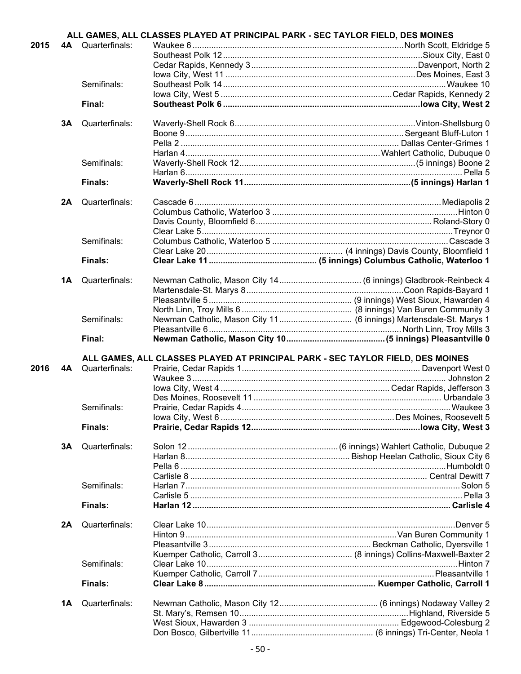|      |    |                          | ALL GAMES, ALL CLASSES PLAYED AT PRINCIPAL PARK - SEC TAYLOR FIELD, DES MOINES |                                                                    |
|------|----|--------------------------|--------------------------------------------------------------------------------|--------------------------------------------------------------------|
| 2015 |    | <b>4A</b> Quarterfinals: |                                                                                |                                                                    |
|      |    |                          |                                                                                |                                                                    |
|      |    |                          |                                                                                |                                                                    |
|      |    |                          |                                                                                |                                                                    |
|      |    | Semifinals:              |                                                                                |                                                                    |
|      |    |                          |                                                                                |                                                                    |
|      |    | Final:                   |                                                                                |                                                                    |
|      | 3Α | Quarterfinals:           |                                                                                |                                                                    |
|      |    |                          |                                                                                |                                                                    |
|      |    |                          |                                                                                |                                                                    |
|      |    |                          |                                                                                |                                                                    |
|      |    | Semifinals:              |                                                                                |                                                                    |
|      |    |                          |                                                                                |                                                                    |
|      |    | Finals:                  |                                                                                |                                                                    |
|      |    |                          |                                                                                |                                                                    |
|      | 2A | Quarterfinals:           |                                                                                |                                                                    |
|      |    |                          |                                                                                |                                                                    |
|      |    |                          |                                                                                |                                                                    |
|      |    |                          |                                                                                |                                                                    |
|      |    | Semifinals:              |                                                                                |                                                                    |
|      |    |                          |                                                                                |                                                                    |
|      |    | Finals:                  |                                                                                |                                                                    |
|      |    |                          |                                                                                |                                                                    |
|      | 1Α | Quarterfinals:           |                                                                                |                                                                    |
|      |    |                          |                                                                                |                                                                    |
|      |    |                          |                                                                                |                                                                    |
|      |    |                          |                                                                                |                                                                    |
|      |    | Semifinals:              |                                                                                | Newman Catholic, Mason City 11 (6 innings) Martensdale-St. Marys 1 |
|      |    | Final:                   |                                                                                |                                                                    |
|      |    |                          |                                                                                |                                                                    |
|      |    |                          |                                                                                |                                                                    |
|      |    |                          | ALL GAMES, ALL CLASSES PLAYED AT PRINCIPAL PARK - SEC TAYLOR FIELD, DES MOINES |                                                                    |
| 2016 | 4A | Quarterfinals:           |                                                                                |                                                                    |
|      |    |                          |                                                                                |                                                                    |
|      |    |                          |                                                                                |                                                                    |
|      |    |                          |                                                                                |                                                                    |
|      |    | Semifinals:              |                                                                                |                                                                    |
|      |    |                          |                                                                                |                                                                    |
|      |    | Finals:                  |                                                                                |                                                                    |
|      |    |                          |                                                                                |                                                                    |
|      | 3A | Quarterfinals:           |                                                                                |                                                                    |
|      |    |                          |                                                                                |                                                                    |
|      |    |                          |                                                                                |                                                                    |
|      |    |                          |                                                                                |                                                                    |
|      |    | Semifinals:              |                                                                                |                                                                    |
|      |    | Finals:                  |                                                                                |                                                                    |
|      |    |                          |                                                                                |                                                                    |
|      | 2A | Quarterfinals:           |                                                                                |                                                                    |
|      |    |                          |                                                                                |                                                                    |
|      |    |                          |                                                                                |                                                                    |
|      |    |                          |                                                                                |                                                                    |
|      |    | Semifinals:              |                                                                                |                                                                    |
|      |    |                          |                                                                                |                                                                    |
|      |    | <b>Finals:</b>           |                                                                                |                                                                    |
|      |    |                          |                                                                                |                                                                    |
|      | 1A | Quarterfinals:           |                                                                                |                                                                    |
|      |    |                          |                                                                                |                                                                    |
|      |    |                          |                                                                                |                                                                    |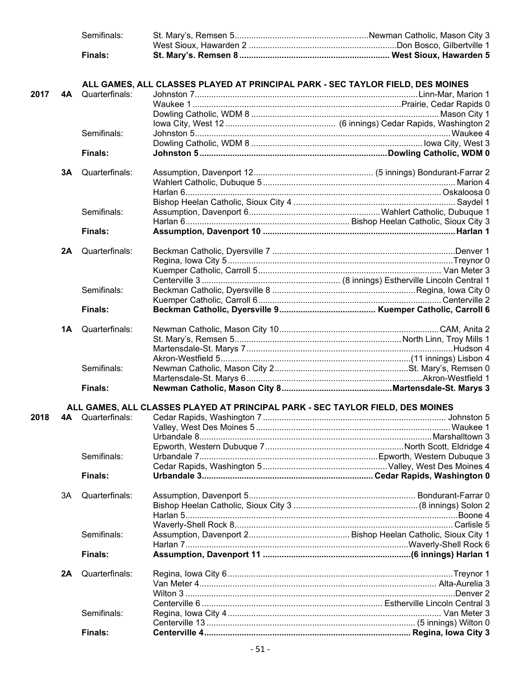|      |    | Semifinals:    |                                                                                |  |
|------|----|----------------|--------------------------------------------------------------------------------|--|
|      |    |                |                                                                                |  |
|      |    | <b>Finals:</b> |                                                                                |  |
|      |    |                |                                                                                |  |
|      |    |                | ALL GAMES, ALL CLASSES PLAYED AT PRINCIPAL PARK - SEC TAYLOR FIELD, DES MOINES |  |
| 2017 | 4A | Quarterfinals: |                                                                                |  |
|      |    |                |                                                                                |  |
|      |    |                |                                                                                |  |
|      |    |                |                                                                                |  |
|      |    | Semifinals:    |                                                                                |  |
|      |    |                |                                                                                |  |
|      |    |                |                                                                                |  |
|      |    | <b>Finals:</b> |                                                                                |  |
|      | 3A | Quarterfinals: |                                                                                |  |
|      |    |                |                                                                                |  |
|      |    |                |                                                                                |  |
|      |    |                |                                                                                |  |
|      |    | Semifinals:    |                                                                                |  |
|      |    |                |                                                                                |  |
|      |    |                |                                                                                |  |
|      |    | <b>Finals:</b> |                                                                                |  |
|      | 2A | Quarterfinals: |                                                                                |  |
|      |    |                |                                                                                |  |
|      |    |                |                                                                                |  |
|      |    |                |                                                                                |  |
|      |    | Semifinals:    |                                                                                |  |
|      |    |                |                                                                                |  |
|      |    | <b>Finals:</b> |                                                                                |  |
|      |    |                |                                                                                |  |
|      | 1A | Quarterfinals: |                                                                                |  |
|      |    |                |                                                                                |  |
|      |    |                |                                                                                |  |
|      |    |                |                                                                                |  |
|      |    | Semifinals:    |                                                                                |  |
|      |    |                |                                                                                |  |
|      |    | Finals:        |                                                                                |  |
|      |    |                | ALL GAMES, ALL CLASSES PLAYED AT PRINCIPAL PARK - SEC TAYLOR FIELD, DES MOINES |  |
| 2018 | 4A | Quarterfinals: |                                                                                |  |
|      |    |                |                                                                                |  |
|      |    |                |                                                                                |  |
|      |    |                |                                                                                |  |
|      |    | Semifinals:    |                                                                                |  |
|      |    |                |                                                                                |  |
|      |    |                |                                                                                |  |
|      |    | <b>Finals:</b> |                                                                                |  |
|      | 3A | Quarterfinals: |                                                                                |  |
|      |    |                |                                                                                |  |
|      |    |                |                                                                                |  |
|      |    |                |                                                                                |  |
|      |    | Semifinals:    |                                                                                |  |
|      |    |                |                                                                                |  |
|      |    | <b>Finals:</b> |                                                                                |  |
|      |    |                |                                                                                |  |
|      | 2A | Quarterfinals: |                                                                                |  |
|      |    |                |                                                                                |  |
|      |    |                |                                                                                |  |
|      |    |                |                                                                                |  |
|      |    | Semifinals:    |                                                                                |  |
|      |    |                |                                                                                |  |
|      |    | Finals:        |                                                                                |  |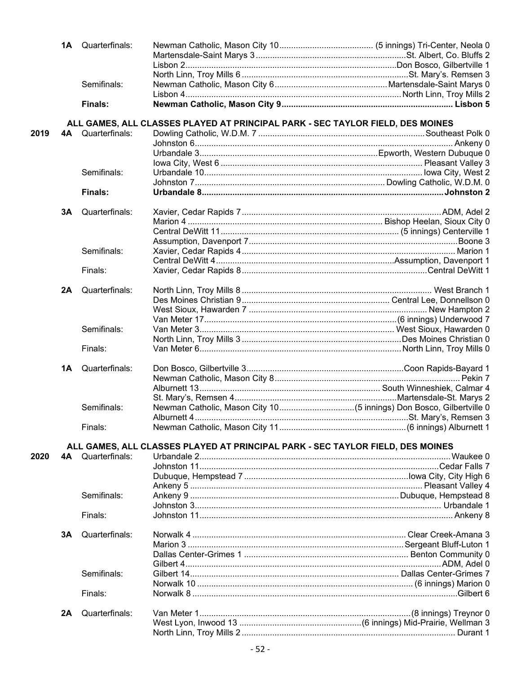|      |    | <b>1A</b> Quarterfinals: |                                                                                |  |
|------|----|--------------------------|--------------------------------------------------------------------------------|--|
|      |    |                          |                                                                                |  |
|      |    |                          |                                                                                |  |
|      |    |                          |                                                                                |  |
|      |    | Semifinals:              |                                                                                |  |
|      |    |                          |                                                                                |  |
|      |    | Finals:                  |                                                                                |  |
|      |    |                          | ALL GAMES, ALL CLASSES PLAYED AT PRINCIPAL PARK - SEC TAYLOR FIELD, DES MOINES |  |
| 2019 |    | <b>4A</b> Quarterfinals: |                                                                                |  |
|      |    |                          |                                                                                |  |
|      |    |                          |                                                                                |  |
|      |    |                          |                                                                                |  |
|      |    | Semifinals:              |                                                                                |  |
|      |    |                          |                                                                                |  |
|      |    | <b>Finals:</b>           |                                                                                |  |
|      | 3Α | Quarterfinals:           |                                                                                |  |
|      |    |                          |                                                                                |  |
|      |    |                          |                                                                                |  |
|      |    |                          |                                                                                |  |
|      |    |                          |                                                                                |  |
|      |    | Semifinals:              |                                                                                |  |
|      |    |                          |                                                                                |  |
|      |    | Finals:                  |                                                                                |  |
|      | 2A | Quarterfinals:           |                                                                                |  |
|      |    |                          |                                                                                |  |
|      |    |                          |                                                                                |  |
|      |    |                          |                                                                                |  |
|      |    | Semifinals:              |                                                                                |  |
|      |    |                          |                                                                                |  |
|      |    | Finals:                  |                                                                                |  |
|      |    |                          |                                                                                |  |
|      | 1Α | Quarterfinals:           |                                                                                |  |
|      |    |                          |                                                                                |  |
|      |    |                          |                                                                                |  |
|      |    |                          |                                                                                |  |
|      |    | Semifinals:              |                                                                                |  |
|      |    |                          |                                                                                |  |
|      |    | Finals:                  |                                                                                |  |
|      |    |                          | ALL GAMES, ALL CLASSES PLAYED AT PRINCIPAL PARK - SEC TAYLOR FIELD, DES MOINES |  |
| 2020 | 4A | Quarterfinals:           |                                                                                |  |
|      |    |                          |                                                                                |  |
|      |    |                          |                                                                                |  |
|      |    |                          |                                                                                |  |
|      |    | Semifinals:              |                                                                                |  |
|      |    |                          |                                                                                |  |
|      |    | Finals:                  |                                                                                |  |
|      |    |                          |                                                                                |  |
|      | 3A | Quarterfinals:           |                                                                                |  |
|      |    |                          |                                                                                |  |
|      |    |                          |                                                                                |  |
|      |    |                          |                                                                                |  |
|      |    | Semifinals:              |                                                                                |  |
|      |    |                          |                                                                                |  |
|      |    | Finals:                  |                                                                                |  |
|      | 2A | Quarterfinals:           |                                                                                |  |
|      |    |                          |                                                                                |  |
|      |    |                          |                                                                                |  |
|      |    |                          |                                                                                |  |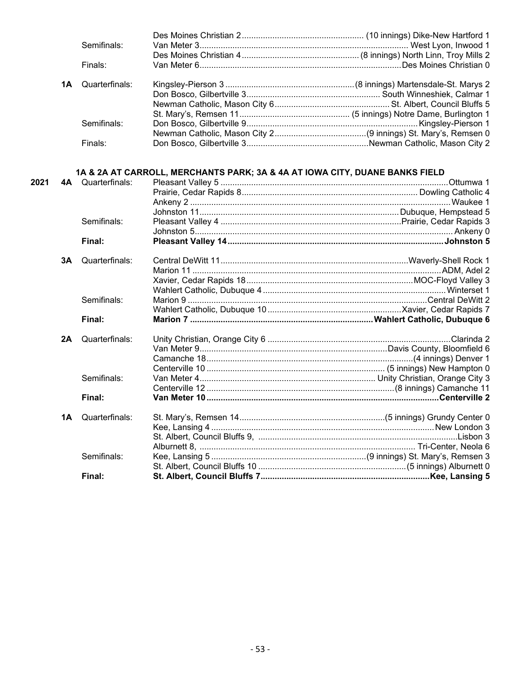| Semifinals:              |  |
|--------------------------|--|
|                          |  |
| Finals:                  |  |
|                          |  |
| <b>1A</b> Quarterfinals: |  |
|                          |  |
|                          |  |
|                          |  |
| Semifinals:              |  |
|                          |  |
| Finals:                  |  |
|                          |  |

#### **1A & 2A AT CARROLL, MERCHANTS PARK; 3A & 4A AT IOWA CITY, DUANE BANKS FIELD**

| 2021 |    | <b>4A</b> Quarterfinals: | Pleasant Valley 5 …………………………………………………………………………………………Ottumwa 1 |
|------|----|--------------------------|---------------------------------------------------------------|
|      |    |                          |                                                               |
|      |    |                          |                                                               |
|      |    |                          |                                                               |
|      |    | Semifinals:              |                                                               |
|      |    |                          |                                                               |
|      |    | Final:                   |                                                               |
|      | 3A | Quarterfinals:           |                                                               |
|      |    |                          |                                                               |
|      |    |                          |                                                               |
|      |    |                          |                                                               |
|      |    | Semifinals:              |                                                               |
|      |    |                          |                                                               |
|      |    | Final:                   |                                                               |
|      | 2A | Quarterfinals:           |                                                               |
|      |    |                          |                                                               |
|      |    |                          |                                                               |
|      |    |                          |                                                               |
|      |    | Semifinals:              |                                                               |
|      |    |                          |                                                               |
|      |    | Final:                   |                                                               |
|      | 1A | Quarterfinals:           |                                                               |
|      |    |                          |                                                               |
|      |    |                          |                                                               |
|      |    |                          |                                                               |
|      |    | Semifinals:              |                                                               |
|      |    |                          |                                                               |
|      |    | Final:                   |                                                               |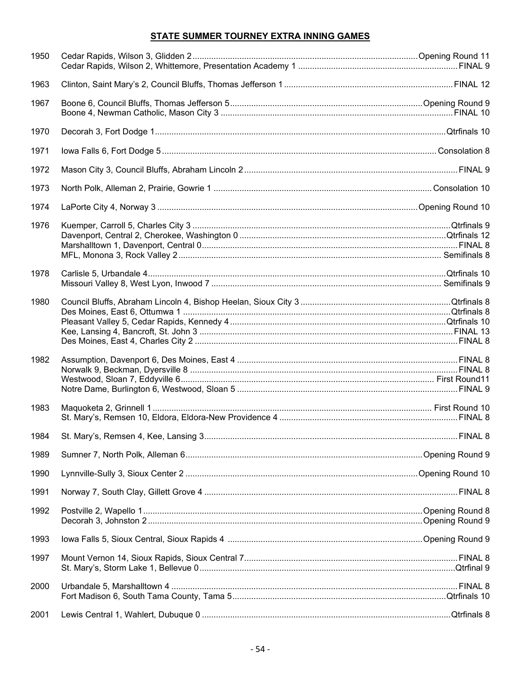## STATE SUMMER TOURNEY EXTRA INNING GAMES

| 1950 |  |
|------|--|
| 1963 |  |
| 1967 |  |
| 1970 |  |
| 1971 |  |
| 1972 |  |
| 1973 |  |
| 1974 |  |
| 1976 |  |
| 1978 |  |
| 1980 |  |
| 1982 |  |
| 1983 |  |
| 1984 |  |
| 1989 |  |
| 1990 |  |
| 1991 |  |
| 1992 |  |
| 1993 |  |
| 1997 |  |
| 2000 |  |
| 2001 |  |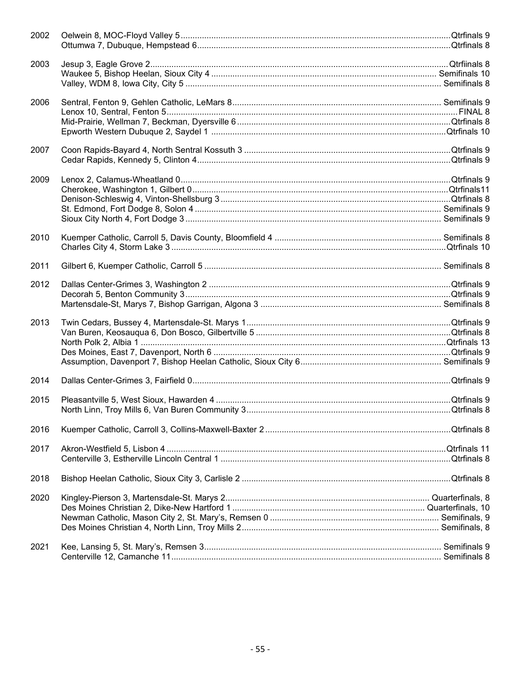| 2002 |  |
|------|--|
| 2003 |  |
| 2006 |  |
|      |  |
| 2007 |  |
| 2009 |  |
| 2010 |  |
| 2011 |  |
| 2012 |  |
| 2013 |  |
| 2014 |  |
| 2015 |  |
| 2016 |  |
| 2017 |  |
| 2018 |  |
| 2020 |  |
| 2021 |  |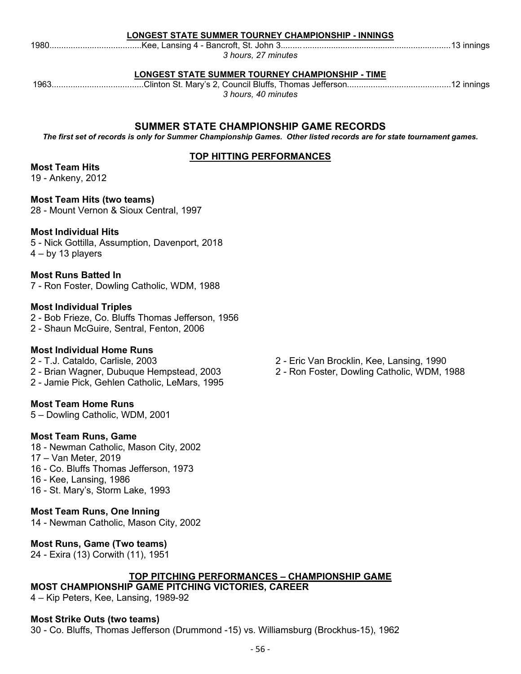## **LONGEST STATE SUMMER TOURNEY CHAMPIONSHIP - INNINGS**

1980.......................................Kee, Lansing 4 - Bancroft, St. John 3........................................................................13 innings

**LONGEST STATE SUMMER TOURNEY CHAMPIONSHIP - TIME**

*3 hours, 27 minutes*

1963.......................................Clinton St. Mary's 2, Council Bluffs, Thomas Jefferson............................................12 innings *3 hours, 40 minutes*

## **SUMMER STATE CHAMPIONSHIP GAME RECORDS**

*The first set of records is only for Summer Championship Games. Other listed records are for state tournament games.*

## **TOP HITTING PERFORMANCES**

## **Most Team Hits**

19 - Ankeny, 2012

**Most Team Hits (two teams)** 28 - Mount Vernon & Sioux Central, 1997

## **Most Individual Hits**

5 - Nick Gottilla, Assumption, Davenport, 2018 4 – by 13 players

## **Most Runs Batted In**

7 - Ron Foster, Dowling Catholic, WDM, 1988

## **Most Individual Triples**

2 - Bob Frieze, Co. Bluffs Thomas Jefferson, 1956 2 - Shaun McGuire, Sentral, Fenton, 2006

## **Most Individual Home Runs**

2 - T.J. Cataldo, Carlisle, 2003

- 2 Brian Wagner, Dubuque Hempstead, 2003
- 2 Jamie Pick, Gehlen Catholic, LeMars, 1995

## **Most Team Home Runs**

5 – Dowling Catholic, WDM, 2001

## **Most Team Runs, Game**

18 - Newman Catholic, Mason City, 2002 17 – Van Meter, 2019 16 - Co. Bluffs Thomas Jefferson, 1973

- 16 Kee, Lansing, 1986
- 16 St. Mary's, Storm Lake, 1993

## **Most Team Runs, One Inning**

14 - Newman Catholic, Mason City, 2002

## **Most Runs, Game (Two teams)**

24 - Exira (13) Corwith (11), 1951

## **TOP PITCHING PERFORMANCES – CHAMPIONSHIP GAME**

**MOST CHAMPIONSHIP GAME PITCHING VICTORIES, CAREER**

4 – Kip Peters, Kee, Lansing, 1989-92

## **Most Strike Outs (two teams)**

30 - Co. Bluffs, Thomas Jefferson (Drummond -15) vs. Williamsburg (Brockhus-15), 1962

- 2 Eric Van Brocklin, Kee, Lansing, 1990
- 2 Ron Foster, Dowling Catholic, WDM, 1988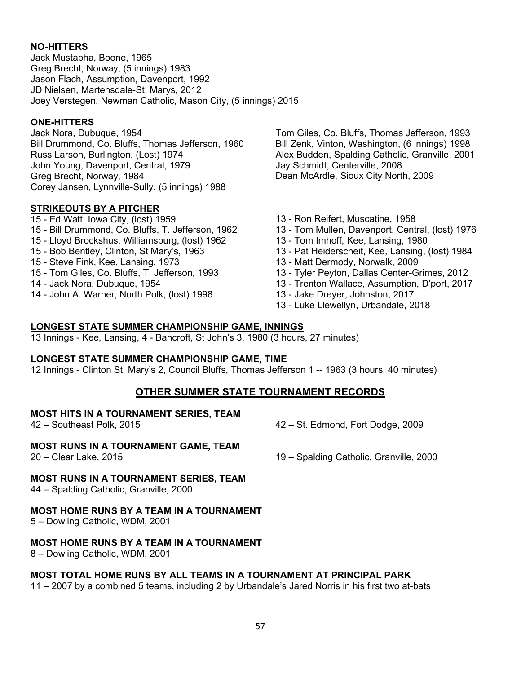## **NO-HITTERS**

Jack Mustapha, Boone, 1965 Greg Brecht, Norway, (5 innings) 1983 Jason Flach, Assumption, Davenport, 1992 JD Nielsen, Martensdale-St. Marys, 2012 Joey Verstegen, Newman Catholic, Mason City, (5 innings) 2015

#### **ONE-HITTERS**

Jack Nora, Dubuque, 1954 Bill Drummond, Co. Bluffs, Thomas Jefferson, 1960 Russ Larson, Burlington, (Lost) 1974 John Young, Davenport, Central, 1979 Greg Brecht, Norway, 1984 Corey Jansen, Lynnville-Sully, (5 innings) 1988

#### **STRIKEOUTS BY A PITCHER**

- 15 Ed Watt, Iowa City, (lost) 1959 15 - Bill Drummond, Co. Bluffs, T. Jefferson, 1962
- 15 Lloyd Brockshus, Williamsburg, (lost) 1962
- 15 Bob Bentley, Clinton, St Mary's, 1963
- 15 Steve Fink, Kee, Lansing, 1973
- 15 Tom Giles, Co. Bluffs, T. Jefferson, 1993
- 14 Jack Nora, Dubuque, 1954
- 14 John A. Warner, North Polk, (lost) 1998

Tom Giles, Co. Bluffs, Thomas Jefferson, 1993 Bill Zenk, Vinton, Washington, (6 innings) 1998 Alex Budden, Spalding Catholic, Granville, 2001 Jay Schmidt, Centerville, 2008 Dean McArdle, Sioux City North, 2009

- 13 Ron Reifert, Muscatine, 1958
- 13 Tom Mullen, Davenport, Central, (lost) 1976
- 13 Tom Imhoff, Kee, Lansing, 1980
- 13 Pat Heiderscheit, Kee, Lansing, (lost) 1984
- 13 Matt Dermody, Norwalk, 2009
- 13 Tyler Peyton, Dallas Center-Grimes, 2012
- 13 Trenton Wallace, Assumption, D'port, 2017
- 13 Jake Dreyer, Johnston, 2017
- 13 Luke Llewellyn, Urbandale, 2018

#### **LONGEST STATE SUMMER CHAMPIONSHIP GAME, INNINGS**

13 Innings - Kee, Lansing, 4 - Bancroft, St John's 3, 1980 (3 hours, 27 minutes)

#### **LONGEST STATE SUMMER CHAMPIONSHIP GAME, TIME**

12 Innings - Clinton St. Mary's 2, Council Bluffs, Thomas Jefferson 1 -- 1963 (3 hours, 40 minutes)

## **OTHER SUMMER STATE TOURNAMENT RECORDS**

#### **MOST HITS IN A TOURNAMENT SERIES, TEAM**

42 – Southeast Polk, 2015 42 – St. Edmond, Fort Dodge, 2009

#### **MOST RUNS IN A TOURNAMENT GAME, TEAM**

20 – Clear Lake, 2015 19 – Spalding Catholic, Granville, 2000

#### **MOST RUNS IN A TOURNAMENT SERIES, TEAM**

44 – Spalding Catholic, Granville, 2000

#### **MOST HOME RUNS BY A TEAM IN A TOURNAMENT**

5 – Dowling Catholic, WDM, 2001

#### **MOST HOME RUNS BY A TEAM IN A TOURNAMENT**

8 – Dowling Catholic, WDM, 2001

#### **MOST TOTAL HOME RUNS BY ALL TEAMS IN A TOURNAMENT AT PRINCIPAL PARK**

11 – 2007 by a combined 5 teams, including 2 by Urbandale's Jared Norris in his first two at-bats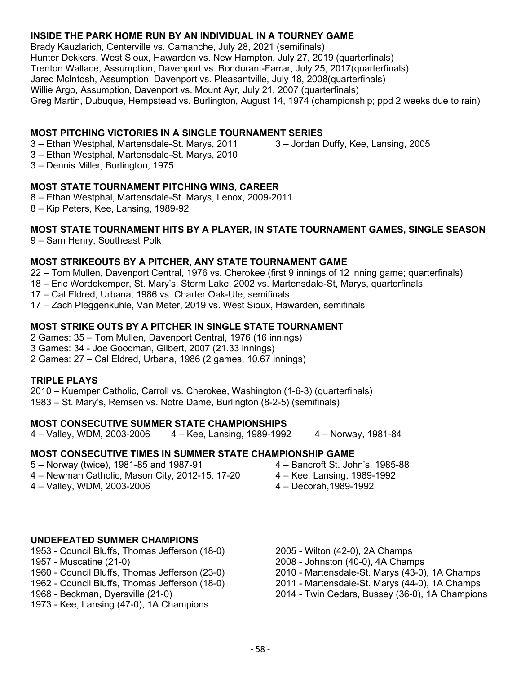## **INSIDE THE PARK HOME RUN BY AN INDIVIDUAL IN A TOURNEY GAME**

Brady Kauzlarich, Centerville vs. Camanche, July 28, 2021 (semifinals) Hunter Dekkers, West Sioux, Hawarden vs. New Hampton, July 27, 2019 (quarterfinals) Trenton Wallace, Assumption, Davenport vs. Bondurant-Farrar, July 25, 2017(quarterfinals) Jared McIntosh, Assumption, Davenport vs. Pleasantville, July 18, 2008(quarterfinals) Willie Argo, Assumption, Davenport vs. Mount Ayr, July 21, 2007 (quarterfinals) Greg Martin, Dubuque, Hempstead vs. Burlington, August 14, 1974 (championship; ppd 2 weeks due to rain)

## **MOST PITCHING VICTORIES IN A SINGLE TOURNAMENT SERIES**

3 – Ethan Westphal, Martensdale-St. Marys, 2011

3 – Jordan Duffy, Kee, Lansing, 2005

- 3 Ethan Westphal, Martensdale-St. Marys, 2010
- 3 Dennis Miller, Burlington, 1975

## **MOST STATE TOURNAMENT PITCHING WINS, CAREER**

- 8 Ethan Westphal, Martensdale-St. Marys, Lenox, 2009-2011
- 8 Kip Peters, Kee, Lansing, 1989-92

## **MOST STATE TOURNAMENT HITS BY A PLAYER, IN STATE TOURNAMENT GAMES, SINGLE SEASON**

9 – Sam Henry, Southeast Polk

## **MOST STRIKEOUTS BY A PITCHER, ANY STATE TOURNAMENT GAME**

22 – Tom Mullen, Davenport Central, 1976 vs. Cherokee (first 9 innings of 12 inning game; quarterfinals)

- 18 Eric Wordekemper, St. Mary's, Storm Lake, 2002 vs. Martensdale-St, Marys, quarterfinals
- 17 Cal Eldred, Urbana, 1986 vs. Charter Oak-Ute, semifinals
- 17 Zach Pleggenkuhle, Van Meter, 2019 vs. West Sioux, Hawarden, semifinals

## **MOST STRIKE OUTS BY A PITCHER IN SINGLE STATE TOURNAMENT**

2 Games: 35 – Tom Mullen, Davenport Central, 1976 (16 innings)

- 3 Games: 34 Joe Goodman, Gilbert, 2007 (21.33 innings)
- 2 Games: 27 Cal Eldred, Urbana, 1986 (2 games, 10.67 innings)

#### **TRIPLE PLAYS**

2010 – Kuemper Catholic, Carroll vs. Cherokee, Washington (1-6-3) (quarterfinals) 1983 – St. Mary's, Remsen vs. Notre Dame, Burlington (8-2-5) (semifinals)

## **MOST CONSECUTIVE SUMMER STATE CHAMPIONSHIPS**

4 – Valley, WDM, 2003-2006 4 – Kee, Lansing, 1989-1992 4 – Norway, 1981-84

## **MOST CONSECUTIVE TIMES IN SUMMER STATE CHAMPIONSHIP GAME**

- 5 Norway (twice), 1981-85 and 1987-91
- 4 Newman Catholic, Mason City, 2012-15, 17-20
- 4 Valley, WDM, 2003-2006
- 4 Bancroft St. John's, 1985-88
- 4 Kee, Lansing, 1989-1992
- 4 Decorah,1989-1992

#### **UNDEFEATED SUMMER CHAMPIONS**

- 1953 Council Bluffs, Thomas Jefferson (18-0)
- 1957 Muscatine (21-0)
- 1960 Council Bluffs, Thomas Jefferson (23-0)
- 1962 Council Bluffs, Thomas Jefferson (18-0)
- 1968 Beckman, Dyersville (21-0)
- 1973 Kee, Lansing (47-0), 1A Champions
- 2005 Wilton (42-0), 2A Champs
- 2008 Johnston (40-0), 4A Champs
- 2010 Martensdale-St. Marys (43-0), 1A Champs
- 2011 Martensdale-St. Marys (44-0), 1A Champs
- 2014 Twin Cedars, Bussey (36-0), 1A Champions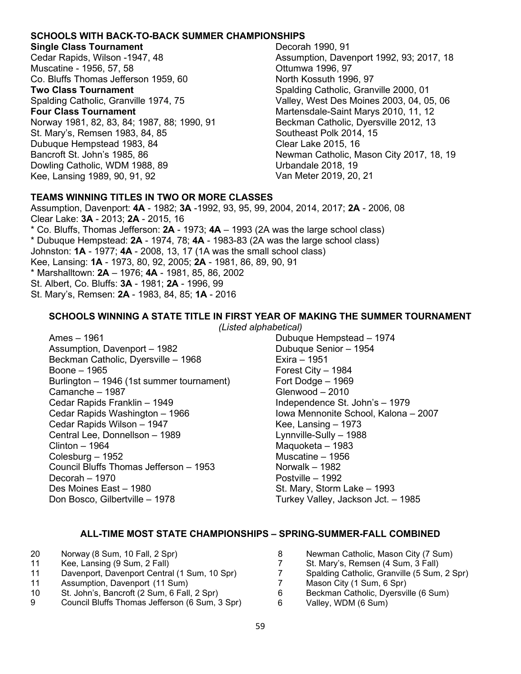#### **SCHOOLS WITH BACK-TO-BACK SUMMER CHAMPIONSHIPS**

#### **Single Class Tournament**

Cedar Rapids, Wilson -1947, 48 Muscatine - 1956, 57, 58 Co. Bluffs Thomas Jefferson 1959, 60 **Two Class Tournament** Spalding Catholic, Granville 1974, 75 **Four Class Tournament** Norway 1981, 82, 83, 84; 1987, 88; 1990, 91 St. Mary's, Remsen 1983, 84, 85 Dubuque Hempstead 1983, 84 Bancroft St. John's 1985, 86 Dowling Catholic, WDM 1988, 89 Kee, Lansing 1989, 90, 91, 92

Decorah 1990, 91 Assumption, Davenport 1992, 93; 2017, 18 Ottumwa 1996, 97 North Kossuth 1996, 97 Spalding Catholic, Granville 2000, 01 Valley, West Des Moines 2003, 04, 05, 06 Martensdale-Saint Marys 2010, 11, 12 Beckman Catholic, Dyersville 2012, 13 Southeast Polk 2014, 15 Clear Lake 2015, 16 Newman Catholic, Mason City 2017, 18, 19 Urbandale 2018, 19 Van Meter 2019, 20, 21

## **TEAMS WINNING TITLES IN TWO OR MORE CLASSES**

Assumption, Davenport: **4A** - 1982; **3A** -1992, 93, 95, 99, 2004, 2014, 2017; **2A** - 2006, 08 Clear Lake: **3A** - 2013; **2A** - 2015, 16 \* Co. Bluffs, Thomas Jefferson: **2A** - 1973; **4A** – 1993 (2A was the large school class) \* Dubuque Hempstead: **2A** - 1974, 78; **4A** - 1983-83 (2A was the large school class) Johnston: **1A** - 1977; **4A** - 2008, 13, 17 (1A was the small school class) Kee, Lansing: **1A** - 1973, 80, 92, 2005; **2A** - 1981, 86, 89, 90, 91 \* Marshalltown: **2A** – 1976; **4A** - 1981, 85, 86, 2002 St. Albert, Co. Bluffs: **3A** - 1981; **2A** - 1996, 99 St. Mary's, Remsen: **2A** - 1983, 84, 85; **1A** - 2016

#### **SCHOOLS WINNING A STATE TITLE IN FIRST YEAR OF MAKING THE SUMMER TOURNAMENT**

*(Listed alphabetical)*

Ames – 1961 Assumption, Davenport – 1982 Beckman Catholic, Dyersville – 1968 Boone – 1965 Burlington – 1946 (1st summer tournament) Camanche – 1987 Cedar Rapids Franklin – 1949 Cedar Rapids Washington – 1966 Cedar Rapids Wilson – 1947 Central Lee, Donnellson – 1989 Clinton – 1964 Colesburg – 1952 Council Bluffs Thomas Jefferson – 1953 Decorah – 1970 Des Moines East – 1980 Don Bosco, Gilbertville – 1978

Dubuque Hempstead – 1974 Dubuque Senior – 1954 Exira – 1951 Forest City – 1984 Fort Dodge – 1969 Glenwood – 2010 Independence St. John's – 1979 Iowa Mennonite School, Kalona – 2007 Kee, Lansing – 1973 Lynnville-Sully – 1988 Maquoketa – 1983 Muscatine – 1956 Norwalk – 1982 Postville – 1992 St. Mary, Storm Lake – 1993 Turkey Valley, Jackson Jct. – 1985

## **ALL-TIME MOST STATE CHAMPIONSHIPS – SPRING-SUMMER-FALL COMBINED**

| 20 | Norway (8 Sum, 10 Fall, 2 Spr)           |
|----|------------------------------------------|
| 11 | $K_{\Omega}$ , Lancing (0.8 km, 2.5 all) |

- 11 Kee, Lansing (9 Sum, 2 Fall)
- 11 Davenport, Davenport Central (1 Sum, 10 Spr)
- 11 Assumption, Davenport (11 Sum)
- 10 St. John's, Bancroft (2 Sum, 6 Fall, 2 Spr)
- 9 Council Bluffs Thomas Jefferson (6 Sum, 3 Spr)
- 8 Newman Catholic, Mason City (7 Sum)<br>7 St. Mary's, Remsen (4 Sum, 3 Fall) 7 St. Mary's, Remsen (4 Sum, 3 Fall)<br>7 Spalding Catholic, Granville (5 Sum 7 Spalding Catholic, Granville (5 Sum, 2 Spr)<br>7 Mason City (1 Sum, 6 Spr) Mason City (1 Sum, 6 Spr) 6 Beckman Catholic, Dyersville (6 Sum) 6 Valley, WDM (6 Sum)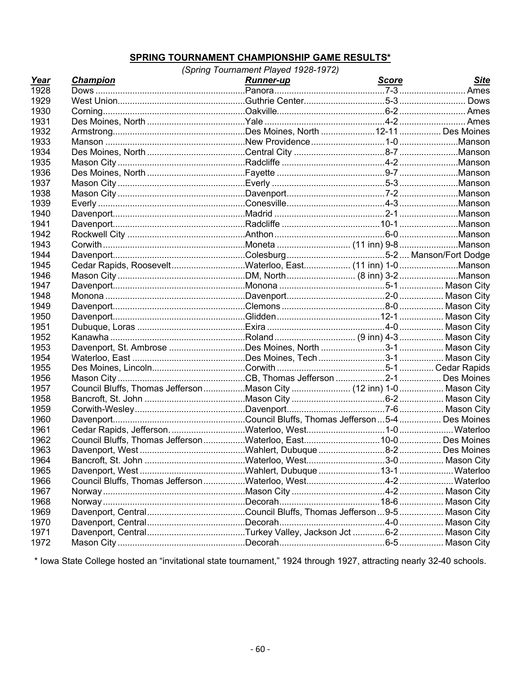## **SPRING TOURNAMENT CHAMPIONSHIP GAME RESULTS\***

| Year | <b>Champion</b>                                                    | <b>Runner-up</b> | Score | <b>Site</b> |
|------|--------------------------------------------------------------------|------------------|-------|-------------|
| 1928 |                                                                    |                  |       |             |
| 1929 |                                                                    |                  |       |             |
| 1930 |                                                                    |                  |       |             |
| 1931 |                                                                    |                  |       |             |
| 1932 |                                                                    |                  |       |             |
| 1933 |                                                                    |                  |       |             |
| 1934 |                                                                    |                  |       |             |
| 1935 |                                                                    |                  |       |             |
| 1936 |                                                                    |                  |       |             |
| 1937 |                                                                    |                  |       |             |
| 1938 |                                                                    |                  |       |             |
| 1939 |                                                                    |                  |       |             |
| 1940 |                                                                    |                  |       |             |
| 1941 |                                                                    |                  |       |             |
| 1942 |                                                                    |                  |       |             |
| 1943 |                                                                    |                  |       |             |
| 1944 |                                                                    |                  |       |             |
| 1945 | Cedar Rapids, RooseveltWaterloo, East (11 inn) 1-0Manson           |                  |       |             |
| 1946 |                                                                    |                  |       |             |
| 1947 |                                                                    |                  |       |             |
| 1948 |                                                                    |                  |       |             |
| 1949 |                                                                    |                  |       |             |
| 1950 |                                                                    |                  |       |             |
| 1951 |                                                                    |                  |       |             |
| 1952 |                                                                    |                  |       |             |
| 1953 |                                                                    |                  |       |             |
| 1954 |                                                                    |                  |       |             |
| 1955 |                                                                    |                  |       |             |
| 1956 |                                                                    |                  |       |             |
| 1957 | Council Bluffs, Thomas JeffersonMason City (12 inn) 1-0 Mason City |                  |       |             |
| 1958 |                                                                    |                  |       |             |
| 1959 |                                                                    |                  |       |             |
| 1960 |                                                                    |                  |       |             |
| 1961 |                                                                    |                  |       |             |
| 1962 |                                                                    |                  |       |             |
| 1963 |                                                                    |                  |       |             |
| 1964 |                                                                    |                  |       |             |
| 1965 |                                                                    |                  |       |             |
| 1966 |                                                                    |                  |       |             |
| 1967 |                                                                    |                  |       |             |
| 1968 |                                                                    |                  |       |             |
| 1969 |                                                                    |                  |       |             |
| 1970 |                                                                    |                  |       |             |
| 1971 |                                                                    |                  |       |             |
| 1972 |                                                                    |                  |       |             |

\* Iowa State College hosted an "invitational state tournament," 1924 through 1927, attracting nearly 32-40 schools.